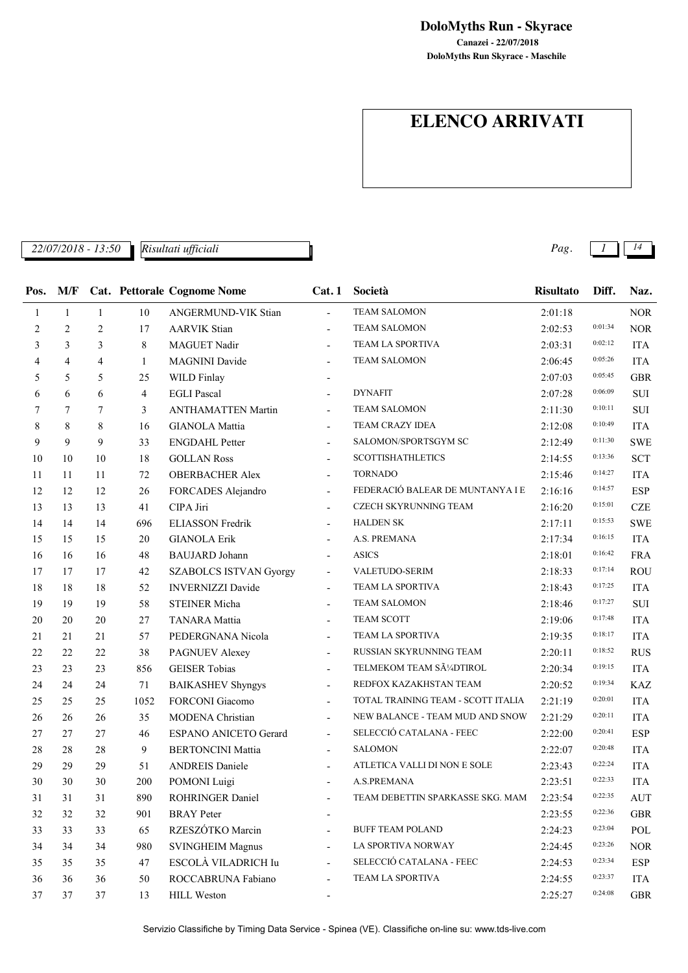**DoloMyths Run Skyrace - Maschile Canazei - 22/07/2018 DoloMyths Run - Skyrace**

# **ELENCO ARRIVATI**

*22/07/2018 - 13:50 Pag. 1 14 Risultati ufficiali*

| Pos. | M/F            |                |      | <b>Cat. Pettorale Cognome Nome</b> | Cat.1                    | Società                            | <b>Risultato</b> | Diff.   | Naz.       |
|------|----------------|----------------|------|------------------------------------|--------------------------|------------------------------------|------------------|---------|------------|
| 1    | $\mathbf{1}$   | $\mathbf{1}$   | 10   | ANGERMUND-VIK Stian                | $\overline{\phantom{a}}$ | <b>TEAM SALOMON</b>                | 2:01:18          |         | $\rm{NOR}$ |
| 2    | $\overline{2}$ | $\overline{2}$ | 17   | <b>AARVIK Stian</b>                | $\overline{\phantom{a}}$ | <b>TEAM SALOMON</b>                | 2:02:53          | 0:01:34 | <b>NOR</b> |
| 3    | 3              | 3              | 8    | MAGUET Nadir                       |                          | TEAM LA SPORTIVA                   | 2:03:31          | 0:02:12 | <b>ITA</b> |
| 4    | 4              | $\overline{4}$ | 1    | <b>MAGNINI Davide</b>              |                          | <b>TEAM SALOMON</b>                | 2:06:45          | 0:05:26 | <b>ITA</b> |
| 5    | 5              | 5              | 25   | WILD Finlay                        | $\overline{\phantom{a}}$ |                                    | 2:07:03          | 0:05:45 | <b>GBR</b> |
| 6    | 6              | 6              | 4    | <b>EGLI Pascal</b>                 |                          | <b>DYNAFIT</b>                     | 2:07:28          | 0:06:09 | <b>SUI</b> |
| 7    | 7              | 7              | 3    | <b>ANTHAMATTEN Martin</b>          | $\overline{\phantom{a}}$ | <b>TEAM SALOMON</b>                | 2:11:30          | 0:10:11 | SUI        |
| 8    | 8              | 8              | 16   | <b>GIANOLA Mattia</b>              | $\overline{\phantom{a}}$ | TEAM CRAZY IDEA                    | 2:12:08          | 0:10:49 | <b>ITA</b> |
| 9    | 9              | 9              | 33   | <b>ENGDAHL Petter</b>              |                          | SALOMON/SPORTSGYM SC               | 2:12:49          | 0:11:30 | <b>SWE</b> |
| 10   | 10             | 10             | 18   | <b>GOLLAN Ross</b>                 |                          | <b>SCOTTISHATHLETICS</b>           | 2:14:55          | 0:13:36 | SCT        |
| 11   | 11             | 11             | 72   | <b>OBERBACHER Alex</b>             | $\blacksquare$           | <b>TORNADO</b>                     | 2:15:46          | 0:14:27 | <b>ITA</b> |
| 12   | 12             | 12             | 26   | FORCADES Alejandro                 | $\overline{\phantom{a}}$ | FEDERACIÓ BALEAR DE MUNTANYA I E   | 2:16:16          | 0:14:57 | <b>ESP</b> |
| 13   | 13             | 13             | 41   | CIPA Jiri                          |                          | CZECH SKYRUNNING TEAM              | 2:16:20          | 0:15:01 | <b>CZE</b> |
| 14   | 14             | 14             | 696  | <b>ELIASSON Fredrik</b>            | $\overline{\phantom{a}}$ | <b>HALDEN SK</b>                   | 2:17:11          | 0:15:53 | <b>SWE</b> |
| 15   | 15             | 15             | 20   | <b>GIANOLA Erik</b>                |                          | A.S. PREMANA                       | 2:17:34          | 0:16:15 | <b>ITA</b> |
| 16   | 16             | 16             | 48   | <b>BAUJARD</b> Johann              |                          | <b>ASICS</b>                       | 2:18:01          | 0:16:42 | <b>FRA</b> |
| 17   | 17             | 17             | 42   | <b>SZABOLCS ISTVAN Gyorgy</b>      | $\overline{\phantom{a}}$ | VALETUDO-SERIM                     | 2:18:33          | 0:17:14 | <b>ROU</b> |
| 18   | 18             | 18             | 52   | <b>INVERNIZZI Davide</b>           | $\overline{\phantom{a}}$ | TEAM LA SPORTIVA                   | 2:18:43          | 0:17:25 | <b>ITA</b> |
| 19   | 19             | 19             | 58   | <b>STEINER Micha</b>               |                          | <b>TEAM SALOMON</b>                | 2:18:46          | 0:17:27 | SUI        |
| 20   | 20             | 20             | 27   | <b>TANARA</b> Mattia               | $\overline{\phantom{a}}$ | TEAM SCOTT                         | 2:19:06          | 0:17:48 | <b>ITA</b> |
| 21   | 21             | 21             | 57   | PEDERGNANA Nicola                  | $\overline{\phantom{a}}$ | TEAM LA SPORTIVA                   | 2:19:35          | 0:18:17 | <b>ITA</b> |
| 22   | 22             | 22             | 38   | PAGNUEV Alexey                     |                          | RUSSIAN SKYRUNNING TEAM            | 2:20:11          | 0:18:52 | <b>RUS</b> |
| 23   | 23             | 23             | 856  | <b>GEISER Tobias</b>               | $\overline{\phantom{a}}$ | TELMEKOM TEAM SüDTIROL             | 2:20:34          | 0:19:15 | <b>ITA</b> |
| 24   | 24             | 24             | 71   | <b>BAIKASHEV Shyngys</b>           | $\overline{\phantom{a}}$ | REDFOX KAZAKHSTAN TEAM             | 2:20:52          | 0:19:34 | <b>KAZ</b> |
| 25   | 25             | 25             | 1052 | FORCONI Giacomo                    | $\overline{\phantom{a}}$ | TOTAL TRAINING TEAM - SCOTT ITALIA | 2:21:19          | 0:20:01 | <b>ITA</b> |
| 26   | 26             | 26             | 35   | <b>MODENA</b> Christian            | $\overline{\phantom{a}}$ | NEW BALANCE - TEAM MUD AND SNOW    | 2:21:29          | 0:20:11 | <b>ITA</b> |
| 27   | 27             | 27             | 46   | <b>ESPANO ANICETO Gerard</b>       | $\overline{\phantom{a}}$ | SELECCIÓ CATALANA - FEEC           | 2:22:00          | 0:20:41 | <b>ESP</b> |
| 28   | 28             | 28             | 9    | <b>BERTONCINI Mattia</b>           |                          | <b>SALOMON</b>                     | 2:22:07          | 0:20:48 | <b>ITA</b> |
| 29   | 29             | 29             | 51   | <b>ANDREIS Daniele</b>             | $\overline{\phantom{a}}$ | ATLETICA VALLI DI NON E SOLE       | 2:23:43          | 0:22:24 | <b>ITA</b> |
| 30   | 30             | 30             | 200  | POMONI Luigi                       |                          | A.S.PREMANA                        | 2:23:51          | 0:22:33 | <b>ITA</b> |
| 31   | 31             | 31             | 890  | ROHRINGER Daniel                   |                          | TEAM DEBETTIN SPARKASSE SKG. MAM   | 2:23:54          | 0:22:35 | <b>AUT</b> |
| 32   | 32             | 32             | 901  | <b>BRAY</b> Peter                  |                          |                                    | 2:23:55          | 0:22:36 | <b>GBR</b> |
| 33   | 33             | 33             | 65   | RZESZÓTKO Marcin                   |                          | <b>BUFF TEAM POLAND</b>            | 2:24:23          | 0:23:04 | POL        |
| 34   | 34             | 34             | 980  | <b>SVINGHEIM Magnus</b>            | $\overline{a}$           | LA SPORTIVA NORWAY                 | 2:24:45          | 0:23:26 | $\rm{NOR}$ |
| 35   | 35             | 35             | 47   | ESCOLÀ VILADRICH Iu                | $\overline{\phantom{a}}$ | SELECCIÓ CATALANA - FEEC           | 2:24:53          | 0:23:34 | <b>ESP</b> |
| 36   | 36             | 36             | 50   | ROCCABRUNA Fabiano                 | $\overline{\phantom{a}}$ | TEAM LA SPORTIVA                   | 2:24:55          | 0:23:37 | <b>ITA</b> |
| 37   | 37             | 37             | 13   | <b>HILL Weston</b>                 |                          |                                    | 2:25:27          | 0:24:08 | <b>GBR</b> |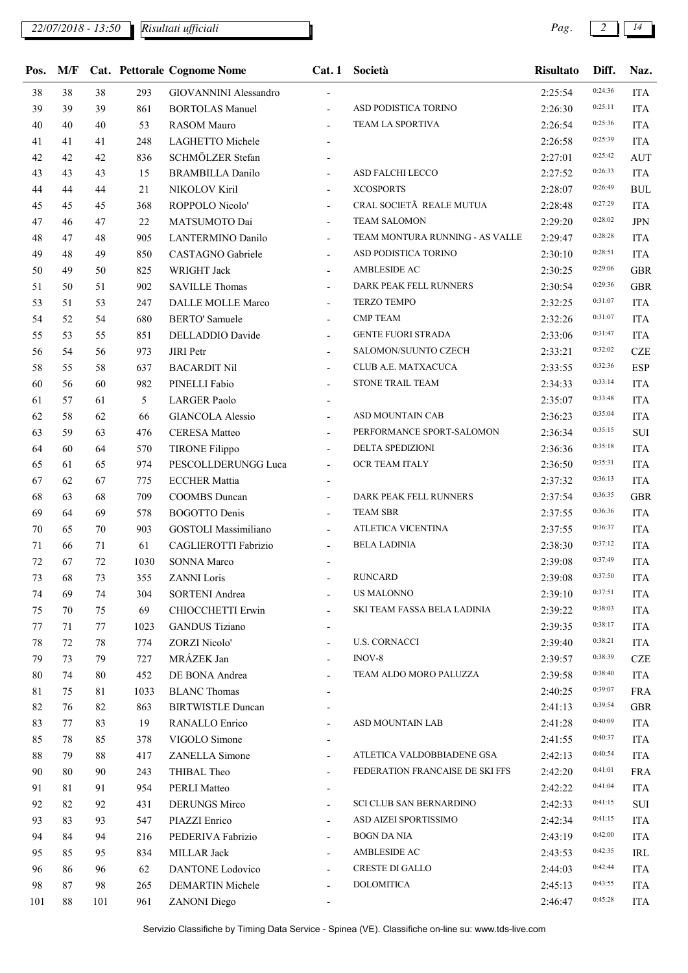| Pos.   | M/F |     |      | <b>Cat. Pettorale Cognome Nome</b> | Cat.1                    | Società                         | <b>Risultato</b> | Diff.   | Naz.       |
|--------|-----|-----|------|------------------------------------|--------------------------|---------------------------------|------------------|---------|------------|
| 38     | 38  | 38  | 293  | <b>GIOVANNINI Alessandro</b>       |                          |                                 | 2:25:54          | 0:24:36 | <b>ITA</b> |
| 39     | 39  | 39  | 861  | <b>BORTOLAS Manuel</b>             | $\overline{\phantom{a}}$ | ASD PODISTICA TORINO            | 2:26:30          | 0:25:11 | <b>ITA</b> |
| 40     | 40  | 40  | 53   | <b>RASOM Mauro</b>                 | $\overline{\phantom{a}}$ | <b>TEAM LA SPORTIVA</b>         | 2:26:54          | 0:25:36 | <b>ITA</b> |
| 41     | 41  | 41  | 248  | LAGHETTO Michele                   |                          |                                 | 2:26:58          | 0:25:39 | <b>ITA</b> |
| 42     | 42  | 42  | 836  | SCHMÖLZER Stefan                   |                          |                                 | 2:27:01          | 0:25:42 | <b>AUT</b> |
| 43     | 43  | 43  | 15   | <b>BRAMBILLA Danilo</b>            | $\blacksquare$           | ASD FALCHI LECCO                | 2:27:52          | 0:26:33 | <b>ITA</b> |
| 44     | 44  | 44  | 21   | NIKOLOV Kiril                      | $\overline{\phantom{a}}$ | <b>XCOSPORTS</b>                | 2:28:07          | 0:26:49 | <b>BUL</b> |
| 45     | 45  | 45  | 368  | ROPPOLO Nicolo'                    | $\overline{\phantom{a}}$ | CRAL SOCIETÃ REALE MUTUA        | 2:28:48          | 0:27:29 | <b>ITA</b> |
| 47     | 46  | 47  | 22   | MATSUMOTO Dai                      | $\blacksquare$           | <b>TEAM SALOMON</b>             | 2:29:20          | 0:28:02 | <b>JPN</b> |
| 48     | 47  | 48  | 905  | <b>LANTERMINO Danilo</b>           | $\overline{\phantom{a}}$ | TEAM MONTURA RUNNING - AS VALLE | 2:29:47          | 0:28:28 | <b>ITA</b> |
| 49     | 48  | 49  | 850  | CASTAGNO Gabriele                  | $\overline{\phantom{a}}$ | ASD PODISTICA TORINO            | 2:30:10          | 0:28:51 | <b>ITA</b> |
| 50     | 49  | 50  | 825  | WRIGHT Jack                        | $\overline{\phantom{a}}$ | AMBLESIDE AC                    | 2:30:25          | 0:29:06 | <b>GBR</b> |
| 51     | 50  | 51  | 902  | <b>SAVILLE Thomas</b>              | $\overline{\phantom{a}}$ | DARK PEAK FELL RUNNERS          | 2:30:54          | 0:29:36 | <b>GBR</b> |
| 53     | 51  | 53  | 247  | DALLE MOLLE Marco                  | $\overline{\phantom{a}}$ | TERZO TEMPO                     | 2:32:25          | 0:31:07 | <b>ITA</b> |
| 54     | 52  | 54  | 680  | <b>BERTO' Samuele</b>              | $\overline{\phantom{a}}$ | <b>CMP TEAM</b>                 | 2:32:26          | 0:31:07 | <b>ITA</b> |
| 55     | 53  | 55  | 851  | DELLADDIO Davide                   | $\overline{\phantom{a}}$ | <b>GENTE FUORI STRADA</b>       | 2:33:06          | 0:31:47 | <b>ITA</b> |
| 56     | 54  | 56  | 973  | <b>JIRI</b> Petr                   | $\overline{\phantom{a}}$ | SALOMON/SUUNTO CZECH            | 2:33:21          | 0:32:02 | <b>CZE</b> |
| 58     | 55  | 58  | 637  | <b>BACARDIT Nil</b>                | $\overline{\phantom{a}}$ | CLUB A.E. MATXACUCA             | 2:33:55          | 0:32:36 | <b>ESP</b> |
| 60     | 56  | 60  | 982  | PINELLI Fabio                      | $\overline{\phantom{a}}$ | STONE TRAIL TEAM                | 2:34:33          | 0:33:14 | <b>ITA</b> |
| 61     | 57  | 61  | 5    | <b>LARGER Paolo</b>                | $\overline{\phantom{a}}$ |                                 | 2:35:07          | 0:33:48 | <b>ITA</b> |
| 62     | 58  | 62  | 66   | <b>GIANCOLA Alessio</b>            | $\blacksquare$           | ASD MOUNTAIN CAB                | 2:36:23          | 0:35:04 | <b>ITA</b> |
| 63     | 59  | 63  | 476  | <b>CERESA Matteo</b>               | $\overline{\phantom{a}}$ | PERFORMANCE SPORT-SALOMON       | 2:36:34          | 0:35:15 | SUI        |
| 64     | 60  | 64  | 570  | <b>TIRONE Filippo</b>              | $\overline{\phantom{a}}$ | DELTA SPEDIZIONI                | 2:36:36          | 0:35:18 | <b>ITA</b> |
| 65     | 61  | 65  | 974  | PESCOLLDERUNGG Luca                | $\overline{\phantom{a}}$ | OCR TEAM ITALY                  | 2:36:50          | 0:35:31 | <b>ITA</b> |
| 67     | 62  | 67  | 775  | <b>ECCHER Mattia</b>               | $\blacksquare$           |                                 | 2:37:32          | 0:36:13 | <b>ITA</b> |
| 68     | 63  | 68  | 709  | COOMBS Duncan                      | $\overline{\phantom{a}}$ | DARK PEAK FELL RUNNERS          | 2:37:54          | 0:36:35 | <b>GBR</b> |
| 69     | 64  | 69  | 578  | <b>BOGOTTO Denis</b>               | $\overline{\phantom{a}}$ | <b>TEAM SBR</b>                 | 2:37:55          | 0:36:36 | <b>ITA</b> |
| 70     | 65  | 70  | 903  | <b>GOSTOLI</b> Massimiliano        | $\overline{\phantom{a}}$ | ATLETICA VICENTINA              | 2:37:55          | 0:36:37 | <b>ITA</b> |
| 71     | 66  | 71  | 61   | CAGLIEROTTI Fabrizio               | $\overline{\phantom{a}}$ | <b>BELA LADINIA</b>             | 2:38:30          | 0:37:12 | <b>ITA</b> |
| 72     | 67  | 72  | 1030 | <b>SONNA Marco</b>                 |                          |                                 | 2:39:08          | 0:37:49 | <b>ITA</b> |
| 73     | 68  | 73  | 355  | <b>ZANNI</b> Loris                 |                          | <b>RUNCARD</b>                  | 2:39:08          | 0:37:50 | <b>ITA</b> |
| 74     | 69  | 74  | 304  | <b>SORTENI</b> Andrea              | $\overline{\phantom{a}}$ | <b>US MALONNO</b>               | 2:39:10          | 0:37:51 | <b>ITA</b> |
| 75     | 70  | 75  | 69   | CHIOCCHETTI Erwin                  | $\overline{\phantom{a}}$ | SKI TEAM FASSA BELA LADINIA     | 2:39:22          | 0:38:03 | <b>ITA</b> |
| 77     | 71  | 77  | 1023 | <b>GANDUS</b> Tiziano              |                          |                                 | 2:39:35          | 0:38:17 | <b>ITA</b> |
| $78\,$ | 72  | 78  | 774  | <b>ZORZI Nicolo'</b>               | $\overline{\phantom{a}}$ | <b>U.S. CORNACCI</b>            | 2:39:40          | 0:38:21 | <b>ITA</b> |
| 79     | 73  | 79  | 727  | MRÁZEK Jan                         | $\overline{\phantom{a}}$ | INOV-8                          | 2:39:57          | 0:38:39 | <b>CZE</b> |
| 80     | 74  | 80  | 452  | DE BONA Andrea                     | $\blacksquare$           | TEAM ALDO MORO PALUZZA          | 2:39:58          | 0:38:40 | <b>ITA</b> |
| 81     | 75  | 81  | 1033 | <b>BLANC Thomas</b>                |                          |                                 | 2:40:25          | 0:39:07 | <b>FRA</b> |
| 82     | 76  | 82  | 863  | <b>BIRTWISTLE Duncan</b>           |                          |                                 | 2:41:13          | 0:39:54 | <b>GBR</b> |
| 83     | 77  | 83  | 19   | RANALLO Enrico                     | $\overline{\phantom{a}}$ | ASD MOUNTAIN LAB                | 2:41:28          | 0:40:09 | <b>ITA</b> |
| 85     | 78  | 85  | 378  | VIGOLO Simone                      | $\overline{\phantom{a}}$ |                                 | 2:41:55          | 0:40:37 | <b>ITA</b> |
| 88     | 79  | 88  | 417  | <b>ZANELLA</b> Simone              | $\overline{\phantom{a}}$ | ATLETICA VALDOBBIADENE GSA      | 2:42:13          | 0:40:54 | <b>ITA</b> |
| 90     | 80  | 90  | 243  | THIBAL Theo                        | $\overline{\phantom{a}}$ | FEDERATION FRANCAISE DE SKI FFS | 2:42:20          | 0:41:01 | <b>FRA</b> |
| 91     | 81  | 91  | 954  | <b>PERLI Matteo</b>                | $\overline{\phantom{a}}$ |                                 | 2:42:22          | 0:41:04 | <b>ITA</b> |
| 92     | 82  | 92  | 431  | <b>DERUNGS Mirco</b>               | $\overline{\phantom{a}}$ | SCI CLUB SAN BERNARDINO         | 2:42:33          | 0:41:15 | SUI        |
| 93     | 83  | 93  | 547  | PIAZZI Enrico                      | $\blacksquare$           | ASD AIZEI SPORTISSIMO           | 2:42:34          | 0:41:15 | <b>ITA</b> |
| 94     | 84  | 94  | 216  | PEDERIVA Fabrizio                  | $\overline{\phantom{a}}$ | <b>BOGN DA NIA</b>              | 2:43:19          | 0:42:00 | <b>ITA</b> |
| 95     | 85  | 95  | 834  | MILLAR Jack                        | $\overline{\phantom{a}}$ | AMBLESIDE AC                    | 2:43:53          | 0:42:35 | IRL        |
| 96     | 86  | 96  | 62   | DANTONE Lodovico                   |                          | <b>CRESTE DI GALLO</b>          | 2:44:03          | 0:42:44 | <b>ITA</b> |
| 98     | 87  | 98  | 265  | DEMARTIN Michele                   | $\blacksquare$           | <b>DOLOMITICA</b>               | 2:45:13          | 0:43:55 | <b>ITA</b> |
| 101    | 88  | 101 | 961  | <b>ZANONI</b> Diego                |                          |                                 | 2:46:47          | 0:45:28 | <b>ITA</b> |
|        |     |     |      |                                    |                          |                                 |                  |         |            |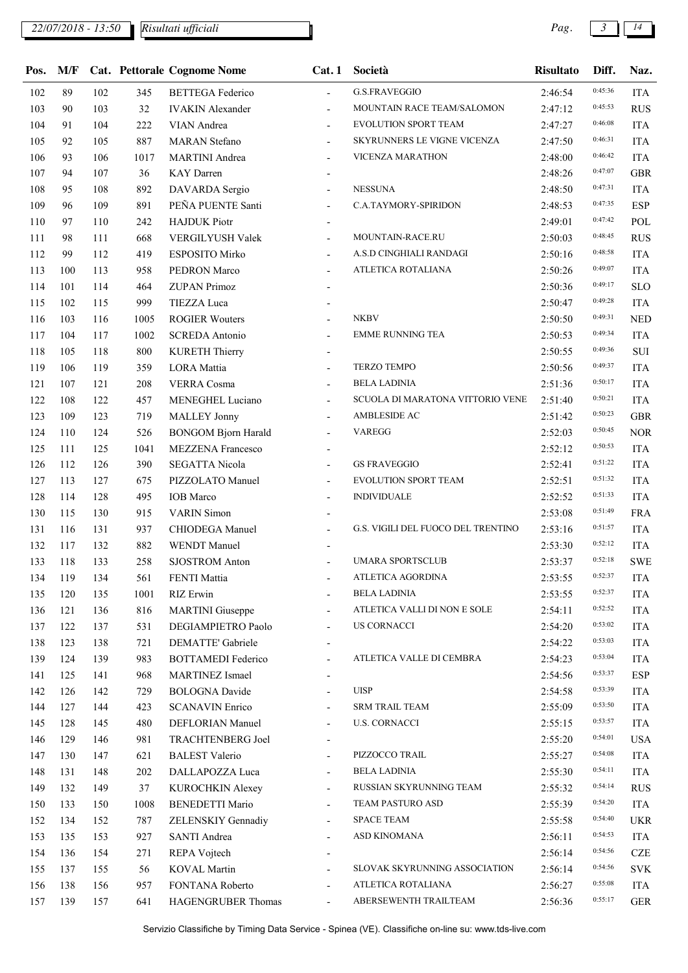## *22/07/2018 - 13:50 Pag. 3 14*

| Pos. | M/F |     |      | <b>Cat. Pettorale Cognome Nome</b> | Cat.1                        | Società                            | <b>Risultato</b> | Diff.   | Naz.       |
|------|-----|-----|------|------------------------------------|------------------------------|------------------------------------|------------------|---------|------------|
| 102  | 89  | 102 | 345  | <b>BETTEGA</b> Federico            | $\overline{a}$               | <b>G.S.FRAVEGGIO</b>               | 2:46:54          | 0:45:36 | <b>ITA</b> |
| 103  | 90  | 103 | 32   | <b>IVAKIN</b> Alexander            | $\overline{\phantom{0}}$     | MOUNTAIN RACE TEAM/SALOMON         | 2:47:12          | 0:45:53 | <b>RUS</b> |
| 104  | 91  | 104 | 222  | VIAN Andrea                        | $\overline{\phantom{0}}$     | <b>EVOLUTION SPORT TEAM</b>        | 2:47:27          | 0:46:08 | <b>ITA</b> |
| 105  | 92  | 105 | 887  | <b>MARAN</b> Stefano               |                              | SKYRUNNERS LE VIGNE VICENZA        | 2:47:50          | 0:46:31 | <b>ITA</b> |
| 106  | 93  | 106 | 1017 | <b>MARTINI</b> Andrea              | $\overline{\phantom{0}}$     | <b>VICENZA MARATHON</b>            | 2:48:00          | 0:46:42 | <b>ITA</b> |
| 107  | 94  | 107 | 36   | KAY Darren                         |                              |                                    | 2:48:26          | 0:47:07 | <b>GBR</b> |
| 108  | 95  | 108 | 892  | DAVARDA Sergio                     |                              | <b>NESSUNA</b>                     | 2:48:50          | 0:47:31 | <b>ITA</b> |
| 109  | 96  | 109 | 891  | PEÑA PUENTE Santi                  | $\overline{\phantom{0}}$     | C.A.TAYMORY-SPIRIDON               | 2:48:53          | 0:47:35 | <b>ESP</b> |
| 110  | 97  | 110 | 242  | <b>HAJDUK</b> Piotr                |                              |                                    | 2:49:01          | 0:47:42 | POL        |
| 111  | 98  | 111 | 668  | VERGILYUSH Valek                   |                              | MOUNTAIN-RACE.RU                   | 2:50:03          | 0:48:45 | <b>RUS</b> |
| 112  | 99  | 112 | 419  | ESPOSITO Mirko                     | $\overline{\phantom{0}}$     | A.S.D CINGHIALI RANDAGI            | 2:50:16          | 0:48:58 | <b>ITA</b> |
| 113  | 100 | 113 | 958  | PEDRON Marco                       | $\overline{a}$               | ATLETICA ROTALIANA                 | 2:50:26          | 0:49:07 | <b>ITA</b> |
| 114  | 101 | 114 | 464  | <b>ZUPAN Primoz</b>                |                              |                                    | 2:50:36          | 0:49:17 | <b>SLO</b> |
| 115  | 102 | 115 | 999  | <b>TIEZZA Luca</b>                 |                              |                                    | 2:50:47          | 0:49:28 | <b>ITA</b> |
| 116  | 103 | 116 | 1005 | <b>ROGIER Wouters</b>              |                              | <b>NKBV</b>                        | 2:50:50          | 0:49:31 | <b>NED</b> |
| 117  | 104 | 117 | 1002 | <b>SCREDA Antonio</b>              |                              | <b>EMME RUNNING TEA</b>            | 2:50:53          | 0:49:34 | <b>ITA</b> |
| 118  | 105 | 118 | 800  | <b>KURETH Thierry</b>              |                              |                                    | 2:50:55          | 0:49:36 | SUI        |
| 119  | 106 | 119 | 359  | <b>LORA</b> Mattia                 | $\overline{\phantom{0}}$     | <b>TERZO TEMPO</b>                 | 2:50:56          | 0:49:37 | <b>ITA</b> |
| 121  | 107 | 121 | 208  | VERRA Cosma                        |                              | <b>BELA LADINIA</b>                | 2:51:36          | 0:50:17 | <b>ITA</b> |
| 122  | 108 | 122 | 457  | MENEGHEL Luciano                   | $\overline{\phantom{0}}$     | SCUOLA DI MARATONA VITTORIO VENE   | 2:51:40          | 0:50:21 | <b>ITA</b> |
| 123  | 109 | 123 | 719  | <b>MALLEY Jonny</b>                |                              | AMBLESIDE AC                       | 2:51:42          | 0:50:23 | <b>GBR</b> |
| 124  | 110 | 124 | 526  | <b>BONGOM Bjorn Harald</b>         |                              | <b>VAREGG</b>                      | 2:52:03          | 0:50:45 | <b>NOR</b> |
| 125  | 111 | 125 | 1041 | <b>MEZZENA Francesco</b>           |                              |                                    | 2:52:12          | 0:50:53 | <b>ITA</b> |
| 126  | 112 | 126 | 390  | <b>SEGATTA Nicola</b>              | $\overline{\phantom{0}}$     | <b>GS FRAVEGGIO</b>                | 2:52:41          | 0:51:22 | <b>ITA</b> |
| 127  | 113 | 127 | 675  | PIZZOLATO Manuel                   | $\overline{\phantom{0}}$     | EVOLUTION SPORT TEAM               | 2:52:51          | 0:51:32 | <b>ITA</b> |
| 128  | 114 | 128 | 495  | <b>IOB</b> Marco                   | $\overline{\phantom{0}}$     | <b>INDIVIDUALE</b>                 | 2:52:52          | 0:51:33 | <b>ITA</b> |
| 130  | 115 | 130 | 915  | <b>VARIN</b> Simon                 |                              |                                    | 2:53:08          | 0:51:49 | <b>FRA</b> |
| 131  | 116 | 131 | 937  | CHIODEGA Manuel                    |                              | G.S. VIGILI DEL FUOCO DEL TRENTINO | 2:53:16          | 0:51:57 | <b>ITA</b> |
| 132  | 117 | 132 | 882  | <b>WENDT</b> Manuel                |                              |                                    | 2:53:30          | 0:52:12 | <b>ITA</b> |
| 133  | 118 | 133 | 258  | <b>SJOSTROM Anton</b>              |                              | <b>UMARA SPORTSCLUB</b>            | 2:53:37          | 0:52:18 | <b>SWE</b> |
| 134  | 119 | 134 | 561  | FENTI Mattia                       |                              | ATLETICA AGORDINA                  | 2:53:55          | 0:52:37 | <b>ITA</b> |
| 135  | 120 | 135 | 1001 | <b>RIZ</b> Erwin                   | $\overline{\phantom{0}}$     | <b>BELA LADINIA</b>                | 2:53:55          | 0:52:37 | <b>ITA</b> |
| 136  | 121 | 136 | 816  | <b>MARTINI</b> Giuseppe            |                              | ATLETICA VALLI DI NON E SOLE       | 2:54:11          | 0:52:52 | <b>ITA</b> |
| 137  | 122 | 137 | 531  | DEGIAMPIETRO Paolo                 |                              | <b>US CORNACCI</b>                 | 2:54:20          | 0:53:02 | <b>ITA</b> |
| 138  | 123 | 138 | 721  | DEMATTE' Gabriele                  | $\qquad \qquad \blacksquare$ |                                    | 2:54:22          | 0:53:03 | <b>ITA</b> |
| 139  | 124 | 139 | 983  | <b>BOTTAMEDI</b> Federico          | $\overline{\phantom{0}}$     | ATLETICA VALLE DI CEMBRA           | 2:54:23          | 0:53:04 | <b>ITA</b> |
| 141  | 125 | 141 | 968  | <b>MARTINEZ</b> Ismael             |                              |                                    | 2:54:56          | 0:53:37 | <b>ESP</b> |
| 142  | 126 | 142 | 729  | <b>BOLOGNA</b> Davide              | $\overline{\phantom{a}}$     | <b>UISP</b>                        | 2:54:58          | 0:53:39 | <b>ITA</b> |
| 144  | 127 | 144 | 423  | <b>SCANAVIN Enrico</b>             |                              | <b>SRM TRAIL TEAM</b>              | 2:55:09          | 0:53:50 | <b>ITA</b> |
| 145  | 128 | 145 | 480  | <b>DEFLORIAN Manuel</b>            | $\overline{\phantom{0}}$     | <b>U.S. CORNACCI</b>               | 2:55:15          | 0:53:57 | <b>ITA</b> |
| 146  | 129 | 146 | 981  | TRACHTENBERG Joel                  | $\overline{\phantom{a}}$     |                                    | 2:55:20          | 0:54:01 | <b>USA</b> |
| 147  | 130 | 147 | 621  | <b>BALEST Valerio</b>              | $\overline{\phantom{0}}$     | PIZZOCCO TRAIL                     | 2:55:27          | 0:54:08 | <b>ITA</b> |
| 148  | 131 | 148 | 202  | DALLAPOZZA Luca                    |                              | <b>BELA LADINIA</b>                | 2:55:30          | 0:54:11 | <b>ITA</b> |
| 149  | 132 | 149 | 37   | KUROCHKIN Alexey                   | $\overline{\phantom{0}}$     | RUSSIAN SKYRUNNING TEAM            | 2:55:32          | 0:54:14 | <b>RUS</b> |
| 150  | 133 | 150 | 1008 | <b>BENEDETTI Mario</b>             | $\overline{\phantom{0}}$     | TEAM PASTURO ASD                   | 2:55:39          | 0:54:20 | <b>ITA</b> |
| 152  | 134 | 152 | 787  | ZELENSKIY Gennadiy                 | $\overline{\phantom{0}}$     | SPACE TEAM                         | 2:55:58          | 0:54:40 | <b>UKR</b> |
| 153  | 135 | 153 | 927  | <b>SANTI Andrea</b>                | $\overline{\phantom{0}}$     | ASD KINOMANA                       | 2:56:11          | 0:54:53 | <b>ITA</b> |
| 154  | 136 | 154 | 271  | REPA Vojtech                       |                              |                                    | 2:56:14          | 0:54:56 | <b>CZE</b> |
| 155  | 137 | 155 | 56   | KOVAL Martin                       |                              | SLOVAK SKYRUNNING ASSOCIATION      | 2:56:14          | 0:54:56 | <b>SVK</b> |
| 156  | 138 | 156 | 957  | FONTANA Roberto                    | $\overline{\phantom{0}}$     | ATLETICA ROTALIANA                 | 2:56:27          | 0:55:08 | <b>ITA</b> |
| 157  | 139 | 157 | 641  | HAGENGRUBER Thomas                 | $\blacksquare$               | ABERSEWENTH TRAILTEAM              | 2:56:36          | 0:55:17 | <b>GER</b> |
|      |     |     |      |                                    |                              |                                    |                  |         |            |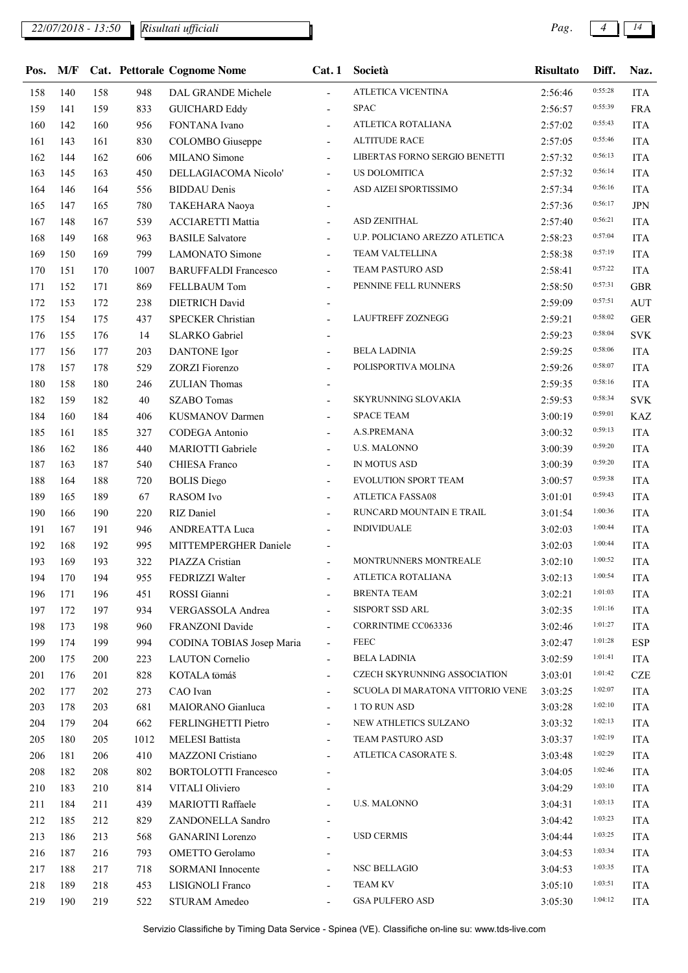## *22/07/2018 - 13:50 Pag. 4 14*

*Risultati ufficiali*

| Pos. | M/F |     |      | <b>Cat. Pettorale Cognome Nome</b> | Cat.1                    | Società                          | <b>Risultato</b> | Diff.   | Naz.       |
|------|-----|-----|------|------------------------------------|--------------------------|----------------------------------|------------------|---------|------------|
| 158  | 140 | 158 | 948  | DAL GRANDE Michele                 | $\overline{\phantom{a}}$ | ATLETICA VICENTINA               | 2:56:46          | 0:55:28 | <b>ITA</b> |
| 159  | 141 | 159 | 833  | <b>GUICHARD Eddy</b>               | $\overline{\phantom{a}}$ | <b>SPAC</b>                      | 2:56:57          | 0:55:39 | <b>FRA</b> |
| 160  | 142 | 160 | 956  | FONTANA Ivano                      | $\overline{a}$           | ATLETICA ROTALIANA               | 2:57:02          | 0:55:43 | <b>ITA</b> |
| 161  | 143 | 161 | 830  | COLOMBO Giuseppe                   | $\overline{\phantom{a}}$ | <b>ALTITUDE RACE</b>             | 2:57:05          | 0:55:46 | <b>ITA</b> |
| 162  | 144 | 162 | 606  | MILANO Simone                      |                          | LIBERTAS FORNO SERGIO BENETTI    | 2:57:32          | 0:56:13 | <b>ITA</b> |
| 163  | 145 | 163 | 450  | DELLAGIACOMA Nicolo'               | $\overline{\phantom{a}}$ | US DOLOMITICA                    | 2:57:32          | 0:56:14 | <b>ITA</b> |
| 164  | 146 | 164 | 556  | <b>BIDDAU</b> Denis                | $\overline{\phantom{a}}$ | ASD AIZEI SPORTISSIMO            | 2:57:34          | 0:56:16 | <b>ITA</b> |
| 165  | 147 | 165 | 780  | TAKEHARA Naoya                     |                          |                                  | 2:57:36          | 0:56:17 | <b>JPN</b> |
| 167  | 148 | 167 | 539  | <b>ACCIARETTI Mattia</b>           | $\overline{\phantom{0}}$ | ASD ZENITHAL                     | 2:57:40          | 0:56:21 | <b>ITA</b> |
| 168  | 149 | 168 | 963  | <b>BASILE Salvatore</b>            | $\overline{\phantom{a}}$ | U.P. POLICIANO AREZZO ATLETICA   | 2:58:23          | 0:57:04 | <b>ITA</b> |
| 169  | 150 | 169 | 799  | <b>LAMONATO</b> Simone             | $\overline{\phantom{a}}$ | TEAM VALTELLINA                  | 2:58:38          | 0:57:19 | <b>ITA</b> |
| 170  | 151 | 170 | 1007 | <b>BARUFFALDI Francesco</b>        | $\overline{\phantom{a}}$ | TEAM PASTURO ASD                 | 2:58:41          | 0:57:22 | <b>ITA</b> |
| 171  | 152 | 171 | 869  | FELLBAUM Tom                       | $\overline{\phantom{a}}$ | PENNINE FELL RUNNERS             | 2:58:50          | 0:57:31 | <b>GBR</b> |
| 172  | 153 | 172 | 238  | <b>DIETRICH David</b>              |                          |                                  | 2:59:09          | 0:57:51 | <b>AUT</b> |
| 175  | 154 | 175 | 437  | <b>SPECKER Christian</b>           | $\overline{\phantom{0}}$ | LAUFTREFF ZOZNEGG                | 2:59:21          | 0:58:02 | <b>GER</b> |
| 176  | 155 | 176 | 14   | <b>SLARKO</b> Gabriel              | $\blacksquare$           |                                  | 2:59:23          | 0:58:04 | <b>SVK</b> |
| 177  | 156 | 177 | 203  | <b>DANTONE</b> Igor                | ÷,                       | <b>BELA LADINIA</b>              | 2:59:25          | 0:58:06 | <b>ITA</b> |
| 178  | 157 | 178 | 529  | ZORZI Fiorenzo                     |                          | POLISPORTIVA MOLINA              | 2:59:26          | 0:58:07 | <b>ITA</b> |
| 180  | 158 | 180 | 246  | <b>ZULIAN Thomas</b>               | $\overline{\phantom{a}}$ |                                  | 2:59:35          | 0:58:16 | <b>ITA</b> |
| 182  | 159 | 182 | 40   | <b>SZABO</b> Tomas                 | $\overline{\phantom{a}}$ | SKYRUNNING SLOVAKIA              | 2:59:53          | 0:58:34 | <b>SVK</b> |
| 184  | 160 | 184 | 406  | KUSMANOV Darmen                    | $\overline{\phantom{a}}$ | <b>SPACE TEAM</b>                | 3:00:19          | 0:59:01 | <b>KAZ</b> |
| 185  | 161 | 185 | 327  | CODEGA Antonio                     | $\overline{\phantom{a}}$ | A.S.PREMANA                      | 3:00:32          | 0:59:13 | <b>ITA</b> |
| 186  | 162 | 186 | 440  | MARIOTTI Gabriele                  | $\overline{\phantom{a}}$ | <b>U.S. MALONNO</b>              | 3:00:39          | 0:59:20 | <b>ITA</b> |
| 187  | 163 | 187 | 540  | CHIESA Franco                      | $\blacksquare$           | IN MOTUS ASD                     | 3:00:39          | 0:59:20 | <b>ITA</b> |
| 188  | 164 | 188 | 720  | <b>BOLIS</b> Diego                 | $\overline{\phantom{a}}$ | EVOLUTION SPORT TEAM             | 3:00:57          | 0:59:38 | <b>ITA</b> |
| 189  | 165 | 189 | 67   | <b>RASOM</b> Ivo                   | $\overline{\phantom{a}}$ | ATLETICA FASSA08                 | 3:01:01          | 0:59:43 | <b>ITA</b> |
| 190  | 166 | 190 | 220  | RIZ Daniel                         |                          | RUNCARD MOUNTAIN E TRAIL         | 3:01:54          | 1:00:36 | <b>ITA</b> |
| 191  | 167 | 191 | 946  | ANDREATTA Luca                     |                          | <b>INDIVIDUALE</b>               | 3:02:03          | 1:00:44 | <b>ITA</b> |
| 192  | 168 | 192 | 995  | MITTEMPERGHER Daniele              |                          |                                  | 3:02:03          | 1:00:44 | <b>ITA</b> |
| 193  | 169 | 193 | 322  | PIAZZA Cristian                    | $\overline{a}$           | MONTRUNNERS MONTREALE            | 3:02:10          | 1:00:52 | <b>ITA</b> |
| 194  | 170 | 194 | 955  | FEDRIZZI Walter                    |                          | ATLETICA ROTALIANA               | 3:02:13          | 1:00:54 | <b>ITA</b> |
| 196  | 171 | 196 | 451  | ROSSI Gianni                       |                          | <b>BRENTA TEAM</b>               | 3:02:21          | 1:01:03 | <b>ITA</b> |
| 197  | 172 | 197 | 934  | VERGASSOLA Andrea                  |                          | SISPORT SSD ARL                  | 3:02:35          | 1:01:16 | <b>ITA</b> |
| 198  | 173 | 198 | 960  | FRANZONI Davide                    | $\overline{\phantom{a}}$ | <b>CORRINTIME CC063336</b>       | 3:02:46          | 1:01:27 | <b>ITA</b> |
| 199  | 174 | 199 | 994  | CODINA TOBIAS Josep Maria          | $\overline{\phantom{a}}$ | <b>FEEC</b>                      | 3:02:47          | 1:01:28 | <b>ESP</b> |
| 200  | 175 | 200 | 223  | <b>LAUTON</b> Cornelio             | $\overline{\phantom{a}}$ | <b>BELA LADINIA</b>              | 3:02:59          | 1:01:41 | <b>ITA</b> |
| 201  | 176 | 201 | 828  | KOTALA tōmáš                       | $\overline{\phantom{a}}$ | CZECH SKYRUNNING ASSOCIATION     | 3:03:01          | 1:01:42 | <b>CZE</b> |
| 202  | 177 | 202 | 273  | CAO Ivan                           | $\overline{\phantom{0}}$ | SCUOLA DI MARATONA VITTORIO VENE | 3:03:25          | 1:02:07 | <b>ITA</b> |
| 203  | 178 | 203 | 681  | MAIORANO Gianluca                  | $\overline{\phantom{a}}$ | 1 TO RUN ASD                     | 3:03:28          | 1:02:10 | <b>ITA</b> |
| 204  | 179 | 204 | 662  | FERLINGHETTI Pietro                | $\overline{\phantom{a}}$ | NEW ATHLETICS SULZANO            | 3:03:32          | 1:02:13 | <b>ITA</b> |
| 205  | 180 | 205 | 1012 | <b>MELESI Battista</b>             | $\overline{\phantom{a}}$ | TEAM PASTURO ASD                 | 3:03:37          | 1:02:19 | <b>ITA</b> |
| 206  | 181 | 206 | 410  | MAZZONI Cristiano                  | $\overline{\phantom{0}}$ | ATLETICA CASORATE S.             | 3:03:48          | 1:02:29 | <b>ITA</b> |
| 208  | 182 | 208 | 802  | <b>BORTOLOTTI Francesco</b>        |                          |                                  | 3:04:05          | 1:02:46 | <b>ITA</b> |
| 210  | 183 | 210 | 814  | VITALI Oliviero                    |                          |                                  | 3:04:29          | 1:03:10 | <b>ITA</b> |
| 211  | 184 | 211 | 439  | MARIOTTI Raffaele                  |                          | <b>U.S. MALONNO</b>              | 3:04:31          | 1:03:13 | <b>ITA</b> |
| 212  | 185 | 212 | 829  | ZANDONELLA Sandro                  | $\overline{\phantom{a}}$ |                                  | 3:04:42          | 1:03:23 | <b>ITA</b> |
| 213  | 186 | 213 | 568  | <b>GANARINI</b> Lorenzo            | $\overline{\phantom{a}}$ | <b>USD CERMIS</b>                | 3:04:44          | 1:03:25 | <b>ITA</b> |
| 216  | 187 | 216 | 793  | <b>OMETTO</b> Gerolamo             |                          |                                  | 3:04:53          | 1:03:34 | <b>ITA</b> |
| 217  | 188 | 217 | 718  | <b>SORMANI</b> Innocente           | $\overline{\phantom{a}}$ | <b>NSC BELLAGIO</b>              | 3:04:53          | 1:03:35 | <b>ITA</b> |
| 218  | 189 | 218 | 453  | LISIGNOLI Franco                   |                          | <b>TEAM KV</b>                   | 3:05:10          | 1:03:51 | <b>ITA</b> |
| 219  | 190 | 219 | 522  | <b>STURAM Amedeo</b>               |                          | <b>GSA PULFERO ASD</b>           | 3:05:30          | 1:04:12 | <b>ITA</b> |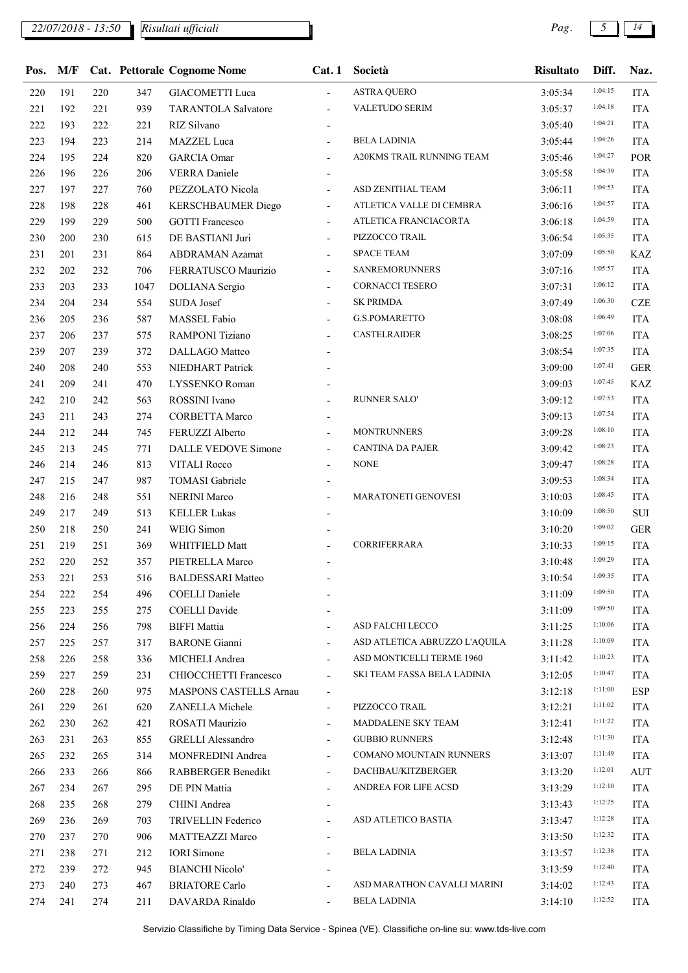## *22/07/2018 - 13:50 Pag. 5 14*

| Pos. | M/F |     |      | <b>Cat. Pettorale Cognome Nome</b> | Cat.1                    | Società                       | <b>Risultato</b> | Diff.   | Naz.       |
|------|-----|-----|------|------------------------------------|--------------------------|-------------------------------|------------------|---------|------------|
| 220  | 191 | 220 | 347  | <b>GIACOMETTI Luca</b>             | $\blacksquare$           | <b>ASTRA QUERO</b>            | 3:05:34          | 1:04:15 | <b>ITA</b> |
| 221  | 192 | 221 | 939  | <b>TARANTOLA Salvatore</b>         |                          | VALETUDO SERIM                | 3:05:37          | 1:04:18 | <b>ITA</b> |
| 222  | 193 | 222 | 221  | RIZ Silvano                        | $\overline{\phantom{a}}$ |                               | 3:05:40          | 1:04:21 | <b>ITA</b> |
| 223  | 194 | 223 | 214  | MAZZEL Luca                        |                          | <b>BELA LADINIA</b>           | 3:05:44          | 1:04:26 | <b>ITA</b> |
| 224  | 195 | 224 | 820  | <b>GARCIA</b> Omar                 |                          | A20KMS TRAIL RUNNING TEAM     | 3:05:46          | 1:04:27 | POR        |
| 226  | 196 | 226 | 206  | <b>VERRA</b> Daniele               |                          |                               | 3:05:58          | 1:04:39 | <b>ITA</b> |
| 227  | 197 | 227 | 760  | PEZZOLATO Nicola                   | $\overline{\phantom{a}}$ | ASD ZENITHAL TEAM             | 3:06:11          | 1:04:53 | <b>ITA</b> |
| 228  | 198 | 228 | 461  | KERSCHBAUMER Diego                 | $\overline{\phantom{a}}$ | ATLETICA VALLE DI CEMBRA      | 3:06:16          | 1:04:57 | <b>ITA</b> |
| 229  | 199 | 229 | 500  | <b>GOTTI Francesco</b>             | $\overline{\phantom{0}}$ | ATLETICA FRANCIACORTA         | 3:06:18          | 1:04:59 | <b>ITA</b> |
| 230  | 200 | 230 | 615  | DE BASTIANI Juri                   | $\overline{\phantom{0}}$ | PIZZOCCO TRAIL                | 3:06:54          | 1:05:35 | <b>ITA</b> |
| 231  | 201 | 231 | 864  | <b>ABDRAMAN Azamat</b>             | $\overline{\phantom{0}}$ | <b>SPACE TEAM</b>             | 3:07:09          | 1:05:50 | <b>KAZ</b> |
| 232  | 202 | 232 | 706  | FERRATUSCO Maurizio                | $\overline{\phantom{a}}$ | <b>SANREMORUNNERS</b>         | 3:07:16          | 1:05:57 | <b>ITA</b> |
| 233  | 203 | 233 | 1047 | DOLIANA Sergio                     | $\overline{\phantom{0}}$ | <b>CORNACCI TESERO</b>        | 3:07:31          | 1:06:12 | <b>ITA</b> |
| 234  | 204 | 234 | 554  | SUDA Josef                         |                          | <b>SK PRIMDA</b>              | 3:07:49          | 1:06:30 | <b>CZE</b> |
| 236  | 205 | 236 | 587  | MASSEL Fabio                       | $\overline{\phantom{a}}$ | G.S.POMARETTO                 | 3:08:08          | 1:06:49 | <b>ITA</b> |
| 237  | 206 | 237 | 575  | RAMPONI Tiziano                    | $\overline{\phantom{0}}$ | <b>CASTELRAIDER</b>           | 3:08:25          | 1:07:06 | <b>ITA</b> |
| 239  | 207 | 239 | 372  | DALLAGO Matteo                     |                          |                               | 3:08:54          | 1:07:35 | <b>ITA</b> |
| 240  | 208 | 240 | 553  | NIEDHART Patrick                   |                          |                               | 3:09:00          | 1:07:41 | <b>GER</b> |
| 241  | 209 | 241 | 470  | LYSSENKO Roman                     |                          |                               | 3:09:03          | 1:07:45 | <b>KAZ</b> |
| 242  | 210 | 242 | 563  | ROSSINI Ivano                      |                          | <b>RUNNER SALO'</b>           | 3:09:12          | 1:07:53 | <b>ITA</b> |
| 243  | 211 | 243 | 274  | <b>CORBETTA Marco</b>              |                          |                               | 3:09:13          | 1:07:54 | <b>ITA</b> |
| 244  | 212 | 244 | 745  | FERUZZI Alberto                    |                          | <b>MONTRUNNERS</b>            | 3:09:28          | 1:08:10 | <b>ITA</b> |
| 245  | 213 | 245 | 771  | DALLE VEDOVE Simone                | $\overline{\phantom{a}}$ | <b>CANTINA DA PAJER</b>       | 3:09:42          | 1:08:23 | <b>ITA</b> |
| 246  | 214 | 246 | 813  | <b>VITALI Rocco</b>                | $\overline{\phantom{0}}$ | <b>NONE</b>                   | 3:09:47          | 1:08:28 | <b>ITA</b> |
| 247  | 215 | 247 | 987  | <b>TOMASI</b> Gabriele             |                          |                               | 3:09:53          | 1:08:34 | <b>ITA</b> |
| 248  | 216 | 248 | 551  | <b>NERINI Marco</b>                |                          | MARATONETI GENOVESI           | 3:10:03          | 1:08:45 | <b>ITA</b> |
| 249  | 217 | 249 | 513  | <b>KELLER Lukas</b>                |                          |                               | 3:10:09          | 1:08:50 | $\rm SUI$  |
| 250  | 218 | 250 | 241  | WEIG Simon                         |                          |                               | 3:10:20          | 1:09:02 | <b>GER</b> |
| 251  | 219 | 251 | 369  | WHITFIELD Matt                     |                          | <b>CORRIFERRARA</b>           | 3:10:33          | 1:09:15 | <b>ITA</b> |
| 252  | 220 | 252 | 357  | PIETRELLA Marco                    |                          |                               | 3:10:48          | 1:09:29 | <b>ITA</b> |
| 253  | 221 | 253 | 516  | <b>BALDESSARI Matteo</b>           |                          |                               | 3:10:54          | 1:09:35 | <b>ITA</b> |
| 254  | 222 | 254 | 496  | <b>COELLI Daniele</b>              |                          |                               | 3:11:09          | 1:09:50 | <b>ITA</b> |
| 255  | 223 | 255 | 275  | <b>COELLI</b> Davide               |                          |                               | 3:11:09          | 1:09:50 | <b>ITA</b> |
| 256  | 224 | 256 | 798  | <b>BIFFI</b> Mattia                | $\overline{\phantom{0}}$ | ASD FALCHI LECCO              | 3:11:25          | 1:10:06 | <b>ITA</b> |
| 257  | 225 | 257 | 317  | <b>BARONE</b> Gianni               |                          | ASD ATLETICA ABRUZZO L'AQUILA | 3:11:28          | 1:10:09 | <b>ITA</b> |
| 258  | 226 | 258 | 336  | MICHELI Andrea                     | $\overline{\phantom{a}}$ | ASD MONTICELLI TERME 1960     | 3:11:42          | 1:10:23 | <b>ITA</b> |
| 259  | 227 | 259 | 231  | CHIOCCHETTI Francesco              | $\overline{\phantom{a}}$ | SKI TEAM FASSA BELA LADINIA   | 3:12:05          | 1:10:47 | <b>ITA</b> |
| 260  | 228 | 260 | 975  | MASPONS CASTELLS Arnau             |                          |                               | 3:12:18          | 1:11:00 | ESP        |
| 261  | 229 | 261 | 620  | ZANELLA Michele                    | $\overline{\phantom{a}}$ | PIZZOCCO TRAIL                | 3:12:21          | 1:11:02 | <b>ITA</b> |
| 262  | 230 | 262 | 421  | ROSATI Maurizio                    | $\overline{\phantom{0}}$ | MADDALENE SKY TEAM            | 3:12:41          | 1:11:22 | <b>ITA</b> |
| 263  | 231 | 263 | 855  | <b>GRELLI Alessandro</b>           |                          | <b>GUBBIO RUNNERS</b>         | 3:12:48          | 1:11:30 | <b>ITA</b> |
| 265  | 232 | 265 | 314  | MONFREDINI Andrea                  | $\overline{\phantom{0}}$ | COMANO MOUNTAIN RUNNERS       | 3:13:07          | 1:11:49 | <b>ITA</b> |
| 266  | 233 | 266 | 866  | RABBERGER Benedikt                 | $\overline{\phantom{a}}$ | DACHBAU/KITZBERGER            | 3:13:20          | 1:12:01 | <b>AUT</b> |
| 267  | 234 | 267 | 295  | DE PIN Mattia                      |                          | ANDREA FOR LIFE ACSD          | 3:13:29          | 1:12:10 | <b>ITA</b> |
| 268  | 235 | 268 | 279  | CHINI Andrea                       |                          |                               | 3:13:43          | 1:12:25 | <b>ITA</b> |
| 269  | 236 | 269 | 703  | TRIVELLIN Federico                 | $\overline{\phantom{a}}$ | ASD ATLETICO BASTIA           | 3:13:47          | 1:12:28 | <b>ITA</b> |
| 270  | 237 | 270 | 906  | <b>MATTEAZZI Marco</b>             |                          |                               | 3:13:50          | 1:12:32 | <b>ITA</b> |
| 271  | 238 | 271 | 212  | <b>IORI</b> Simone                 |                          | <b>BELA LADINIA</b>           | 3:13:57          | 1:12:38 | <b>ITA</b> |
| 272  | 239 | 272 | 945  | <b>BIANCHI Nicolo'</b>             |                          |                               | 3:13:59          | 1:12:40 | <b>ITA</b> |
| 273  | 240 | 273 | 467  | <b>BRIATORE Carlo</b>              |                          | ASD MARATHON CAVALLI MARINI   | 3:14:02          | 1:12:43 | <b>ITA</b> |
| 274  | 241 | 274 | 211  | DAVARDA Rinaldo                    | $\overline{\phantom{0}}$ | <b>BELA LADINIA</b>           | 3:14:10          | 1:12:52 | <b>ITA</b> |
|      |     |     |      |                                    |                          |                               |                  |         |            |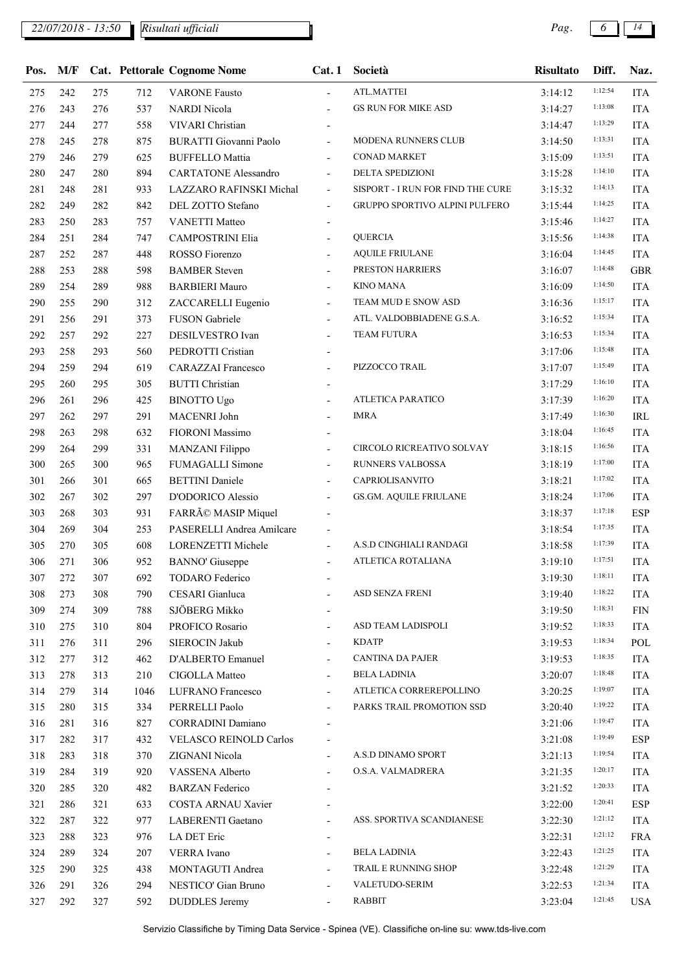## *22/07/2018 - 13:50 Pag. 6 14*

*Risultati ufficiali*

| 1:12:54<br><b>ATL.MATTEI</b><br>242<br>275<br>712<br><b>ITA</b><br>275<br><b>VARONE Fausto</b><br>3:14:12<br>$\overline{\phantom{a}}$<br>1:13:08<br><b>GS RUN FOR MIKE ASD</b><br>276<br>537<br><b>NARDI Nicola</b><br><b>ITA</b><br>276<br>243<br>3:14:27<br>$\overline{\phantom{a}}$<br>1:13:29<br>558<br><b>VIVARI</b> Christian<br><b>ITA</b><br>277<br>244<br>277<br>3:14:47<br>$\overline{\phantom{a}}$<br>1:13:31<br>MODENA RUNNERS CLUB<br>875<br><b>BURATTI Giovanni Paolo</b><br><b>ITA</b><br>278<br>245<br>278<br>3:14:50<br>$\overline{\phantom{a}}$<br>1:13:51<br><b>CONAD MARKET</b><br>279<br><b>ITA</b><br>246<br>279<br>625<br><b>BUFFELLO Mattia</b><br>3:15:09<br>$\overline{a}$<br>1:14:10<br>DELTA SPEDIZIONI<br>280<br>280<br>894<br><b>CARTATONE Alessandro</b><br><b>ITA</b><br>247<br>3:15:28<br>$\overline{\phantom{a}}$<br>1:14:13<br>SISPORT - I RUN FOR FIND THE CURE<br>281<br>281<br>LAZZARO RAFINSKI Michal<br><b>ITA</b><br>248<br>933<br>3:15:32<br>$\overline{\phantom{a}}$<br>1:14:25<br>GRUPPO SPORTIVO ALPINI PULFERO<br>282<br>282<br>842<br>DEL ZOTTO Stefano<br><b>ITA</b><br>249<br>3:15:44<br>$\overline{\phantom{a}}$<br>1:14:27<br>283<br>283<br>757<br><b>VANETTI Matteo</b><br><b>ITA</b><br>250<br>3:15:46<br>$\overline{\phantom{a}}$<br>1:14:38<br><b>QUERCIA</b><br>284<br>284<br>747<br>CAMPOSTRINI Elia<br><b>ITA</b><br>251<br>3:15:56<br>$\overline{\phantom{a}}$<br>1:14:45<br><b>AQUILE FRIULANE</b><br>287<br>287<br>ROSSO Fiorenzo<br><b>ITA</b><br>252<br>448<br>3:16:04<br>$\overline{\phantom{a}}$<br>1:14:48<br>288<br>253<br>288<br>598<br><b>BAMBER Steven</b><br>PRESTON HARRIERS<br><b>GBR</b><br>3:16:07<br><b>KINO MANA</b><br>1:14:50<br>289<br>289<br>988<br><b>BARBIERI Mauro</b><br><b>ITA</b><br>254<br>3:16:09<br>$\overline{\phantom{a}}$<br>1:15:17<br>TEAM MUD E SNOW ASD<br>290<br>290<br>312<br><b>ITA</b><br>255<br>ZACCARELLI Eugenio<br>3:16:36<br>$\overline{\phantom{a}}$<br>1:15:34<br>FUSON Gabriele<br>ATL. VALDOBBIADENE G.S.A.<br>291<br>291<br>373<br><b>ITA</b><br>256<br>3:16:52<br>1:15:34<br>DESILVESTRO Ivan<br>TEAM FUTURA<br><b>ITA</b><br>292<br>257<br>292<br>227<br>3:16:53<br>$\overline{\phantom{a}}$<br>1:15:48<br><b>ITA</b><br>293<br>258<br>293<br>560<br>PEDROTTI Cristian<br>3:17:06<br>$\blacksquare$<br>1:15:49<br>PIZZOCCO TRAIL<br>294<br>259<br>294<br>619<br><b>ITA</b><br><b>CARAZZAI Francesco</b><br>3:17:07<br>$\overline{\phantom{a}}$<br>1:16:10<br>305<br><b>BUTTI Christian</b><br><b>ITA</b><br>295<br>260<br>295<br>3:17:29<br>1:16:20<br>ATLETICA PARATICO<br>296<br>296<br><b>BINOTTO Ugo</b><br><b>ITA</b><br>261<br>425<br>3:17:39<br>$\overline{\phantom{a}}$<br>1:16:30<br>MACENRI John<br><b>IMRA</b><br>297<br>297<br>291<br>IRL<br>262<br>3:17:49<br>1:16:45<br>FIORONI Massimo<br><b>ITA</b><br>298<br>263<br>298<br>632<br>3:18:04<br>1:16:56<br>CIRCOLO RICREATIVO SOLVAY<br>299<br>299<br>331<br><b>MANZANI Filippo</b><br><b>ITA</b><br>264<br>3:18:15<br>$\overline{\phantom{a}}$<br>1:17:00<br>RUNNERS VALBOSSA<br>300<br>300<br><b>FUMAGALLI Simone</b><br><b>ITA</b><br>265<br>965<br>3:18:19<br>$\overline{\phantom{a}}$<br>1:17:02<br>CAPRIOLISANVITO<br>301<br>301<br>665<br><b>BETTINI</b> Daniele<br><b>ITA</b><br>266<br>3:18:21<br>$\overline{\phantom{a}}$<br>1:17:06<br>302<br>302<br>297<br>D'ODORICO Alessio<br>GS.GM. AQUILE FRIULANE<br>267<br>3:18:24<br><b>ITA</b><br>$\overline{\phantom{a}}$<br>1:17:18<br>FARRÃO MASIP Miquel<br>303<br>303<br>931<br><b>ESP</b><br>268<br>3:18:37<br>1:17:35<br>304<br>253<br>PASERELLI Andrea Amilcare<br><b>ITA</b><br>304<br>269<br>3:18:54<br>1:17:39<br>A.S.D CINGHIALI RANDAGI<br>608<br>305<br>270<br>305<br>LORENZETTI Michele<br>3:18:58<br><b>ITA</b><br>$\overline{\phantom{a}}$<br>1:17:51<br>ATLETICA ROTALIANA<br>306<br>271<br>306<br>952<br><b>BANNO'</b> Giuseppe<br><b>ITA</b><br>3:19:10<br>1:18:11<br>272<br>307<br>692<br><b>ITA</b><br>307<br>3:19:30<br><b>TODARO</b> Federico<br>1:18:22<br>ASD SENZA FRENI<br>790<br>CESARI Gianluca<br>308<br>273<br>308<br>3:19:40<br><b>ITA</b><br>$\overline{\phantom{a}}$<br>1:18:31<br>SJÖBERG Mikko<br>309<br>274<br>309<br>788<br>3:19:50<br><b>FIN</b><br>1:18:33<br>ASD TEAM LADISPOLI<br>310<br>310<br>804<br>PROFICO Rosario<br>3:19:52<br><b>ITA</b><br>275<br>$\overline{\phantom{a}}$<br>1:18:34<br>SIEROCIN Jakub<br><b>KDATP</b><br>311<br>276<br>311<br>296<br>POL<br>3:19:53<br>$\blacksquare$<br>1:18:35<br>CANTINA DA PAJER<br>D'ALBERTO Emanuel<br>312<br>277<br>312<br>462<br>3:19:53<br><b>ITA</b><br>1:18:48<br><b>BELA LADINIA</b><br>313<br>313<br>210<br><b>CIGOLLA Matteo</b><br>3:20:07<br><b>ITA</b><br>278<br>$\overline{\phantom{a}}$<br>1:19:07<br>ATLETICA CORREREPOLLINO<br>314<br>279<br>314<br>1046<br>LUFRANO Francesco<br><b>ITA</b><br>3:20:25<br>$\overline{\phantom{a}}$<br>1:19:22<br>PARKS TRAIL PROMOTION SSD<br>PERRELLI Paolo<br>315<br>280<br>315<br>334<br><b>ITA</b><br>3:20:40<br>1:19:47<br>316<br>281<br>316<br>827<br><b>CORRADINI Damiano</b><br><b>ITA</b><br>3:21:06<br>1:19:49<br><b>ESP</b><br>317<br>282<br>317<br>432<br><b>VELASCO REINOLD Carlos</b><br>3:21:08<br>1:19:54<br>A.S.D DINAMO SPORT<br>ZIGNANI Nicola<br>318<br>283<br>318<br>370<br><b>ITA</b><br>3:21:13<br>1:20:17<br>O.S.A. VALMADRERA<br>319<br>319<br>VASSENA Alberto<br><b>ITA</b><br>284<br>920<br>3:21:35<br>$\overline{\phantom{a}}$<br>1:20:33<br>320<br>285<br>320<br>482<br><b>BARZAN</b> Federico<br><b>ITA</b><br>3:21:52<br>1:20:41<br><b>ESP</b><br>321<br>286<br>321<br>633<br>COSTA ARNAU Xavier<br>3:22:00<br>1:21:12<br>322<br>977<br>LABERENTI Gaetano<br>ASS. SPORTIVA SCANDIANESE<br><b>ITA</b><br>287<br>322<br>3:22:30<br>$\overline{\phantom{a}}$<br>1:21:12<br>323<br>288<br>323<br>976<br>LA DET Eric<br><b>FRA</b><br>3:22:31<br>$\overline{\phantom{a}}$<br>1:21:25<br><b>BELA LADINIA</b><br>289<br>324<br>207<br><b>VERRA</b> Ivano<br>324<br>3:22:43<br><b>ITA</b><br>1:21:29<br>TRAIL E RUNNING SHOP<br>325<br>290<br>325<br>438<br>MONTAGUTI Andrea<br>3:22:48<br><b>ITA</b><br>$\overline{\phantom{a}}$<br>1:21:34<br><b>VALETUDO-SERIM</b><br>326<br>291<br>326<br>294<br>NESTICO' Gian Bruno<br><b>ITA</b><br>3:22:53<br>$\overline{\phantom{a}}$<br>1:21:45<br><b>RABBIT</b><br><b>DUDDLES</b> Jeremy<br>327<br>292<br>327<br>592<br><b>USA</b><br>3:23:04<br>$\overline{\phantom{a}}$ | Pos. | M/F |  | <b>Cat. Pettorale Cognome Nome</b> | Cat.1 | Società | <b>Risultato</b> | Diff. | Naz. |
|-------------------------------------------------------------------------------------------------------------------------------------------------------------------------------------------------------------------------------------------------------------------------------------------------------------------------------------------------------------------------------------------------------------------------------------------------------------------------------------------------------------------------------------------------------------------------------------------------------------------------------------------------------------------------------------------------------------------------------------------------------------------------------------------------------------------------------------------------------------------------------------------------------------------------------------------------------------------------------------------------------------------------------------------------------------------------------------------------------------------------------------------------------------------------------------------------------------------------------------------------------------------------------------------------------------------------------------------------------------------------------------------------------------------------------------------------------------------------------------------------------------------------------------------------------------------------------------------------------------------------------------------------------------------------------------------------------------------------------------------------------------------------------------------------------------------------------------------------------------------------------------------------------------------------------------------------------------------------------------------------------------------------------------------------------------------------------------------------------------------------------------------------------------------------------------------------------------------------------------------------------------------------------------------------------------------------------------------------------------------------------------------------------------------------------------------------------------------------------------------------------------------------------------------------------------------------------------------------------------------------------------------------------------------------------------------------------------------------------------------------------------------------------------------------------------------------------------------------------------------------------------------------------------------------------------------------------------------------------------------------------------------------------------------------------------------------------------------------------------------------------------------------------------------------------------------------------------------------------------------------------------------------------------------------------------------------------------------------------------------------------------------------------------------------------------------------------------------------------------------------------------------------------------------------------------------------------------------------------------------------------------------------------------------------------------------------------------------------------------------------------------------------------------------------------------------------------------------------------------------------------------------------------------------------------------------------------------------------------------------------------------------------------------------------------------------------------------------------------------------------------------------------------------------------------------------------------------------------------------------------------------------------------------------------------------------------------------------------------------------------------------------------------------------------------------------------------------------------------------------------------------------------------------------------------------------------------------------------------------------------------------------------------------------------------------------------------------------------------------------------------------------------------------------------------------------------------------------------------------------------------------------------------------------------------------------------------------------------------------------------------------------------------------------------------------------------------------------------------------------------------------------------------------------------------------------------------------------------------------------------------------------------------------------------------------------------------------------------------------------------------------------------------------------------------------------------------------------------------------------------------------------------------------------------------------------------------------------------------------------------------------------------------------------------------------------------------------------------------------------------------------------------------------------------------------------------------------------------------------------------------------------------------------------------------------------------------------------------------------------------------------------------------------------------------------------------------------------------------------------------------------------------------------------------------------------------------------------------------------------------------------------------------------------------------------------------------------------------------------------------------------------------------------------------|------|-----|--|------------------------------------|-------|---------|------------------|-------|------|
|                                                                                                                                                                                                                                                                                                                                                                                                                                                                                                                                                                                                                                                                                                                                                                                                                                                                                                                                                                                                                                                                                                                                                                                                                                                                                                                                                                                                                                                                                                                                                                                                                                                                                                                                                                                                                                                                                                                                                                                                                                                                                                                                                                                                                                                                                                                                                                                                                                                                                                                                                                                                                                                                                                                                                                                                                                                                                                                                                                                                                                                                                                                                                                                                                                                                                                                                                                                                                                                                                                                                                                                                                                                                                                                                                                                                                                                                                                                                                                                                                                                                                                                                                                                                                                                                                                                                                                                                                                                                                                                                                                                                                                                                                                                                                                                                                                                                                                                                                                                                                                                                                                                                                                                                                                                                                                                                                                                                                                                                                                                                                                                                                                                                                                                                                                                                                                                                                                                                                                                                                                                                                                                                                                                                                                                                                                                                                                                                                         |      |     |  |                                    |       |         |                  |       |      |
|                                                                                                                                                                                                                                                                                                                                                                                                                                                                                                                                                                                                                                                                                                                                                                                                                                                                                                                                                                                                                                                                                                                                                                                                                                                                                                                                                                                                                                                                                                                                                                                                                                                                                                                                                                                                                                                                                                                                                                                                                                                                                                                                                                                                                                                                                                                                                                                                                                                                                                                                                                                                                                                                                                                                                                                                                                                                                                                                                                                                                                                                                                                                                                                                                                                                                                                                                                                                                                                                                                                                                                                                                                                                                                                                                                                                                                                                                                                                                                                                                                                                                                                                                                                                                                                                                                                                                                                                                                                                                                                                                                                                                                                                                                                                                                                                                                                                                                                                                                                                                                                                                                                                                                                                                                                                                                                                                                                                                                                                                                                                                                                                                                                                                                                                                                                                                                                                                                                                                                                                                                                                                                                                                                                                                                                                                                                                                                                                                         |      |     |  |                                    |       |         |                  |       |      |
|                                                                                                                                                                                                                                                                                                                                                                                                                                                                                                                                                                                                                                                                                                                                                                                                                                                                                                                                                                                                                                                                                                                                                                                                                                                                                                                                                                                                                                                                                                                                                                                                                                                                                                                                                                                                                                                                                                                                                                                                                                                                                                                                                                                                                                                                                                                                                                                                                                                                                                                                                                                                                                                                                                                                                                                                                                                                                                                                                                                                                                                                                                                                                                                                                                                                                                                                                                                                                                                                                                                                                                                                                                                                                                                                                                                                                                                                                                                                                                                                                                                                                                                                                                                                                                                                                                                                                                                                                                                                                                                                                                                                                                                                                                                                                                                                                                                                                                                                                                                                                                                                                                                                                                                                                                                                                                                                                                                                                                                                                                                                                                                                                                                                                                                                                                                                                                                                                                                                                                                                                                                                                                                                                                                                                                                                                                                                                                                                                         |      |     |  |                                    |       |         |                  |       |      |
|                                                                                                                                                                                                                                                                                                                                                                                                                                                                                                                                                                                                                                                                                                                                                                                                                                                                                                                                                                                                                                                                                                                                                                                                                                                                                                                                                                                                                                                                                                                                                                                                                                                                                                                                                                                                                                                                                                                                                                                                                                                                                                                                                                                                                                                                                                                                                                                                                                                                                                                                                                                                                                                                                                                                                                                                                                                                                                                                                                                                                                                                                                                                                                                                                                                                                                                                                                                                                                                                                                                                                                                                                                                                                                                                                                                                                                                                                                                                                                                                                                                                                                                                                                                                                                                                                                                                                                                                                                                                                                                                                                                                                                                                                                                                                                                                                                                                                                                                                                                                                                                                                                                                                                                                                                                                                                                                                                                                                                                                                                                                                                                                                                                                                                                                                                                                                                                                                                                                                                                                                                                                                                                                                                                                                                                                                                                                                                                                                         |      |     |  |                                    |       |         |                  |       |      |
|                                                                                                                                                                                                                                                                                                                                                                                                                                                                                                                                                                                                                                                                                                                                                                                                                                                                                                                                                                                                                                                                                                                                                                                                                                                                                                                                                                                                                                                                                                                                                                                                                                                                                                                                                                                                                                                                                                                                                                                                                                                                                                                                                                                                                                                                                                                                                                                                                                                                                                                                                                                                                                                                                                                                                                                                                                                                                                                                                                                                                                                                                                                                                                                                                                                                                                                                                                                                                                                                                                                                                                                                                                                                                                                                                                                                                                                                                                                                                                                                                                                                                                                                                                                                                                                                                                                                                                                                                                                                                                                                                                                                                                                                                                                                                                                                                                                                                                                                                                                                                                                                                                                                                                                                                                                                                                                                                                                                                                                                                                                                                                                                                                                                                                                                                                                                                                                                                                                                                                                                                                                                                                                                                                                                                                                                                                                                                                                                                         |      |     |  |                                    |       |         |                  |       |      |
|                                                                                                                                                                                                                                                                                                                                                                                                                                                                                                                                                                                                                                                                                                                                                                                                                                                                                                                                                                                                                                                                                                                                                                                                                                                                                                                                                                                                                                                                                                                                                                                                                                                                                                                                                                                                                                                                                                                                                                                                                                                                                                                                                                                                                                                                                                                                                                                                                                                                                                                                                                                                                                                                                                                                                                                                                                                                                                                                                                                                                                                                                                                                                                                                                                                                                                                                                                                                                                                                                                                                                                                                                                                                                                                                                                                                                                                                                                                                                                                                                                                                                                                                                                                                                                                                                                                                                                                                                                                                                                                                                                                                                                                                                                                                                                                                                                                                                                                                                                                                                                                                                                                                                                                                                                                                                                                                                                                                                                                                                                                                                                                                                                                                                                                                                                                                                                                                                                                                                                                                                                                                                                                                                                                                                                                                                                                                                                                                                         |      |     |  |                                    |       |         |                  |       |      |
|                                                                                                                                                                                                                                                                                                                                                                                                                                                                                                                                                                                                                                                                                                                                                                                                                                                                                                                                                                                                                                                                                                                                                                                                                                                                                                                                                                                                                                                                                                                                                                                                                                                                                                                                                                                                                                                                                                                                                                                                                                                                                                                                                                                                                                                                                                                                                                                                                                                                                                                                                                                                                                                                                                                                                                                                                                                                                                                                                                                                                                                                                                                                                                                                                                                                                                                                                                                                                                                                                                                                                                                                                                                                                                                                                                                                                                                                                                                                                                                                                                                                                                                                                                                                                                                                                                                                                                                                                                                                                                                                                                                                                                                                                                                                                                                                                                                                                                                                                                                                                                                                                                                                                                                                                                                                                                                                                                                                                                                                                                                                                                                                                                                                                                                                                                                                                                                                                                                                                                                                                                                                                                                                                                                                                                                                                                                                                                                                                         |      |     |  |                                    |       |         |                  |       |      |
|                                                                                                                                                                                                                                                                                                                                                                                                                                                                                                                                                                                                                                                                                                                                                                                                                                                                                                                                                                                                                                                                                                                                                                                                                                                                                                                                                                                                                                                                                                                                                                                                                                                                                                                                                                                                                                                                                                                                                                                                                                                                                                                                                                                                                                                                                                                                                                                                                                                                                                                                                                                                                                                                                                                                                                                                                                                                                                                                                                                                                                                                                                                                                                                                                                                                                                                                                                                                                                                                                                                                                                                                                                                                                                                                                                                                                                                                                                                                                                                                                                                                                                                                                                                                                                                                                                                                                                                                                                                                                                                                                                                                                                                                                                                                                                                                                                                                                                                                                                                                                                                                                                                                                                                                                                                                                                                                                                                                                                                                                                                                                                                                                                                                                                                                                                                                                                                                                                                                                                                                                                                                                                                                                                                                                                                                                                                                                                                                                         |      |     |  |                                    |       |         |                  |       |      |
|                                                                                                                                                                                                                                                                                                                                                                                                                                                                                                                                                                                                                                                                                                                                                                                                                                                                                                                                                                                                                                                                                                                                                                                                                                                                                                                                                                                                                                                                                                                                                                                                                                                                                                                                                                                                                                                                                                                                                                                                                                                                                                                                                                                                                                                                                                                                                                                                                                                                                                                                                                                                                                                                                                                                                                                                                                                                                                                                                                                                                                                                                                                                                                                                                                                                                                                                                                                                                                                                                                                                                                                                                                                                                                                                                                                                                                                                                                                                                                                                                                                                                                                                                                                                                                                                                                                                                                                                                                                                                                                                                                                                                                                                                                                                                                                                                                                                                                                                                                                                                                                                                                                                                                                                                                                                                                                                                                                                                                                                                                                                                                                                                                                                                                                                                                                                                                                                                                                                                                                                                                                                                                                                                                                                                                                                                                                                                                                                                         |      |     |  |                                    |       |         |                  |       |      |
|                                                                                                                                                                                                                                                                                                                                                                                                                                                                                                                                                                                                                                                                                                                                                                                                                                                                                                                                                                                                                                                                                                                                                                                                                                                                                                                                                                                                                                                                                                                                                                                                                                                                                                                                                                                                                                                                                                                                                                                                                                                                                                                                                                                                                                                                                                                                                                                                                                                                                                                                                                                                                                                                                                                                                                                                                                                                                                                                                                                                                                                                                                                                                                                                                                                                                                                                                                                                                                                                                                                                                                                                                                                                                                                                                                                                                                                                                                                                                                                                                                                                                                                                                                                                                                                                                                                                                                                                                                                                                                                                                                                                                                                                                                                                                                                                                                                                                                                                                                                                                                                                                                                                                                                                                                                                                                                                                                                                                                                                                                                                                                                                                                                                                                                                                                                                                                                                                                                                                                                                                                                                                                                                                                                                                                                                                                                                                                                                                         |      |     |  |                                    |       |         |                  |       |      |
|                                                                                                                                                                                                                                                                                                                                                                                                                                                                                                                                                                                                                                                                                                                                                                                                                                                                                                                                                                                                                                                                                                                                                                                                                                                                                                                                                                                                                                                                                                                                                                                                                                                                                                                                                                                                                                                                                                                                                                                                                                                                                                                                                                                                                                                                                                                                                                                                                                                                                                                                                                                                                                                                                                                                                                                                                                                                                                                                                                                                                                                                                                                                                                                                                                                                                                                                                                                                                                                                                                                                                                                                                                                                                                                                                                                                                                                                                                                                                                                                                                                                                                                                                                                                                                                                                                                                                                                                                                                                                                                                                                                                                                                                                                                                                                                                                                                                                                                                                                                                                                                                                                                                                                                                                                                                                                                                                                                                                                                                                                                                                                                                                                                                                                                                                                                                                                                                                                                                                                                                                                                                                                                                                                                                                                                                                                                                                                                                                         |      |     |  |                                    |       |         |                  |       |      |
|                                                                                                                                                                                                                                                                                                                                                                                                                                                                                                                                                                                                                                                                                                                                                                                                                                                                                                                                                                                                                                                                                                                                                                                                                                                                                                                                                                                                                                                                                                                                                                                                                                                                                                                                                                                                                                                                                                                                                                                                                                                                                                                                                                                                                                                                                                                                                                                                                                                                                                                                                                                                                                                                                                                                                                                                                                                                                                                                                                                                                                                                                                                                                                                                                                                                                                                                                                                                                                                                                                                                                                                                                                                                                                                                                                                                                                                                                                                                                                                                                                                                                                                                                                                                                                                                                                                                                                                                                                                                                                                                                                                                                                                                                                                                                                                                                                                                                                                                                                                                                                                                                                                                                                                                                                                                                                                                                                                                                                                                                                                                                                                                                                                                                                                                                                                                                                                                                                                                                                                                                                                                                                                                                                                                                                                                                                                                                                                                                         |      |     |  |                                    |       |         |                  |       |      |
|                                                                                                                                                                                                                                                                                                                                                                                                                                                                                                                                                                                                                                                                                                                                                                                                                                                                                                                                                                                                                                                                                                                                                                                                                                                                                                                                                                                                                                                                                                                                                                                                                                                                                                                                                                                                                                                                                                                                                                                                                                                                                                                                                                                                                                                                                                                                                                                                                                                                                                                                                                                                                                                                                                                                                                                                                                                                                                                                                                                                                                                                                                                                                                                                                                                                                                                                                                                                                                                                                                                                                                                                                                                                                                                                                                                                                                                                                                                                                                                                                                                                                                                                                                                                                                                                                                                                                                                                                                                                                                                                                                                                                                                                                                                                                                                                                                                                                                                                                                                                                                                                                                                                                                                                                                                                                                                                                                                                                                                                                                                                                                                                                                                                                                                                                                                                                                                                                                                                                                                                                                                                                                                                                                                                                                                                                                                                                                                                                         |      |     |  |                                    |       |         |                  |       |      |
|                                                                                                                                                                                                                                                                                                                                                                                                                                                                                                                                                                                                                                                                                                                                                                                                                                                                                                                                                                                                                                                                                                                                                                                                                                                                                                                                                                                                                                                                                                                                                                                                                                                                                                                                                                                                                                                                                                                                                                                                                                                                                                                                                                                                                                                                                                                                                                                                                                                                                                                                                                                                                                                                                                                                                                                                                                                                                                                                                                                                                                                                                                                                                                                                                                                                                                                                                                                                                                                                                                                                                                                                                                                                                                                                                                                                                                                                                                                                                                                                                                                                                                                                                                                                                                                                                                                                                                                                                                                                                                                                                                                                                                                                                                                                                                                                                                                                                                                                                                                                                                                                                                                                                                                                                                                                                                                                                                                                                                                                                                                                                                                                                                                                                                                                                                                                                                                                                                                                                                                                                                                                                                                                                                                                                                                                                                                                                                                                                         |      |     |  |                                    |       |         |                  |       |      |
|                                                                                                                                                                                                                                                                                                                                                                                                                                                                                                                                                                                                                                                                                                                                                                                                                                                                                                                                                                                                                                                                                                                                                                                                                                                                                                                                                                                                                                                                                                                                                                                                                                                                                                                                                                                                                                                                                                                                                                                                                                                                                                                                                                                                                                                                                                                                                                                                                                                                                                                                                                                                                                                                                                                                                                                                                                                                                                                                                                                                                                                                                                                                                                                                                                                                                                                                                                                                                                                                                                                                                                                                                                                                                                                                                                                                                                                                                                                                                                                                                                                                                                                                                                                                                                                                                                                                                                                                                                                                                                                                                                                                                                                                                                                                                                                                                                                                                                                                                                                                                                                                                                                                                                                                                                                                                                                                                                                                                                                                                                                                                                                                                                                                                                                                                                                                                                                                                                                                                                                                                                                                                                                                                                                                                                                                                                                                                                                                                         |      |     |  |                                    |       |         |                  |       |      |
|                                                                                                                                                                                                                                                                                                                                                                                                                                                                                                                                                                                                                                                                                                                                                                                                                                                                                                                                                                                                                                                                                                                                                                                                                                                                                                                                                                                                                                                                                                                                                                                                                                                                                                                                                                                                                                                                                                                                                                                                                                                                                                                                                                                                                                                                                                                                                                                                                                                                                                                                                                                                                                                                                                                                                                                                                                                                                                                                                                                                                                                                                                                                                                                                                                                                                                                                                                                                                                                                                                                                                                                                                                                                                                                                                                                                                                                                                                                                                                                                                                                                                                                                                                                                                                                                                                                                                                                                                                                                                                                                                                                                                                                                                                                                                                                                                                                                                                                                                                                                                                                                                                                                                                                                                                                                                                                                                                                                                                                                                                                                                                                                                                                                                                                                                                                                                                                                                                                                                                                                                                                                                                                                                                                                                                                                                                                                                                                                                         |      |     |  |                                    |       |         |                  |       |      |
|                                                                                                                                                                                                                                                                                                                                                                                                                                                                                                                                                                                                                                                                                                                                                                                                                                                                                                                                                                                                                                                                                                                                                                                                                                                                                                                                                                                                                                                                                                                                                                                                                                                                                                                                                                                                                                                                                                                                                                                                                                                                                                                                                                                                                                                                                                                                                                                                                                                                                                                                                                                                                                                                                                                                                                                                                                                                                                                                                                                                                                                                                                                                                                                                                                                                                                                                                                                                                                                                                                                                                                                                                                                                                                                                                                                                                                                                                                                                                                                                                                                                                                                                                                                                                                                                                                                                                                                                                                                                                                                                                                                                                                                                                                                                                                                                                                                                                                                                                                                                                                                                                                                                                                                                                                                                                                                                                                                                                                                                                                                                                                                                                                                                                                                                                                                                                                                                                                                                                                                                                                                                                                                                                                                                                                                                                                                                                                                                                         |      |     |  |                                    |       |         |                  |       |      |
|                                                                                                                                                                                                                                                                                                                                                                                                                                                                                                                                                                                                                                                                                                                                                                                                                                                                                                                                                                                                                                                                                                                                                                                                                                                                                                                                                                                                                                                                                                                                                                                                                                                                                                                                                                                                                                                                                                                                                                                                                                                                                                                                                                                                                                                                                                                                                                                                                                                                                                                                                                                                                                                                                                                                                                                                                                                                                                                                                                                                                                                                                                                                                                                                                                                                                                                                                                                                                                                                                                                                                                                                                                                                                                                                                                                                                                                                                                                                                                                                                                                                                                                                                                                                                                                                                                                                                                                                                                                                                                                                                                                                                                                                                                                                                                                                                                                                                                                                                                                                                                                                                                                                                                                                                                                                                                                                                                                                                                                                                                                                                                                                                                                                                                                                                                                                                                                                                                                                                                                                                                                                                                                                                                                                                                                                                                                                                                                                                         |      |     |  |                                    |       |         |                  |       |      |
|                                                                                                                                                                                                                                                                                                                                                                                                                                                                                                                                                                                                                                                                                                                                                                                                                                                                                                                                                                                                                                                                                                                                                                                                                                                                                                                                                                                                                                                                                                                                                                                                                                                                                                                                                                                                                                                                                                                                                                                                                                                                                                                                                                                                                                                                                                                                                                                                                                                                                                                                                                                                                                                                                                                                                                                                                                                                                                                                                                                                                                                                                                                                                                                                                                                                                                                                                                                                                                                                                                                                                                                                                                                                                                                                                                                                                                                                                                                                                                                                                                                                                                                                                                                                                                                                                                                                                                                                                                                                                                                                                                                                                                                                                                                                                                                                                                                                                                                                                                                                                                                                                                                                                                                                                                                                                                                                                                                                                                                                                                                                                                                                                                                                                                                                                                                                                                                                                                                                                                                                                                                                                                                                                                                                                                                                                                                                                                                                                         |      |     |  |                                    |       |         |                  |       |      |
|                                                                                                                                                                                                                                                                                                                                                                                                                                                                                                                                                                                                                                                                                                                                                                                                                                                                                                                                                                                                                                                                                                                                                                                                                                                                                                                                                                                                                                                                                                                                                                                                                                                                                                                                                                                                                                                                                                                                                                                                                                                                                                                                                                                                                                                                                                                                                                                                                                                                                                                                                                                                                                                                                                                                                                                                                                                                                                                                                                                                                                                                                                                                                                                                                                                                                                                                                                                                                                                                                                                                                                                                                                                                                                                                                                                                                                                                                                                                                                                                                                                                                                                                                                                                                                                                                                                                                                                                                                                                                                                                                                                                                                                                                                                                                                                                                                                                                                                                                                                                                                                                                                                                                                                                                                                                                                                                                                                                                                                                                                                                                                                                                                                                                                                                                                                                                                                                                                                                                                                                                                                                                                                                                                                                                                                                                                                                                                                                                         |      |     |  |                                    |       |         |                  |       |      |
|                                                                                                                                                                                                                                                                                                                                                                                                                                                                                                                                                                                                                                                                                                                                                                                                                                                                                                                                                                                                                                                                                                                                                                                                                                                                                                                                                                                                                                                                                                                                                                                                                                                                                                                                                                                                                                                                                                                                                                                                                                                                                                                                                                                                                                                                                                                                                                                                                                                                                                                                                                                                                                                                                                                                                                                                                                                                                                                                                                                                                                                                                                                                                                                                                                                                                                                                                                                                                                                                                                                                                                                                                                                                                                                                                                                                                                                                                                                                                                                                                                                                                                                                                                                                                                                                                                                                                                                                                                                                                                                                                                                                                                                                                                                                                                                                                                                                                                                                                                                                                                                                                                                                                                                                                                                                                                                                                                                                                                                                                                                                                                                                                                                                                                                                                                                                                                                                                                                                                                                                                                                                                                                                                                                                                                                                                                                                                                                                                         |      |     |  |                                    |       |         |                  |       |      |
|                                                                                                                                                                                                                                                                                                                                                                                                                                                                                                                                                                                                                                                                                                                                                                                                                                                                                                                                                                                                                                                                                                                                                                                                                                                                                                                                                                                                                                                                                                                                                                                                                                                                                                                                                                                                                                                                                                                                                                                                                                                                                                                                                                                                                                                                                                                                                                                                                                                                                                                                                                                                                                                                                                                                                                                                                                                                                                                                                                                                                                                                                                                                                                                                                                                                                                                                                                                                                                                                                                                                                                                                                                                                                                                                                                                                                                                                                                                                                                                                                                                                                                                                                                                                                                                                                                                                                                                                                                                                                                                                                                                                                                                                                                                                                                                                                                                                                                                                                                                                                                                                                                                                                                                                                                                                                                                                                                                                                                                                                                                                                                                                                                                                                                                                                                                                                                                                                                                                                                                                                                                                                                                                                                                                                                                                                                                                                                                                                         |      |     |  |                                    |       |         |                  |       |      |
|                                                                                                                                                                                                                                                                                                                                                                                                                                                                                                                                                                                                                                                                                                                                                                                                                                                                                                                                                                                                                                                                                                                                                                                                                                                                                                                                                                                                                                                                                                                                                                                                                                                                                                                                                                                                                                                                                                                                                                                                                                                                                                                                                                                                                                                                                                                                                                                                                                                                                                                                                                                                                                                                                                                                                                                                                                                                                                                                                                                                                                                                                                                                                                                                                                                                                                                                                                                                                                                                                                                                                                                                                                                                                                                                                                                                                                                                                                                                                                                                                                                                                                                                                                                                                                                                                                                                                                                                                                                                                                                                                                                                                                                                                                                                                                                                                                                                                                                                                                                                                                                                                                                                                                                                                                                                                                                                                                                                                                                                                                                                                                                                                                                                                                                                                                                                                                                                                                                                                                                                                                                                                                                                                                                                                                                                                                                                                                                                                         |      |     |  |                                    |       |         |                  |       |      |
|                                                                                                                                                                                                                                                                                                                                                                                                                                                                                                                                                                                                                                                                                                                                                                                                                                                                                                                                                                                                                                                                                                                                                                                                                                                                                                                                                                                                                                                                                                                                                                                                                                                                                                                                                                                                                                                                                                                                                                                                                                                                                                                                                                                                                                                                                                                                                                                                                                                                                                                                                                                                                                                                                                                                                                                                                                                                                                                                                                                                                                                                                                                                                                                                                                                                                                                                                                                                                                                                                                                                                                                                                                                                                                                                                                                                                                                                                                                                                                                                                                                                                                                                                                                                                                                                                                                                                                                                                                                                                                                                                                                                                                                                                                                                                                                                                                                                                                                                                                                                                                                                                                                                                                                                                                                                                                                                                                                                                                                                                                                                                                                                                                                                                                                                                                                                                                                                                                                                                                                                                                                                                                                                                                                                                                                                                                                                                                                                                         |      |     |  |                                    |       |         |                  |       |      |
|                                                                                                                                                                                                                                                                                                                                                                                                                                                                                                                                                                                                                                                                                                                                                                                                                                                                                                                                                                                                                                                                                                                                                                                                                                                                                                                                                                                                                                                                                                                                                                                                                                                                                                                                                                                                                                                                                                                                                                                                                                                                                                                                                                                                                                                                                                                                                                                                                                                                                                                                                                                                                                                                                                                                                                                                                                                                                                                                                                                                                                                                                                                                                                                                                                                                                                                                                                                                                                                                                                                                                                                                                                                                                                                                                                                                                                                                                                                                                                                                                                                                                                                                                                                                                                                                                                                                                                                                                                                                                                                                                                                                                                                                                                                                                                                                                                                                                                                                                                                                                                                                                                                                                                                                                                                                                                                                                                                                                                                                                                                                                                                                                                                                                                                                                                                                                                                                                                                                                                                                                                                                                                                                                                                                                                                                                                                                                                                                                         |      |     |  |                                    |       |         |                  |       |      |
|                                                                                                                                                                                                                                                                                                                                                                                                                                                                                                                                                                                                                                                                                                                                                                                                                                                                                                                                                                                                                                                                                                                                                                                                                                                                                                                                                                                                                                                                                                                                                                                                                                                                                                                                                                                                                                                                                                                                                                                                                                                                                                                                                                                                                                                                                                                                                                                                                                                                                                                                                                                                                                                                                                                                                                                                                                                                                                                                                                                                                                                                                                                                                                                                                                                                                                                                                                                                                                                                                                                                                                                                                                                                                                                                                                                                                                                                                                                                                                                                                                                                                                                                                                                                                                                                                                                                                                                                                                                                                                                                                                                                                                                                                                                                                                                                                                                                                                                                                                                                                                                                                                                                                                                                                                                                                                                                                                                                                                                                                                                                                                                                                                                                                                                                                                                                                                                                                                                                                                                                                                                                                                                                                                                                                                                                                                                                                                                                                         |      |     |  |                                    |       |         |                  |       |      |
|                                                                                                                                                                                                                                                                                                                                                                                                                                                                                                                                                                                                                                                                                                                                                                                                                                                                                                                                                                                                                                                                                                                                                                                                                                                                                                                                                                                                                                                                                                                                                                                                                                                                                                                                                                                                                                                                                                                                                                                                                                                                                                                                                                                                                                                                                                                                                                                                                                                                                                                                                                                                                                                                                                                                                                                                                                                                                                                                                                                                                                                                                                                                                                                                                                                                                                                                                                                                                                                                                                                                                                                                                                                                                                                                                                                                                                                                                                                                                                                                                                                                                                                                                                                                                                                                                                                                                                                                                                                                                                                                                                                                                                                                                                                                                                                                                                                                                                                                                                                                                                                                                                                                                                                                                                                                                                                                                                                                                                                                                                                                                                                                                                                                                                                                                                                                                                                                                                                                                                                                                                                                                                                                                                                                                                                                                                                                                                                                                         |      |     |  |                                    |       |         |                  |       |      |
|                                                                                                                                                                                                                                                                                                                                                                                                                                                                                                                                                                                                                                                                                                                                                                                                                                                                                                                                                                                                                                                                                                                                                                                                                                                                                                                                                                                                                                                                                                                                                                                                                                                                                                                                                                                                                                                                                                                                                                                                                                                                                                                                                                                                                                                                                                                                                                                                                                                                                                                                                                                                                                                                                                                                                                                                                                                                                                                                                                                                                                                                                                                                                                                                                                                                                                                                                                                                                                                                                                                                                                                                                                                                                                                                                                                                                                                                                                                                                                                                                                                                                                                                                                                                                                                                                                                                                                                                                                                                                                                                                                                                                                                                                                                                                                                                                                                                                                                                                                                                                                                                                                                                                                                                                                                                                                                                                                                                                                                                                                                                                                                                                                                                                                                                                                                                                                                                                                                                                                                                                                                                                                                                                                                                                                                                                                                                                                                                                         |      |     |  |                                    |       |         |                  |       |      |
|                                                                                                                                                                                                                                                                                                                                                                                                                                                                                                                                                                                                                                                                                                                                                                                                                                                                                                                                                                                                                                                                                                                                                                                                                                                                                                                                                                                                                                                                                                                                                                                                                                                                                                                                                                                                                                                                                                                                                                                                                                                                                                                                                                                                                                                                                                                                                                                                                                                                                                                                                                                                                                                                                                                                                                                                                                                                                                                                                                                                                                                                                                                                                                                                                                                                                                                                                                                                                                                                                                                                                                                                                                                                                                                                                                                                                                                                                                                                                                                                                                                                                                                                                                                                                                                                                                                                                                                                                                                                                                                                                                                                                                                                                                                                                                                                                                                                                                                                                                                                                                                                                                                                                                                                                                                                                                                                                                                                                                                                                                                                                                                                                                                                                                                                                                                                                                                                                                                                                                                                                                                                                                                                                                                                                                                                                                                                                                                                                         |      |     |  |                                    |       |         |                  |       |      |
|                                                                                                                                                                                                                                                                                                                                                                                                                                                                                                                                                                                                                                                                                                                                                                                                                                                                                                                                                                                                                                                                                                                                                                                                                                                                                                                                                                                                                                                                                                                                                                                                                                                                                                                                                                                                                                                                                                                                                                                                                                                                                                                                                                                                                                                                                                                                                                                                                                                                                                                                                                                                                                                                                                                                                                                                                                                                                                                                                                                                                                                                                                                                                                                                                                                                                                                                                                                                                                                                                                                                                                                                                                                                                                                                                                                                                                                                                                                                                                                                                                                                                                                                                                                                                                                                                                                                                                                                                                                                                                                                                                                                                                                                                                                                                                                                                                                                                                                                                                                                                                                                                                                                                                                                                                                                                                                                                                                                                                                                                                                                                                                                                                                                                                                                                                                                                                                                                                                                                                                                                                                                                                                                                                                                                                                                                                                                                                                                                         |      |     |  |                                    |       |         |                  |       |      |
|                                                                                                                                                                                                                                                                                                                                                                                                                                                                                                                                                                                                                                                                                                                                                                                                                                                                                                                                                                                                                                                                                                                                                                                                                                                                                                                                                                                                                                                                                                                                                                                                                                                                                                                                                                                                                                                                                                                                                                                                                                                                                                                                                                                                                                                                                                                                                                                                                                                                                                                                                                                                                                                                                                                                                                                                                                                                                                                                                                                                                                                                                                                                                                                                                                                                                                                                                                                                                                                                                                                                                                                                                                                                                                                                                                                                                                                                                                                                                                                                                                                                                                                                                                                                                                                                                                                                                                                                                                                                                                                                                                                                                                                                                                                                                                                                                                                                                                                                                                                                                                                                                                                                                                                                                                                                                                                                                                                                                                                                                                                                                                                                                                                                                                                                                                                                                                                                                                                                                                                                                                                                                                                                                                                                                                                                                                                                                                                                                         |      |     |  |                                    |       |         |                  |       |      |
|                                                                                                                                                                                                                                                                                                                                                                                                                                                                                                                                                                                                                                                                                                                                                                                                                                                                                                                                                                                                                                                                                                                                                                                                                                                                                                                                                                                                                                                                                                                                                                                                                                                                                                                                                                                                                                                                                                                                                                                                                                                                                                                                                                                                                                                                                                                                                                                                                                                                                                                                                                                                                                                                                                                                                                                                                                                                                                                                                                                                                                                                                                                                                                                                                                                                                                                                                                                                                                                                                                                                                                                                                                                                                                                                                                                                                                                                                                                                                                                                                                                                                                                                                                                                                                                                                                                                                                                                                                                                                                                                                                                                                                                                                                                                                                                                                                                                                                                                                                                                                                                                                                                                                                                                                                                                                                                                                                                                                                                                                                                                                                                                                                                                                                                                                                                                                                                                                                                                                                                                                                                                                                                                                                                                                                                                                                                                                                                                                         |      |     |  |                                    |       |         |                  |       |      |
|                                                                                                                                                                                                                                                                                                                                                                                                                                                                                                                                                                                                                                                                                                                                                                                                                                                                                                                                                                                                                                                                                                                                                                                                                                                                                                                                                                                                                                                                                                                                                                                                                                                                                                                                                                                                                                                                                                                                                                                                                                                                                                                                                                                                                                                                                                                                                                                                                                                                                                                                                                                                                                                                                                                                                                                                                                                                                                                                                                                                                                                                                                                                                                                                                                                                                                                                                                                                                                                                                                                                                                                                                                                                                                                                                                                                                                                                                                                                                                                                                                                                                                                                                                                                                                                                                                                                                                                                                                                                                                                                                                                                                                                                                                                                                                                                                                                                                                                                                                                                                                                                                                                                                                                                                                                                                                                                                                                                                                                                                                                                                                                                                                                                                                                                                                                                                                                                                                                                                                                                                                                                                                                                                                                                                                                                                                                                                                                                                         |      |     |  |                                    |       |         |                  |       |      |
|                                                                                                                                                                                                                                                                                                                                                                                                                                                                                                                                                                                                                                                                                                                                                                                                                                                                                                                                                                                                                                                                                                                                                                                                                                                                                                                                                                                                                                                                                                                                                                                                                                                                                                                                                                                                                                                                                                                                                                                                                                                                                                                                                                                                                                                                                                                                                                                                                                                                                                                                                                                                                                                                                                                                                                                                                                                                                                                                                                                                                                                                                                                                                                                                                                                                                                                                                                                                                                                                                                                                                                                                                                                                                                                                                                                                                                                                                                                                                                                                                                                                                                                                                                                                                                                                                                                                                                                                                                                                                                                                                                                                                                                                                                                                                                                                                                                                                                                                                                                                                                                                                                                                                                                                                                                                                                                                                                                                                                                                                                                                                                                                                                                                                                                                                                                                                                                                                                                                                                                                                                                                                                                                                                                                                                                                                                                                                                                                                         |      |     |  |                                    |       |         |                  |       |      |
|                                                                                                                                                                                                                                                                                                                                                                                                                                                                                                                                                                                                                                                                                                                                                                                                                                                                                                                                                                                                                                                                                                                                                                                                                                                                                                                                                                                                                                                                                                                                                                                                                                                                                                                                                                                                                                                                                                                                                                                                                                                                                                                                                                                                                                                                                                                                                                                                                                                                                                                                                                                                                                                                                                                                                                                                                                                                                                                                                                                                                                                                                                                                                                                                                                                                                                                                                                                                                                                                                                                                                                                                                                                                                                                                                                                                                                                                                                                                                                                                                                                                                                                                                                                                                                                                                                                                                                                                                                                                                                                                                                                                                                                                                                                                                                                                                                                                                                                                                                                                                                                                                                                                                                                                                                                                                                                                                                                                                                                                                                                                                                                                                                                                                                                                                                                                                                                                                                                                                                                                                                                                                                                                                                                                                                                                                                                                                                                                                         |      |     |  |                                    |       |         |                  |       |      |
|                                                                                                                                                                                                                                                                                                                                                                                                                                                                                                                                                                                                                                                                                                                                                                                                                                                                                                                                                                                                                                                                                                                                                                                                                                                                                                                                                                                                                                                                                                                                                                                                                                                                                                                                                                                                                                                                                                                                                                                                                                                                                                                                                                                                                                                                                                                                                                                                                                                                                                                                                                                                                                                                                                                                                                                                                                                                                                                                                                                                                                                                                                                                                                                                                                                                                                                                                                                                                                                                                                                                                                                                                                                                                                                                                                                                                                                                                                                                                                                                                                                                                                                                                                                                                                                                                                                                                                                                                                                                                                                                                                                                                                                                                                                                                                                                                                                                                                                                                                                                                                                                                                                                                                                                                                                                                                                                                                                                                                                                                                                                                                                                                                                                                                                                                                                                                                                                                                                                                                                                                                                                                                                                                                                                                                                                                                                                                                                                                         |      |     |  |                                    |       |         |                  |       |      |
|                                                                                                                                                                                                                                                                                                                                                                                                                                                                                                                                                                                                                                                                                                                                                                                                                                                                                                                                                                                                                                                                                                                                                                                                                                                                                                                                                                                                                                                                                                                                                                                                                                                                                                                                                                                                                                                                                                                                                                                                                                                                                                                                                                                                                                                                                                                                                                                                                                                                                                                                                                                                                                                                                                                                                                                                                                                                                                                                                                                                                                                                                                                                                                                                                                                                                                                                                                                                                                                                                                                                                                                                                                                                                                                                                                                                                                                                                                                                                                                                                                                                                                                                                                                                                                                                                                                                                                                                                                                                                                                                                                                                                                                                                                                                                                                                                                                                                                                                                                                                                                                                                                                                                                                                                                                                                                                                                                                                                                                                                                                                                                                                                                                                                                                                                                                                                                                                                                                                                                                                                                                                                                                                                                                                                                                                                                                                                                                                                         |      |     |  |                                    |       |         |                  |       |      |
|                                                                                                                                                                                                                                                                                                                                                                                                                                                                                                                                                                                                                                                                                                                                                                                                                                                                                                                                                                                                                                                                                                                                                                                                                                                                                                                                                                                                                                                                                                                                                                                                                                                                                                                                                                                                                                                                                                                                                                                                                                                                                                                                                                                                                                                                                                                                                                                                                                                                                                                                                                                                                                                                                                                                                                                                                                                                                                                                                                                                                                                                                                                                                                                                                                                                                                                                                                                                                                                                                                                                                                                                                                                                                                                                                                                                                                                                                                                                                                                                                                                                                                                                                                                                                                                                                                                                                                                                                                                                                                                                                                                                                                                                                                                                                                                                                                                                                                                                                                                                                                                                                                                                                                                                                                                                                                                                                                                                                                                                                                                                                                                                                                                                                                                                                                                                                                                                                                                                                                                                                                                                                                                                                                                                                                                                                                                                                                                                                         |      |     |  |                                    |       |         |                  |       |      |
|                                                                                                                                                                                                                                                                                                                                                                                                                                                                                                                                                                                                                                                                                                                                                                                                                                                                                                                                                                                                                                                                                                                                                                                                                                                                                                                                                                                                                                                                                                                                                                                                                                                                                                                                                                                                                                                                                                                                                                                                                                                                                                                                                                                                                                                                                                                                                                                                                                                                                                                                                                                                                                                                                                                                                                                                                                                                                                                                                                                                                                                                                                                                                                                                                                                                                                                                                                                                                                                                                                                                                                                                                                                                                                                                                                                                                                                                                                                                                                                                                                                                                                                                                                                                                                                                                                                                                                                                                                                                                                                                                                                                                                                                                                                                                                                                                                                                                                                                                                                                                                                                                                                                                                                                                                                                                                                                                                                                                                                                                                                                                                                                                                                                                                                                                                                                                                                                                                                                                                                                                                                                                                                                                                                                                                                                                                                                                                                                                         |      |     |  |                                    |       |         |                  |       |      |
|                                                                                                                                                                                                                                                                                                                                                                                                                                                                                                                                                                                                                                                                                                                                                                                                                                                                                                                                                                                                                                                                                                                                                                                                                                                                                                                                                                                                                                                                                                                                                                                                                                                                                                                                                                                                                                                                                                                                                                                                                                                                                                                                                                                                                                                                                                                                                                                                                                                                                                                                                                                                                                                                                                                                                                                                                                                                                                                                                                                                                                                                                                                                                                                                                                                                                                                                                                                                                                                                                                                                                                                                                                                                                                                                                                                                                                                                                                                                                                                                                                                                                                                                                                                                                                                                                                                                                                                                                                                                                                                                                                                                                                                                                                                                                                                                                                                                                                                                                                                                                                                                                                                                                                                                                                                                                                                                                                                                                                                                                                                                                                                                                                                                                                                                                                                                                                                                                                                                                                                                                                                                                                                                                                                                                                                                                                                                                                                                                         |      |     |  |                                    |       |         |                  |       |      |
|                                                                                                                                                                                                                                                                                                                                                                                                                                                                                                                                                                                                                                                                                                                                                                                                                                                                                                                                                                                                                                                                                                                                                                                                                                                                                                                                                                                                                                                                                                                                                                                                                                                                                                                                                                                                                                                                                                                                                                                                                                                                                                                                                                                                                                                                                                                                                                                                                                                                                                                                                                                                                                                                                                                                                                                                                                                                                                                                                                                                                                                                                                                                                                                                                                                                                                                                                                                                                                                                                                                                                                                                                                                                                                                                                                                                                                                                                                                                                                                                                                                                                                                                                                                                                                                                                                                                                                                                                                                                                                                                                                                                                                                                                                                                                                                                                                                                                                                                                                                                                                                                                                                                                                                                                                                                                                                                                                                                                                                                                                                                                                                                                                                                                                                                                                                                                                                                                                                                                                                                                                                                                                                                                                                                                                                                                                                                                                                                                         |      |     |  |                                    |       |         |                  |       |      |
|                                                                                                                                                                                                                                                                                                                                                                                                                                                                                                                                                                                                                                                                                                                                                                                                                                                                                                                                                                                                                                                                                                                                                                                                                                                                                                                                                                                                                                                                                                                                                                                                                                                                                                                                                                                                                                                                                                                                                                                                                                                                                                                                                                                                                                                                                                                                                                                                                                                                                                                                                                                                                                                                                                                                                                                                                                                                                                                                                                                                                                                                                                                                                                                                                                                                                                                                                                                                                                                                                                                                                                                                                                                                                                                                                                                                                                                                                                                                                                                                                                                                                                                                                                                                                                                                                                                                                                                                                                                                                                                                                                                                                                                                                                                                                                                                                                                                                                                                                                                                                                                                                                                                                                                                                                                                                                                                                                                                                                                                                                                                                                                                                                                                                                                                                                                                                                                                                                                                                                                                                                                                                                                                                                                                                                                                                                                                                                                                                         |      |     |  |                                    |       |         |                  |       |      |
|                                                                                                                                                                                                                                                                                                                                                                                                                                                                                                                                                                                                                                                                                                                                                                                                                                                                                                                                                                                                                                                                                                                                                                                                                                                                                                                                                                                                                                                                                                                                                                                                                                                                                                                                                                                                                                                                                                                                                                                                                                                                                                                                                                                                                                                                                                                                                                                                                                                                                                                                                                                                                                                                                                                                                                                                                                                                                                                                                                                                                                                                                                                                                                                                                                                                                                                                                                                                                                                                                                                                                                                                                                                                                                                                                                                                                                                                                                                                                                                                                                                                                                                                                                                                                                                                                                                                                                                                                                                                                                                                                                                                                                                                                                                                                                                                                                                                                                                                                                                                                                                                                                                                                                                                                                                                                                                                                                                                                                                                                                                                                                                                                                                                                                                                                                                                                                                                                                                                                                                                                                                                                                                                                                                                                                                                                                                                                                                                                         |      |     |  |                                    |       |         |                  |       |      |
|                                                                                                                                                                                                                                                                                                                                                                                                                                                                                                                                                                                                                                                                                                                                                                                                                                                                                                                                                                                                                                                                                                                                                                                                                                                                                                                                                                                                                                                                                                                                                                                                                                                                                                                                                                                                                                                                                                                                                                                                                                                                                                                                                                                                                                                                                                                                                                                                                                                                                                                                                                                                                                                                                                                                                                                                                                                                                                                                                                                                                                                                                                                                                                                                                                                                                                                                                                                                                                                                                                                                                                                                                                                                                                                                                                                                                                                                                                                                                                                                                                                                                                                                                                                                                                                                                                                                                                                                                                                                                                                                                                                                                                                                                                                                                                                                                                                                                                                                                                                                                                                                                                                                                                                                                                                                                                                                                                                                                                                                                                                                                                                                                                                                                                                                                                                                                                                                                                                                                                                                                                                                                                                                                                                                                                                                                                                                                                                                                         |      |     |  |                                    |       |         |                  |       |      |
|                                                                                                                                                                                                                                                                                                                                                                                                                                                                                                                                                                                                                                                                                                                                                                                                                                                                                                                                                                                                                                                                                                                                                                                                                                                                                                                                                                                                                                                                                                                                                                                                                                                                                                                                                                                                                                                                                                                                                                                                                                                                                                                                                                                                                                                                                                                                                                                                                                                                                                                                                                                                                                                                                                                                                                                                                                                                                                                                                                                                                                                                                                                                                                                                                                                                                                                                                                                                                                                                                                                                                                                                                                                                                                                                                                                                                                                                                                                                                                                                                                                                                                                                                                                                                                                                                                                                                                                                                                                                                                                                                                                                                                                                                                                                                                                                                                                                                                                                                                                                                                                                                                                                                                                                                                                                                                                                                                                                                                                                                                                                                                                                                                                                                                                                                                                                                                                                                                                                                                                                                                                                                                                                                                                                                                                                                                                                                                                                                         |      |     |  |                                    |       |         |                  |       |      |
|                                                                                                                                                                                                                                                                                                                                                                                                                                                                                                                                                                                                                                                                                                                                                                                                                                                                                                                                                                                                                                                                                                                                                                                                                                                                                                                                                                                                                                                                                                                                                                                                                                                                                                                                                                                                                                                                                                                                                                                                                                                                                                                                                                                                                                                                                                                                                                                                                                                                                                                                                                                                                                                                                                                                                                                                                                                                                                                                                                                                                                                                                                                                                                                                                                                                                                                                                                                                                                                                                                                                                                                                                                                                                                                                                                                                                                                                                                                                                                                                                                                                                                                                                                                                                                                                                                                                                                                                                                                                                                                                                                                                                                                                                                                                                                                                                                                                                                                                                                                                                                                                                                                                                                                                                                                                                                                                                                                                                                                                                                                                                                                                                                                                                                                                                                                                                                                                                                                                                                                                                                                                                                                                                                                                                                                                                                                                                                                                                         |      |     |  |                                    |       |         |                  |       |      |
|                                                                                                                                                                                                                                                                                                                                                                                                                                                                                                                                                                                                                                                                                                                                                                                                                                                                                                                                                                                                                                                                                                                                                                                                                                                                                                                                                                                                                                                                                                                                                                                                                                                                                                                                                                                                                                                                                                                                                                                                                                                                                                                                                                                                                                                                                                                                                                                                                                                                                                                                                                                                                                                                                                                                                                                                                                                                                                                                                                                                                                                                                                                                                                                                                                                                                                                                                                                                                                                                                                                                                                                                                                                                                                                                                                                                                                                                                                                                                                                                                                                                                                                                                                                                                                                                                                                                                                                                                                                                                                                                                                                                                                                                                                                                                                                                                                                                                                                                                                                                                                                                                                                                                                                                                                                                                                                                                                                                                                                                                                                                                                                                                                                                                                                                                                                                                                                                                                                                                                                                                                                                                                                                                                                                                                                                                                                                                                                                                         |      |     |  |                                    |       |         |                  |       |      |
|                                                                                                                                                                                                                                                                                                                                                                                                                                                                                                                                                                                                                                                                                                                                                                                                                                                                                                                                                                                                                                                                                                                                                                                                                                                                                                                                                                                                                                                                                                                                                                                                                                                                                                                                                                                                                                                                                                                                                                                                                                                                                                                                                                                                                                                                                                                                                                                                                                                                                                                                                                                                                                                                                                                                                                                                                                                                                                                                                                                                                                                                                                                                                                                                                                                                                                                                                                                                                                                                                                                                                                                                                                                                                                                                                                                                                                                                                                                                                                                                                                                                                                                                                                                                                                                                                                                                                                                                                                                                                                                                                                                                                                                                                                                                                                                                                                                                                                                                                                                                                                                                                                                                                                                                                                                                                                                                                                                                                                                                                                                                                                                                                                                                                                                                                                                                                                                                                                                                                                                                                                                                                                                                                                                                                                                                                                                                                                                                                         |      |     |  |                                    |       |         |                  |       |      |
|                                                                                                                                                                                                                                                                                                                                                                                                                                                                                                                                                                                                                                                                                                                                                                                                                                                                                                                                                                                                                                                                                                                                                                                                                                                                                                                                                                                                                                                                                                                                                                                                                                                                                                                                                                                                                                                                                                                                                                                                                                                                                                                                                                                                                                                                                                                                                                                                                                                                                                                                                                                                                                                                                                                                                                                                                                                                                                                                                                                                                                                                                                                                                                                                                                                                                                                                                                                                                                                                                                                                                                                                                                                                                                                                                                                                                                                                                                                                                                                                                                                                                                                                                                                                                                                                                                                                                                                                                                                                                                                                                                                                                                                                                                                                                                                                                                                                                                                                                                                                                                                                                                                                                                                                                                                                                                                                                                                                                                                                                                                                                                                                                                                                                                                                                                                                                                                                                                                                                                                                                                                                                                                                                                                                                                                                                                                                                                                                                         |      |     |  |                                    |       |         |                  |       |      |
|                                                                                                                                                                                                                                                                                                                                                                                                                                                                                                                                                                                                                                                                                                                                                                                                                                                                                                                                                                                                                                                                                                                                                                                                                                                                                                                                                                                                                                                                                                                                                                                                                                                                                                                                                                                                                                                                                                                                                                                                                                                                                                                                                                                                                                                                                                                                                                                                                                                                                                                                                                                                                                                                                                                                                                                                                                                                                                                                                                                                                                                                                                                                                                                                                                                                                                                                                                                                                                                                                                                                                                                                                                                                                                                                                                                                                                                                                                                                                                                                                                                                                                                                                                                                                                                                                                                                                                                                                                                                                                                                                                                                                                                                                                                                                                                                                                                                                                                                                                                                                                                                                                                                                                                                                                                                                                                                                                                                                                                                                                                                                                                                                                                                                                                                                                                                                                                                                                                                                                                                                                                                                                                                                                                                                                                                                                                                                                                                                         |      |     |  |                                    |       |         |                  |       |      |
|                                                                                                                                                                                                                                                                                                                                                                                                                                                                                                                                                                                                                                                                                                                                                                                                                                                                                                                                                                                                                                                                                                                                                                                                                                                                                                                                                                                                                                                                                                                                                                                                                                                                                                                                                                                                                                                                                                                                                                                                                                                                                                                                                                                                                                                                                                                                                                                                                                                                                                                                                                                                                                                                                                                                                                                                                                                                                                                                                                                                                                                                                                                                                                                                                                                                                                                                                                                                                                                                                                                                                                                                                                                                                                                                                                                                                                                                                                                                                                                                                                                                                                                                                                                                                                                                                                                                                                                                                                                                                                                                                                                                                                                                                                                                                                                                                                                                                                                                                                                                                                                                                                                                                                                                                                                                                                                                                                                                                                                                                                                                                                                                                                                                                                                                                                                                                                                                                                                                                                                                                                                                                                                                                                                                                                                                                                                                                                                                                         |      |     |  |                                    |       |         |                  |       |      |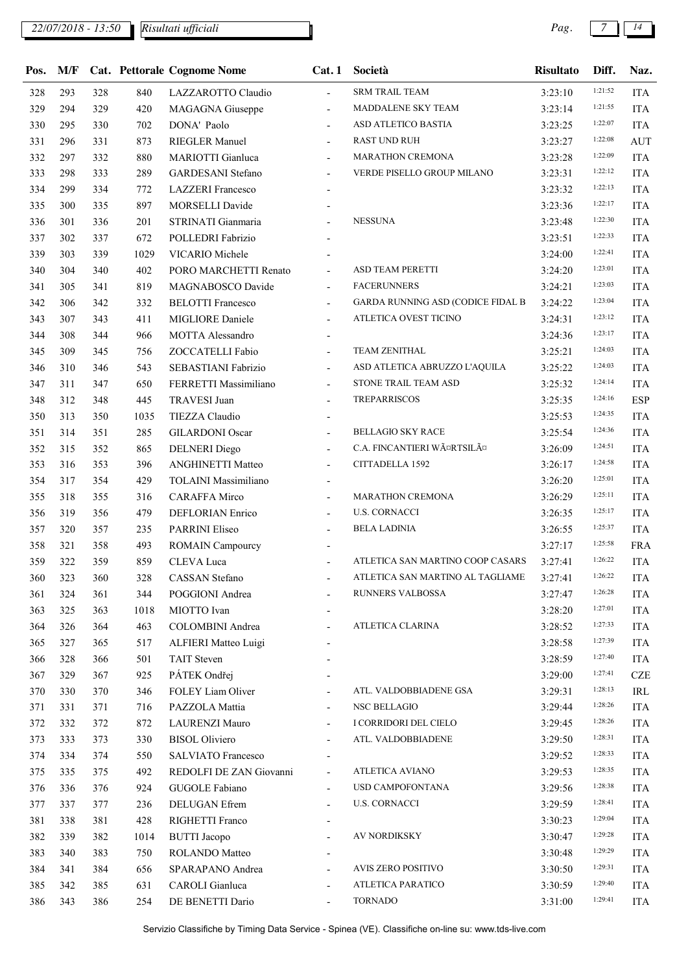## *22/07/2018 - 13:50 Pag. 7 14*

*Risultati ufficiali*

| Pos. | M/F |     |      | <b>Cat. Pettorale Cognome Nome</b> | Cat.1                    | Società                           | <b>Risultato</b> | Diff.   | Naz.       |
|------|-----|-----|------|------------------------------------|--------------------------|-----------------------------------|------------------|---------|------------|
| 328  | 293 | 328 | 840  | LAZZAROTTO Claudio                 | $\blacksquare$           | <b>SRM TRAIL TEAM</b>             | 3:23:10          | 1:21:52 | <b>ITA</b> |
| 329  | 294 | 329 | 420  | MAGAGNA Giuseppe                   | $\overline{\phantom{a}}$ | MADDALENE SKY TEAM                | 3:23:14          | 1:21:55 | <b>ITA</b> |
| 330  | 295 | 330 | 702  | DONA' Paolo                        | $\blacksquare$           | ASD ATLETICO BASTIA               | 3:23:25          | 1:22:07 | <b>ITA</b> |
| 331  | 296 | 331 | 873  | <b>RIEGLER Manuel</b>              |                          | <b>RAST UND RUH</b>               | 3:23:27          | 1:22:08 | <b>AUT</b> |
| 332  | 297 | 332 | 880  | MARIOTTI Gianluca                  | $\overline{\phantom{a}}$ | MARATHON CREMONA                  | 3:23:28          | 1:22:09 | <b>ITA</b> |
| 333  | 298 | 333 | 289  | <b>GARDESANI</b> Stefano           | $\overline{\phantom{a}}$ | VERDE PISELLO GROUP MILANO        | 3:23:31          | 1:22:12 | <b>ITA</b> |
| 334  | 299 | 334 | 772  | <b>LAZZERI</b> Francesco           |                          |                                   | 3:23:32          | 1:22:13 | <b>ITA</b> |
| 335  | 300 | 335 | 897  | <b>MORSELLI Davide</b>             |                          |                                   | 3:23:36          | 1:22:17 | <b>ITA</b> |
| 336  | 301 | 336 | 201  | STRINATI Gianmaria                 |                          | <b>NESSUNA</b>                    | 3:23:48          | 1:22:30 | <b>ITA</b> |
| 337  | 302 | 337 | 672  | POLLEDRI Fabrizio                  |                          |                                   | 3:23:51          | 1:22:33 | <b>ITA</b> |
| 339  | 303 | 339 | 1029 | VICARIO Michele                    |                          |                                   | 3:24:00          | 1:22:41 | <b>ITA</b> |
| 340  | 304 | 340 | 402  | PORO MARCHETTI Renato              | $\overline{\phantom{a}}$ | ASD TEAM PERETTI                  | 3:24:20          | 1:23:01 | <b>ITA</b> |
| 341  | 305 | 341 | 819  | MAGNABOSCO Davide                  | $\overline{\phantom{a}}$ | <b>FACERUNNERS</b>                | 3:24:21          | 1:23:03 | <b>ITA</b> |
| 342  | 306 | 342 | 332  | <b>BELOTTI Francesco</b>           | $\blacksquare$           | GARDA RUNNING ASD (CODICE FIDAL B | 3:24:22          | 1:23:04 | <b>ITA</b> |
| 343  | 307 | 343 | 411  | MIGLIORE Daniele                   | $\blacksquare$           | ATLETICA OVEST TICINO             | 3:24:31          | 1:23:12 | <b>ITA</b> |
| 344  | 308 | 344 | 966  | MOTTA Alessandro                   |                          |                                   | 3:24:36          | 1:23:17 | <b>ITA</b> |
| 345  | 309 | 345 | 756  | ZOCCATELLI Fabio                   | $\overline{\phantom{a}}$ | <b>TEAM ZENITHAL</b>              | 3:25:21          | 1:24:03 | <b>ITA</b> |
| 346  | 310 | 346 | 543  | SEBASTIANI Fabrizio                | $\overline{\phantom{a}}$ | ASD ATLETICA ABRUZZO L'AQUILA     | 3:25:22          | 1:24:03 | <b>ITA</b> |
| 347  | 311 | 347 | 650  | FERRETTI Massimiliano              | $\overline{\phantom{a}}$ | STONE TRAIL TEAM ASD              | 3:25:32          | 1:24:14 | <b>ITA</b> |
| 348  | 312 | 348 | 445  | <b>TRAVESI Juan</b>                | $\overline{\phantom{a}}$ | <b>TREPARRISCOS</b>               | 3:25:35          | 1:24:16 | <b>ESP</b> |
| 350  | 313 | 350 | 1035 | TIEZZA Claudio                     |                          |                                   | 3:25:53          | 1:24:35 | <b>ITA</b> |
| 351  | 314 | 351 | 285  | <b>GILARDONI Oscar</b>             | $\overline{\phantom{a}}$ | <b>BELLAGIO SKY RACE</b>          | 3:25:54          | 1:24:36 | <b>ITA</b> |
| 352  | 315 | 352 | 865  | <b>DELNERI</b> Diego               | $\overline{\phantom{a}}$ | C.A. FINCANTIERI WäRTSILä         | 3:26:09          | 1:24:51 | <b>ITA</b> |
| 353  | 316 | 353 | 396  | <b>ANGHINETTI Matteo</b>           | $\blacksquare$           | CITTADELLA 1592                   | 3:26:17          | 1:24:58 | <b>ITA</b> |
| 354  | 317 | 354 | 429  | TOLAINI Massimiliano               | $\overline{\phantom{a}}$ |                                   | 3:26:20          | 1:25:01 | <b>ITA</b> |
| 355  | 318 | 355 | 316  | <b>CARAFFA Mirco</b>               | $\overline{\phantom{a}}$ | <b>MARATHON CREMONA</b>           | 3:26:29          | 1:25:11 | <b>ITA</b> |
| 356  | 319 | 356 | 479  | <b>DEFLORIAN Enrico</b>            | $\blacksquare$           | <b>U.S. CORNACCI</b>              | 3:26:35          | 1:25:17 | <b>ITA</b> |
| 357  | 320 | 357 | 235  | PARRINI Eliseo                     | $\overline{\phantom{0}}$ | <b>BELA LADINIA</b>               | 3:26:55          | 1:25:37 | <b>ITA</b> |
| 358  | 321 | 358 | 493  | <b>ROMAIN Campourcy</b>            |                          |                                   | 3:27:17          | 1:25:58 | <b>FRA</b> |
| 359  | 322 | 359 | 859  | CLEVA Luca                         | $\overline{a}$           | ATLETICA SAN MARTINO COOP CASARS  | 3:27:41          | 1:26:22 | <b>ITA</b> |
| 360  | 323 | 360 | 328  | CASSAN Stefano                     |                          | ATLETICA SAN MARTINO AL TAGLIAME  | 3:27:41          | 1:26:22 | <b>ITA</b> |
| 361  | 324 | 361 | 344  | POGGIONI Andrea                    |                          | RUNNERS VALBOSSA                  | 3:27:47          | 1:26:28 | <b>ITA</b> |
| 363  | 325 | 363 | 1018 | MIOTTO Ivan                        |                          |                                   | 3:28:20          | 1:27:01 | <b>ITA</b> |
| 364  | 326 | 364 | 463  | COLOMBINI Andrea                   | $\overline{\phantom{a}}$ | ATLETICA CLARINA                  | 3:28:52          | 1:27:33 | <b>ITA</b> |
| 365  | 327 | 365 | 517  | ALFIERI Matteo Luigi               |                          |                                   | 3:28:58          | 1:27:39 | <b>ITA</b> |
| 366  | 328 | 366 | 501  | <b>TAIT Steven</b>                 |                          |                                   | 3:28:59          | 1:27:40 | <b>ITA</b> |
| 367  | 329 | 367 | 925  | PÁTEK Ondřej                       |                          |                                   | 3:29:00          | 1:27:41 | <b>CZE</b> |
| 370  | 330 | 370 | 346  | FOLEY Liam Oliver                  |                          | ATL. VALDOBBIADENE GSA            | 3:29:31          | 1:28:13 | IRL        |
| 371  | 331 | 371 | 716  | PAZZOLA Mattia                     | $\overline{a}$           | NSC BELLAGIO                      | 3:29:44          | 1:28:26 | <b>ITA</b> |
| 372  | 332 | 372 | 872  | LAURENZI Mauro                     | $\overline{\phantom{a}}$ | I CORRIDORI DEL CIELO             | 3:29:45          | 1:28:26 | <b>ITA</b> |
| 373  | 333 | 373 | 330  | <b>BISOL Oliviero</b>              | $\overline{\phantom{a}}$ | ATL. VALDOBBIADENE                | 3:29:50          | 1:28:31 | <b>ITA</b> |
| 374  | 334 | 374 | 550  | SALVIATO Francesco                 | $\blacksquare$           |                                   | 3:29:52          | 1:28:33 | <b>ITA</b> |
| 375  | 335 | 375 | 492  | REDOLFI DE ZAN Giovanni            | $\overline{\phantom{a}}$ | <b>ATLETICA AVIANO</b>            | 3:29:53          | 1:28:35 | <b>ITA</b> |
| 376  | 336 | 376 | 924  | GUGOLE Fabiano                     | $\overline{\phantom{a}}$ | USD CAMPOFONTANA                  | 3:29:56          | 1:28:38 | <b>ITA</b> |
| 377  | 337 | 377 | 236  | DELUGAN Efrem                      | $\blacksquare$           | <b>U.S. CORNACCI</b>              | 3:29:59          | 1:28:41 | <b>ITA</b> |
| 381  | 338 | 381 | 428  | RIGHETTI Franco                    | $\overline{\phantom{a}}$ |                                   | 3:30:23          | 1:29:04 | <b>ITA</b> |
| 382  | 339 | 382 | 1014 | <b>BUTTI</b> Jacopo                | $\blacksquare$           | <b>AV NORDIKSKY</b>               | 3:30:47          | 1:29:28 | <b>ITA</b> |
| 383  | 340 | 383 | 750  | ROLANDO Matteo                     |                          |                                   | 3:30:48          | 1:29:29 | <b>ITA</b> |
| 384  | 341 | 384 | 656  | SPARAPANO Andrea                   | $\overline{\phantom{a}}$ | AVIS ZERO POSITIVO                | 3:30:50          | 1:29:31 | <b>ITA</b> |
| 385  | 342 | 385 | 631  | CAROLI Gianluca                    |                          | ATLETICA PARATICO                 | 3:30:59          | 1:29:40 | <b>ITA</b> |
| 386  | 343 | 386 | 254  | DE BENETTI Dario                   | $\overline{\phantom{a}}$ | <b>TORNADO</b>                    | 3:31:00          | 1:29:41 | <b>ITA</b> |
|      |     |     |      |                                    |                          |                                   |                  |         |            |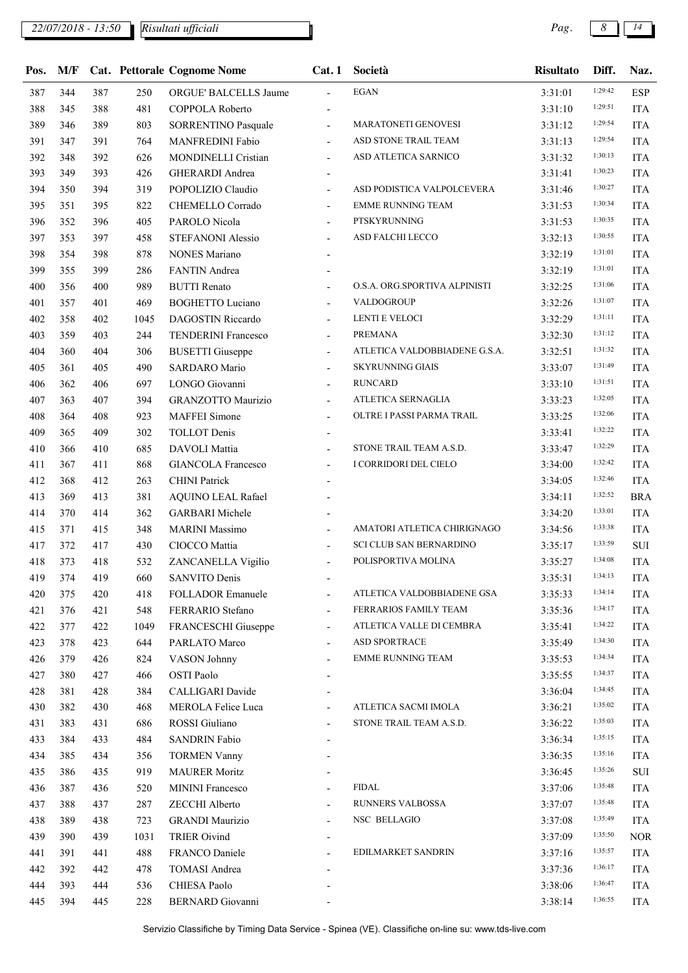| 1:29:42<br><b>EGAN</b><br>344<br>387<br>250<br><b>ESP</b><br>387<br>ORGUE' BALCELLS Jaume<br>3:31:01<br>$\sim$<br>1:29:51<br>388<br>345<br>388<br>481<br>COPPOLA Roberto<br><b>ITA</b><br>3:31:10<br>1:29:54<br>389<br>MARATONETI GENOVESI<br>389<br>803<br><b>ITA</b><br>346<br><b>SORRENTINO Pasquale</b><br>3:31:12<br>$\overline{\phantom{a}}$<br>1:29:54<br>ASD STONE TRAIL TEAM<br>391<br>391<br><b>ITA</b><br>347<br>764<br>MANFREDINI Fabio<br>3:31:13<br>$\overline{\phantom{a}}$<br>1:30:13<br>ASD ATLETICA SARNICO<br>392<br>348<br>392<br>MONDINELLI Cristian<br><b>ITA</b><br>626<br>3:31:32<br>$\overline{\phantom{a}}$<br>1:30:23<br>393<br>349<br>393<br><b>GHERARDI</b> Andrea<br><b>ITA</b><br>426<br>3:31:41<br>1:30:27<br>394<br>POPOLIZIO Claudio<br>ASD PODISTICA VALPOLCEVERA<br>350<br>394<br>319<br><b>ITA</b><br>3:31:46<br>$\overline{\phantom{a}}$<br>1:30:34<br><b>EMME RUNNING TEAM</b><br>395<br>351<br>395<br>822<br><b>ITA</b><br>CHEMELLO Corrado<br>3:31:53<br>$\overline{\phantom{a}}$<br>1:30:35<br>PTSKYRUNNING<br>396<br>352<br>396<br>PAROLO Nicola<br><b>ITA</b><br>405<br>3:31:53<br>$\blacksquare$<br>1:30:55<br>ASD FALCHI LECCO<br>397<br>397<br><b>ITA</b><br>353<br>458<br>STEFANONI Alessio<br>3:32:13<br>$\blacksquare$<br>1:31:01<br>398<br>354<br>398<br>878<br><b>NONES Mariano</b><br><b>ITA</b><br>3:32:19<br>1:31:01<br>399<br>355<br>399<br>286<br>FANTIN Andrea<br>3:32:19<br><b>ITA</b><br>1:31:06<br>O.S.A. ORG.SPORTIVA ALPINISTI<br>400<br>400<br><b>BUTTI</b> Renato<br>356<br>989<br><b>ITA</b><br>3:32:25<br>1:31:07<br>VALDOGROUP<br>401<br>357<br>401<br>469<br><b>BOGHETTO Luciano</b><br><b>ITA</b><br>3:32:26<br>$\overline{\phantom{a}}$<br>1:31:11<br>LENTI E VELOCI<br>402<br>358<br>402<br>DAGOSTIN Riccardo<br><b>ITA</b><br>1045<br>3:32:29<br>$\blacksquare$<br>1:31:12<br>403<br>359<br>403<br><b>ITA</b><br>244<br>TENDERINI Francesco<br><b>PREMANA</b><br>3:32:30<br>$\overline{\phantom{a}}$<br>1:31:32<br>ATLETICA VALDOBBIADENE G.S.A.<br>404<br>360<br>404<br>306<br><b>BUSETTI</b> Giuseppe<br><b>ITA</b><br>3:32:51<br>$\overline{\phantom{a}}$<br>1:31:49<br><b>SKYRUNNING GIAIS</b><br>405<br>361<br>405<br>490<br><b>SARDARO</b> Mario<br>3:33:07<br><b>ITA</b><br>$\overline{\phantom{a}}$<br>1:31:51<br>406<br>362<br>LONGO Giovanni<br><b>RUNCARD</b><br>406<br>697<br><b>ITA</b><br>3:33:10<br>$\blacksquare$<br>1:32:05<br>ATLETICA SERNAGLIA<br>407<br>363<br>407<br><b>GRANZOTTO Maurizio</b><br><b>ITA</b><br>394<br>3:33:23<br>$\overline{\phantom{a}}$<br>1:32:06<br>OLTRE I PASSI PARMA TRAIL<br>408<br>364<br>408<br><b>MAFFEI</b> Simone<br><b>ITA</b><br>923<br>3:33:25<br>$\blacksquare$<br>1:32:22<br>409<br>409<br><b>ITA</b><br>365<br>302<br><b>TOLLOT</b> Denis<br>3:33:41<br>1:32:29<br>STONE TRAIL TEAM A.S.D.<br>410<br>366<br>410<br>685<br>DAVOLI Mattia<br><b>ITA</b><br>3:33:47<br>$\overline{\phantom{a}}$<br>1:32:42<br>I CORRIDORI DEL CIELO<br>411<br>367<br>411<br><b>GIANCOLA Francesco</b><br><b>ITA</b><br>868<br>3:34:00<br>$\overline{\phantom{a}}$<br>1:32:46<br>412<br><b>CHINI</b> Patrick<br>368<br>412<br>263<br><b>ITA</b><br>3:34:05<br>1:32:52<br>413<br>381<br><b>AQUINO LEAL Rafael</b><br><b>BRA</b><br>369<br>413<br>3:34:11<br>1:33:01<br>414<br>370<br><b>GARBARI</b> Michele<br>414<br>362<br><b>ITA</b><br>3:34:20<br>1:33:38<br>AMATORI ATLETICA CHIRIGNAGO<br>415<br>371<br>415<br>348<br><b>MARINI</b> Massimo<br><b>ITA</b><br>3:34:56<br>1:33:59<br><b>SCI CLUB SAN BERNARDINO</b><br>417<br>372<br>417<br>CIOCCO Mattia<br>$\rm SUI$<br>430<br>3:35:17<br>$\overline{\phantom{a}}$<br>1:34:08<br>373<br>POLISPORTIVA MOLINA<br>418<br>418<br>ZANCANELLA Vigilio<br><b>ITA</b><br>532<br>3:35:27<br>$\blacksquare$<br>1:34:13<br>419<br>419<br>374<br>660<br>SANVITO Denis<br>3:35:31<br><b>ITA</b><br>1:34:14<br>ATLETICA VALDOBBIADENE GSA<br>420<br>375<br>420<br>418<br>FOLLADOR Emanuele<br><b>ITA</b><br>3:35:33<br>$\overline{\phantom{a}}$<br>1:34:17<br>FERRARIOS FAMILY TEAM<br>376<br>421<br>421<br>548<br>FERRARIO Stefano<br>3:35:36<br><b>ITA</b><br>$\overline{\phantom{a}}$<br>1:34:22<br>422<br>377<br>422<br>1049<br>FRANCESCHI Giuseppe<br>ATLETICA VALLE DI CEMBRA<br><b>ITA</b><br>3:35:41<br>$\overline{\phantom{a}}$<br>1:34:30<br>ASD SPORTRACE<br>PARLATO Marco<br>423<br>378<br>423<br>644<br>3:35:49<br><b>ITA</b><br>$\overline{\phantom{a}}$<br>1:34:34<br><b>EMME RUNNING TEAM</b><br>426<br>379<br>426<br>824<br>VASON Johnny<br><b>ITA</b><br>3:35:53<br>$\overline{\phantom{a}}$<br>1:34:37<br>427<br>380<br>427<br>OSTI Paolo<br><b>ITA</b><br>466<br>3:35:55<br>1:34:45<br>428<br>CALLIGARI Davide<br>381<br>428<br>384<br><b>ITA</b><br>3:36:04<br>1:35:02<br>ATLETICA SACMI IMOLA<br>430<br>382<br>430<br>468<br><b>MEROLA Felice Luca</b><br><b>ITA</b><br>3:36:21<br>$\overline{\phantom{a}}$<br>1:35:03<br>ROSSI Giuliano<br>STONE TRAIL TEAM A.S.D.<br>431<br>383<br>431<br>686<br><b>ITA</b><br>3:36:22<br>1:35:15<br>484<br><b>SANDRIN Fabio</b><br>433<br>384<br>433<br><b>ITA</b><br>3:36:34<br>1:35:16<br>434<br>385<br>434<br><b>TORMEN Vanny</b><br><b>ITA</b><br>356<br>3:36:35<br>1:35:26<br>435<br>386<br>435<br>919<br><b>MAURER Moritz</b><br>SUI<br>3:36:45<br>1:35:48<br><b>FIDAL</b><br><b>MININI Francesco</b><br>436<br>387<br>436<br>520<br><b>ITA</b><br>3:37:06<br>$\overline{\phantom{a}}$<br>1:35:48<br><b>RUNNERS VALBOSSA</b><br>388<br>ZECCHI Alberto<br>437<br>437<br>287<br><b>ITA</b><br>3:37:07<br>$\overline{\phantom{a}}$<br>1:35:49<br><b>GRANDI Maurizio</b><br>NSC BELLAGIO<br>438<br>389<br>438<br>723<br><b>ITA</b><br>3:37:08<br>1:35:50<br><b>TRIER Oivind</b><br><b>NOR</b><br>439<br>390<br>439<br>1031<br>3:37:09<br>1:35:57<br>EDILMARKET SANDRIN<br>441<br>391<br>441<br>488<br>FRANCO Daniele<br>3:37:16<br><b>ITA</b><br>$\overline{\phantom{a}}$<br>1:36:17<br><b>TOMASI Andrea</b><br>442<br>392<br>442<br>478<br>3:37:36<br><b>ITA</b><br>1:36:47<br>393<br>CHIESA Paolo<br>444<br>444<br>536<br>3:38:06<br><b>ITA</b><br>1:36:55 |     |     |     |     | Pos. M/F Cat. Pettorale Cognome Nome | Cat.1 | Società | <b>Risultato</b> | Diff. | Naz.       |
|-------------------------------------------------------------------------------------------------------------------------------------------------------------------------------------------------------------------------------------------------------------------------------------------------------------------------------------------------------------------------------------------------------------------------------------------------------------------------------------------------------------------------------------------------------------------------------------------------------------------------------------------------------------------------------------------------------------------------------------------------------------------------------------------------------------------------------------------------------------------------------------------------------------------------------------------------------------------------------------------------------------------------------------------------------------------------------------------------------------------------------------------------------------------------------------------------------------------------------------------------------------------------------------------------------------------------------------------------------------------------------------------------------------------------------------------------------------------------------------------------------------------------------------------------------------------------------------------------------------------------------------------------------------------------------------------------------------------------------------------------------------------------------------------------------------------------------------------------------------------------------------------------------------------------------------------------------------------------------------------------------------------------------------------------------------------------------------------------------------------------------------------------------------------------------------------------------------------------------------------------------------------------------------------------------------------------------------------------------------------------------------------------------------------------------------------------------------------------------------------------------------------------------------------------------------------------------------------------------------------------------------------------------------------------------------------------------------------------------------------------------------------------------------------------------------------------------------------------------------------------------------------------------------------------------------------------------------------------------------------------------------------------------------------------------------------------------------------------------------------------------------------------------------------------------------------------------------------------------------------------------------------------------------------------------------------------------------------------------------------------------------------------------------------------------------------------------------------------------------------------------------------------------------------------------------------------------------------------------------------------------------------------------------------------------------------------------------------------------------------------------------------------------------------------------------------------------------------------------------------------------------------------------------------------------------------------------------------------------------------------------------------------------------------------------------------------------------------------------------------------------------------------------------------------------------------------------------------------------------------------------------------------------------------------------------------------------------------------------------------------------------------------------------------------------------------------------------------------------------------------------------------------------------------------------------------------------------------------------------------------------------------------------------------------------------------------------------------------------------------------------------------------------------------------------------------------------------------------------------------------------------------------------------------------------------------------------------------------------------------------------------------------------------------------------------------------------------------------------------------------------------------------------------------------------------------------------------------------------------------------------------------------------------------------------------------------------------------------------------------------------------------------------------------------------------------------------------------------------------------------------------------------------------------------------------------------------------------------------------------------------------------------------------------------------------------------------------------------------------------------------------------------------------------------------------------------------------------------------------------------------------------------------------------------------------------------------------------------------------------------------------------------------------------------------------------------------|-----|-----|-----|-----|--------------------------------------|-------|---------|------------------|-------|------------|
|                                                                                                                                                                                                                                                                                                                                                                                                                                                                                                                                                                                                                                                                                                                                                                                                                                                                                                                                                                                                                                                                                                                                                                                                                                                                                                                                                                                                                                                                                                                                                                                                                                                                                                                                                                                                                                                                                                                                                                                                                                                                                                                                                                                                                                                                                                                                                                                                                                                                                                                                                                                                                                                                                                                                                                                                                                                                                                                                                                                                                                                                                                                                                                                                                                                                                                                                                                                                                                                                                                                                                                                                                                                                                                                                                                                                                                                                                                                                                                                                                                                                                                                                                                                                                                                                                                                                                                                                                                                                                                                                                                                                                                                                                                                                                                                                                                                                                                                                                                                                                                                                                                                                                                                                                                                                                                                                                                                                                                                                                                                                                                                                                                                                                                                                                                                                                                                                                                                                                                                                                                                                               |     |     |     |     |                                      |       |         |                  |       |            |
|                                                                                                                                                                                                                                                                                                                                                                                                                                                                                                                                                                                                                                                                                                                                                                                                                                                                                                                                                                                                                                                                                                                                                                                                                                                                                                                                                                                                                                                                                                                                                                                                                                                                                                                                                                                                                                                                                                                                                                                                                                                                                                                                                                                                                                                                                                                                                                                                                                                                                                                                                                                                                                                                                                                                                                                                                                                                                                                                                                                                                                                                                                                                                                                                                                                                                                                                                                                                                                                                                                                                                                                                                                                                                                                                                                                                                                                                                                                                                                                                                                                                                                                                                                                                                                                                                                                                                                                                                                                                                                                                                                                                                                                                                                                                                                                                                                                                                                                                                                                                                                                                                                                                                                                                                                                                                                                                                                                                                                                                                                                                                                                                                                                                                                                                                                                                                                                                                                                                                                                                                                                                               |     |     |     |     |                                      |       |         |                  |       |            |
|                                                                                                                                                                                                                                                                                                                                                                                                                                                                                                                                                                                                                                                                                                                                                                                                                                                                                                                                                                                                                                                                                                                                                                                                                                                                                                                                                                                                                                                                                                                                                                                                                                                                                                                                                                                                                                                                                                                                                                                                                                                                                                                                                                                                                                                                                                                                                                                                                                                                                                                                                                                                                                                                                                                                                                                                                                                                                                                                                                                                                                                                                                                                                                                                                                                                                                                                                                                                                                                                                                                                                                                                                                                                                                                                                                                                                                                                                                                                                                                                                                                                                                                                                                                                                                                                                                                                                                                                                                                                                                                                                                                                                                                                                                                                                                                                                                                                                                                                                                                                                                                                                                                                                                                                                                                                                                                                                                                                                                                                                                                                                                                                                                                                                                                                                                                                                                                                                                                                                                                                                                                                               |     |     |     |     |                                      |       |         |                  |       |            |
|                                                                                                                                                                                                                                                                                                                                                                                                                                                                                                                                                                                                                                                                                                                                                                                                                                                                                                                                                                                                                                                                                                                                                                                                                                                                                                                                                                                                                                                                                                                                                                                                                                                                                                                                                                                                                                                                                                                                                                                                                                                                                                                                                                                                                                                                                                                                                                                                                                                                                                                                                                                                                                                                                                                                                                                                                                                                                                                                                                                                                                                                                                                                                                                                                                                                                                                                                                                                                                                                                                                                                                                                                                                                                                                                                                                                                                                                                                                                                                                                                                                                                                                                                                                                                                                                                                                                                                                                                                                                                                                                                                                                                                                                                                                                                                                                                                                                                                                                                                                                                                                                                                                                                                                                                                                                                                                                                                                                                                                                                                                                                                                                                                                                                                                                                                                                                                                                                                                                                                                                                                                                               |     |     |     |     |                                      |       |         |                  |       |            |
|                                                                                                                                                                                                                                                                                                                                                                                                                                                                                                                                                                                                                                                                                                                                                                                                                                                                                                                                                                                                                                                                                                                                                                                                                                                                                                                                                                                                                                                                                                                                                                                                                                                                                                                                                                                                                                                                                                                                                                                                                                                                                                                                                                                                                                                                                                                                                                                                                                                                                                                                                                                                                                                                                                                                                                                                                                                                                                                                                                                                                                                                                                                                                                                                                                                                                                                                                                                                                                                                                                                                                                                                                                                                                                                                                                                                                                                                                                                                                                                                                                                                                                                                                                                                                                                                                                                                                                                                                                                                                                                                                                                                                                                                                                                                                                                                                                                                                                                                                                                                                                                                                                                                                                                                                                                                                                                                                                                                                                                                                                                                                                                                                                                                                                                                                                                                                                                                                                                                                                                                                                                                               |     |     |     |     |                                      |       |         |                  |       |            |
|                                                                                                                                                                                                                                                                                                                                                                                                                                                                                                                                                                                                                                                                                                                                                                                                                                                                                                                                                                                                                                                                                                                                                                                                                                                                                                                                                                                                                                                                                                                                                                                                                                                                                                                                                                                                                                                                                                                                                                                                                                                                                                                                                                                                                                                                                                                                                                                                                                                                                                                                                                                                                                                                                                                                                                                                                                                                                                                                                                                                                                                                                                                                                                                                                                                                                                                                                                                                                                                                                                                                                                                                                                                                                                                                                                                                                                                                                                                                                                                                                                                                                                                                                                                                                                                                                                                                                                                                                                                                                                                                                                                                                                                                                                                                                                                                                                                                                                                                                                                                                                                                                                                                                                                                                                                                                                                                                                                                                                                                                                                                                                                                                                                                                                                                                                                                                                                                                                                                                                                                                                                                               |     |     |     |     |                                      |       |         |                  |       |            |
|                                                                                                                                                                                                                                                                                                                                                                                                                                                                                                                                                                                                                                                                                                                                                                                                                                                                                                                                                                                                                                                                                                                                                                                                                                                                                                                                                                                                                                                                                                                                                                                                                                                                                                                                                                                                                                                                                                                                                                                                                                                                                                                                                                                                                                                                                                                                                                                                                                                                                                                                                                                                                                                                                                                                                                                                                                                                                                                                                                                                                                                                                                                                                                                                                                                                                                                                                                                                                                                                                                                                                                                                                                                                                                                                                                                                                                                                                                                                                                                                                                                                                                                                                                                                                                                                                                                                                                                                                                                                                                                                                                                                                                                                                                                                                                                                                                                                                                                                                                                                                                                                                                                                                                                                                                                                                                                                                                                                                                                                                                                                                                                                                                                                                                                                                                                                                                                                                                                                                                                                                                                                               |     |     |     |     |                                      |       |         |                  |       |            |
|                                                                                                                                                                                                                                                                                                                                                                                                                                                                                                                                                                                                                                                                                                                                                                                                                                                                                                                                                                                                                                                                                                                                                                                                                                                                                                                                                                                                                                                                                                                                                                                                                                                                                                                                                                                                                                                                                                                                                                                                                                                                                                                                                                                                                                                                                                                                                                                                                                                                                                                                                                                                                                                                                                                                                                                                                                                                                                                                                                                                                                                                                                                                                                                                                                                                                                                                                                                                                                                                                                                                                                                                                                                                                                                                                                                                                                                                                                                                                                                                                                                                                                                                                                                                                                                                                                                                                                                                                                                                                                                                                                                                                                                                                                                                                                                                                                                                                                                                                                                                                                                                                                                                                                                                                                                                                                                                                                                                                                                                                                                                                                                                                                                                                                                                                                                                                                                                                                                                                                                                                                                                               |     |     |     |     |                                      |       |         |                  |       |            |
|                                                                                                                                                                                                                                                                                                                                                                                                                                                                                                                                                                                                                                                                                                                                                                                                                                                                                                                                                                                                                                                                                                                                                                                                                                                                                                                                                                                                                                                                                                                                                                                                                                                                                                                                                                                                                                                                                                                                                                                                                                                                                                                                                                                                                                                                                                                                                                                                                                                                                                                                                                                                                                                                                                                                                                                                                                                                                                                                                                                                                                                                                                                                                                                                                                                                                                                                                                                                                                                                                                                                                                                                                                                                                                                                                                                                                                                                                                                                                                                                                                                                                                                                                                                                                                                                                                                                                                                                                                                                                                                                                                                                                                                                                                                                                                                                                                                                                                                                                                                                                                                                                                                                                                                                                                                                                                                                                                                                                                                                                                                                                                                                                                                                                                                                                                                                                                                                                                                                                                                                                                                                               |     |     |     |     |                                      |       |         |                  |       |            |
|                                                                                                                                                                                                                                                                                                                                                                                                                                                                                                                                                                                                                                                                                                                                                                                                                                                                                                                                                                                                                                                                                                                                                                                                                                                                                                                                                                                                                                                                                                                                                                                                                                                                                                                                                                                                                                                                                                                                                                                                                                                                                                                                                                                                                                                                                                                                                                                                                                                                                                                                                                                                                                                                                                                                                                                                                                                                                                                                                                                                                                                                                                                                                                                                                                                                                                                                                                                                                                                                                                                                                                                                                                                                                                                                                                                                                                                                                                                                                                                                                                                                                                                                                                                                                                                                                                                                                                                                                                                                                                                                                                                                                                                                                                                                                                                                                                                                                                                                                                                                                                                                                                                                                                                                                                                                                                                                                                                                                                                                                                                                                                                                                                                                                                                                                                                                                                                                                                                                                                                                                                                                               |     |     |     |     |                                      |       |         |                  |       |            |
|                                                                                                                                                                                                                                                                                                                                                                                                                                                                                                                                                                                                                                                                                                                                                                                                                                                                                                                                                                                                                                                                                                                                                                                                                                                                                                                                                                                                                                                                                                                                                                                                                                                                                                                                                                                                                                                                                                                                                                                                                                                                                                                                                                                                                                                                                                                                                                                                                                                                                                                                                                                                                                                                                                                                                                                                                                                                                                                                                                                                                                                                                                                                                                                                                                                                                                                                                                                                                                                                                                                                                                                                                                                                                                                                                                                                                                                                                                                                                                                                                                                                                                                                                                                                                                                                                                                                                                                                                                                                                                                                                                                                                                                                                                                                                                                                                                                                                                                                                                                                                                                                                                                                                                                                                                                                                                                                                                                                                                                                                                                                                                                                                                                                                                                                                                                                                                                                                                                                                                                                                                                                               |     |     |     |     |                                      |       |         |                  |       |            |
|                                                                                                                                                                                                                                                                                                                                                                                                                                                                                                                                                                                                                                                                                                                                                                                                                                                                                                                                                                                                                                                                                                                                                                                                                                                                                                                                                                                                                                                                                                                                                                                                                                                                                                                                                                                                                                                                                                                                                                                                                                                                                                                                                                                                                                                                                                                                                                                                                                                                                                                                                                                                                                                                                                                                                                                                                                                                                                                                                                                                                                                                                                                                                                                                                                                                                                                                                                                                                                                                                                                                                                                                                                                                                                                                                                                                                                                                                                                                                                                                                                                                                                                                                                                                                                                                                                                                                                                                                                                                                                                                                                                                                                                                                                                                                                                                                                                                                                                                                                                                                                                                                                                                                                                                                                                                                                                                                                                                                                                                                                                                                                                                                                                                                                                                                                                                                                                                                                                                                                                                                                                                               |     |     |     |     |                                      |       |         |                  |       |            |
|                                                                                                                                                                                                                                                                                                                                                                                                                                                                                                                                                                                                                                                                                                                                                                                                                                                                                                                                                                                                                                                                                                                                                                                                                                                                                                                                                                                                                                                                                                                                                                                                                                                                                                                                                                                                                                                                                                                                                                                                                                                                                                                                                                                                                                                                                                                                                                                                                                                                                                                                                                                                                                                                                                                                                                                                                                                                                                                                                                                                                                                                                                                                                                                                                                                                                                                                                                                                                                                                                                                                                                                                                                                                                                                                                                                                                                                                                                                                                                                                                                                                                                                                                                                                                                                                                                                                                                                                                                                                                                                                                                                                                                                                                                                                                                                                                                                                                                                                                                                                                                                                                                                                                                                                                                                                                                                                                                                                                                                                                                                                                                                                                                                                                                                                                                                                                                                                                                                                                                                                                                                                               |     |     |     |     |                                      |       |         |                  |       |            |
|                                                                                                                                                                                                                                                                                                                                                                                                                                                                                                                                                                                                                                                                                                                                                                                                                                                                                                                                                                                                                                                                                                                                                                                                                                                                                                                                                                                                                                                                                                                                                                                                                                                                                                                                                                                                                                                                                                                                                                                                                                                                                                                                                                                                                                                                                                                                                                                                                                                                                                                                                                                                                                                                                                                                                                                                                                                                                                                                                                                                                                                                                                                                                                                                                                                                                                                                                                                                                                                                                                                                                                                                                                                                                                                                                                                                                                                                                                                                                                                                                                                                                                                                                                                                                                                                                                                                                                                                                                                                                                                                                                                                                                                                                                                                                                                                                                                                                                                                                                                                                                                                                                                                                                                                                                                                                                                                                                                                                                                                                                                                                                                                                                                                                                                                                                                                                                                                                                                                                                                                                                                                               |     |     |     |     |                                      |       |         |                  |       |            |
|                                                                                                                                                                                                                                                                                                                                                                                                                                                                                                                                                                                                                                                                                                                                                                                                                                                                                                                                                                                                                                                                                                                                                                                                                                                                                                                                                                                                                                                                                                                                                                                                                                                                                                                                                                                                                                                                                                                                                                                                                                                                                                                                                                                                                                                                                                                                                                                                                                                                                                                                                                                                                                                                                                                                                                                                                                                                                                                                                                                                                                                                                                                                                                                                                                                                                                                                                                                                                                                                                                                                                                                                                                                                                                                                                                                                                                                                                                                                                                                                                                                                                                                                                                                                                                                                                                                                                                                                                                                                                                                                                                                                                                                                                                                                                                                                                                                                                                                                                                                                                                                                                                                                                                                                                                                                                                                                                                                                                                                                                                                                                                                                                                                                                                                                                                                                                                                                                                                                                                                                                                                                               |     |     |     |     |                                      |       |         |                  |       |            |
|                                                                                                                                                                                                                                                                                                                                                                                                                                                                                                                                                                                                                                                                                                                                                                                                                                                                                                                                                                                                                                                                                                                                                                                                                                                                                                                                                                                                                                                                                                                                                                                                                                                                                                                                                                                                                                                                                                                                                                                                                                                                                                                                                                                                                                                                                                                                                                                                                                                                                                                                                                                                                                                                                                                                                                                                                                                                                                                                                                                                                                                                                                                                                                                                                                                                                                                                                                                                                                                                                                                                                                                                                                                                                                                                                                                                                                                                                                                                                                                                                                                                                                                                                                                                                                                                                                                                                                                                                                                                                                                                                                                                                                                                                                                                                                                                                                                                                                                                                                                                                                                                                                                                                                                                                                                                                                                                                                                                                                                                                                                                                                                                                                                                                                                                                                                                                                                                                                                                                                                                                                                                               |     |     |     |     |                                      |       |         |                  |       |            |
|                                                                                                                                                                                                                                                                                                                                                                                                                                                                                                                                                                                                                                                                                                                                                                                                                                                                                                                                                                                                                                                                                                                                                                                                                                                                                                                                                                                                                                                                                                                                                                                                                                                                                                                                                                                                                                                                                                                                                                                                                                                                                                                                                                                                                                                                                                                                                                                                                                                                                                                                                                                                                                                                                                                                                                                                                                                                                                                                                                                                                                                                                                                                                                                                                                                                                                                                                                                                                                                                                                                                                                                                                                                                                                                                                                                                                                                                                                                                                                                                                                                                                                                                                                                                                                                                                                                                                                                                                                                                                                                                                                                                                                                                                                                                                                                                                                                                                                                                                                                                                                                                                                                                                                                                                                                                                                                                                                                                                                                                                                                                                                                                                                                                                                                                                                                                                                                                                                                                                                                                                                                                               |     |     |     |     |                                      |       |         |                  |       |            |
|                                                                                                                                                                                                                                                                                                                                                                                                                                                                                                                                                                                                                                                                                                                                                                                                                                                                                                                                                                                                                                                                                                                                                                                                                                                                                                                                                                                                                                                                                                                                                                                                                                                                                                                                                                                                                                                                                                                                                                                                                                                                                                                                                                                                                                                                                                                                                                                                                                                                                                                                                                                                                                                                                                                                                                                                                                                                                                                                                                                                                                                                                                                                                                                                                                                                                                                                                                                                                                                                                                                                                                                                                                                                                                                                                                                                                                                                                                                                                                                                                                                                                                                                                                                                                                                                                                                                                                                                                                                                                                                                                                                                                                                                                                                                                                                                                                                                                                                                                                                                                                                                                                                                                                                                                                                                                                                                                                                                                                                                                                                                                                                                                                                                                                                                                                                                                                                                                                                                                                                                                                                                               |     |     |     |     |                                      |       |         |                  |       |            |
|                                                                                                                                                                                                                                                                                                                                                                                                                                                                                                                                                                                                                                                                                                                                                                                                                                                                                                                                                                                                                                                                                                                                                                                                                                                                                                                                                                                                                                                                                                                                                                                                                                                                                                                                                                                                                                                                                                                                                                                                                                                                                                                                                                                                                                                                                                                                                                                                                                                                                                                                                                                                                                                                                                                                                                                                                                                                                                                                                                                                                                                                                                                                                                                                                                                                                                                                                                                                                                                                                                                                                                                                                                                                                                                                                                                                                                                                                                                                                                                                                                                                                                                                                                                                                                                                                                                                                                                                                                                                                                                                                                                                                                                                                                                                                                                                                                                                                                                                                                                                                                                                                                                                                                                                                                                                                                                                                                                                                                                                                                                                                                                                                                                                                                                                                                                                                                                                                                                                                                                                                                                                               |     |     |     |     |                                      |       |         |                  |       |            |
|                                                                                                                                                                                                                                                                                                                                                                                                                                                                                                                                                                                                                                                                                                                                                                                                                                                                                                                                                                                                                                                                                                                                                                                                                                                                                                                                                                                                                                                                                                                                                                                                                                                                                                                                                                                                                                                                                                                                                                                                                                                                                                                                                                                                                                                                                                                                                                                                                                                                                                                                                                                                                                                                                                                                                                                                                                                                                                                                                                                                                                                                                                                                                                                                                                                                                                                                                                                                                                                                                                                                                                                                                                                                                                                                                                                                                                                                                                                                                                                                                                                                                                                                                                                                                                                                                                                                                                                                                                                                                                                                                                                                                                                                                                                                                                                                                                                                                                                                                                                                                                                                                                                                                                                                                                                                                                                                                                                                                                                                                                                                                                                                                                                                                                                                                                                                                                                                                                                                                                                                                                                                               |     |     |     |     |                                      |       |         |                  |       |            |
|                                                                                                                                                                                                                                                                                                                                                                                                                                                                                                                                                                                                                                                                                                                                                                                                                                                                                                                                                                                                                                                                                                                                                                                                                                                                                                                                                                                                                                                                                                                                                                                                                                                                                                                                                                                                                                                                                                                                                                                                                                                                                                                                                                                                                                                                                                                                                                                                                                                                                                                                                                                                                                                                                                                                                                                                                                                                                                                                                                                                                                                                                                                                                                                                                                                                                                                                                                                                                                                                                                                                                                                                                                                                                                                                                                                                                                                                                                                                                                                                                                                                                                                                                                                                                                                                                                                                                                                                                                                                                                                                                                                                                                                                                                                                                                                                                                                                                                                                                                                                                                                                                                                                                                                                                                                                                                                                                                                                                                                                                                                                                                                                                                                                                                                                                                                                                                                                                                                                                                                                                                                                               |     |     |     |     |                                      |       |         |                  |       |            |
|                                                                                                                                                                                                                                                                                                                                                                                                                                                                                                                                                                                                                                                                                                                                                                                                                                                                                                                                                                                                                                                                                                                                                                                                                                                                                                                                                                                                                                                                                                                                                                                                                                                                                                                                                                                                                                                                                                                                                                                                                                                                                                                                                                                                                                                                                                                                                                                                                                                                                                                                                                                                                                                                                                                                                                                                                                                                                                                                                                                                                                                                                                                                                                                                                                                                                                                                                                                                                                                                                                                                                                                                                                                                                                                                                                                                                                                                                                                                                                                                                                                                                                                                                                                                                                                                                                                                                                                                                                                                                                                                                                                                                                                                                                                                                                                                                                                                                                                                                                                                                                                                                                                                                                                                                                                                                                                                                                                                                                                                                                                                                                                                                                                                                                                                                                                                                                                                                                                                                                                                                                                                               |     |     |     |     |                                      |       |         |                  |       |            |
|                                                                                                                                                                                                                                                                                                                                                                                                                                                                                                                                                                                                                                                                                                                                                                                                                                                                                                                                                                                                                                                                                                                                                                                                                                                                                                                                                                                                                                                                                                                                                                                                                                                                                                                                                                                                                                                                                                                                                                                                                                                                                                                                                                                                                                                                                                                                                                                                                                                                                                                                                                                                                                                                                                                                                                                                                                                                                                                                                                                                                                                                                                                                                                                                                                                                                                                                                                                                                                                                                                                                                                                                                                                                                                                                                                                                                                                                                                                                                                                                                                                                                                                                                                                                                                                                                                                                                                                                                                                                                                                                                                                                                                                                                                                                                                                                                                                                                                                                                                                                                                                                                                                                                                                                                                                                                                                                                                                                                                                                                                                                                                                                                                                                                                                                                                                                                                                                                                                                                                                                                                                                               |     |     |     |     |                                      |       |         |                  |       |            |
|                                                                                                                                                                                                                                                                                                                                                                                                                                                                                                                                                                                                                                                                                                                                                                                                                                                                                                                                                                                                                                                                                                                                                                                                                                                                                                                                                                                                                                                                                                                                                                                                                                                                                                                                                                                                                                                                                                                                                                                                                                                                                                                                                                                                                                                                                                                                                                                                                                                                                                                                                                                                                                                                                                                                                                                                                                                                                                                                                                                                                                                                                                                                                                                                                                                                                                                                                                                                                                                                                                                                                                                                                                                                                                                                                                                                                                                                                                                                                                                                                                                                                                                                                                                                                                                                                                                                                                                                                                                                                                                                                                                                                                                                                                                                                                                                                                                                                                                                                                                                                                                                                                                                                                                                                                                                                                                                                                                                                                                                                                                                                                                                                                                                                                                                                                                                                                                                                                                                                                                                                                                                               |     |     |     |     |                                      |       |         |                  |       |            |
|                                                                                                                                                                                                                                                                                                                                                                                                                                                                                                                                                                                                                                                                                                                                                                                                                                                                                                                                                                                                                                                                                                                                                                                                                                                                                                                                                                                                                                                                                                                                                                                                                                                                                                                                                                                                                                                                                                                                                                                                                                                                                                                                                                                                                                                                                                                                                                                                                                                                                                                                                                                                                                                                                                                                                                                                                                                                                                                                                                                                                                                                                                                                                                                                                                                                                                                                                                                                                                                                                                                                                                                                                                                                                                                                                                                                                                                                                                                                                                                                                                                                                                                                                                                                                                                                                                                                                                                                                                                                                                                                                                                                                                                                                                                                                                                                                                                                                                                                                                                                                                                                                                                                                                                                                                                                                                                                                                                                                                                                                                                                                                                                                                                                                                                                                                                                                                                                                                                                                                                                                                                                               |     |     |     |     |                                      |       |         |                  |       |            |
|                                                                                                                                                                                                                                                                                                                                                                                                                                                                                                                                                                                                                                                                                                                                                                                                                                                                                                                                                                                                                                                                                                                                                                                                                                                                                                                                                                                                                                                                                                                                                                                                                                                                                                                                                                                                                                                                                                                                                                                                                                                                                                                                                                                                                                                                                                                                                                                                                                                                                                                                                                                                                                                                                                                                                                                                                                                                                                                                                                                                                                                                                                                                                                                                                                                                                                                                                                                                                                                                                                                                                                                                                                                                                                                                                                                                                                                                                                                                                                                                                                                                                                                                                                                                                                                                                                                                                                                                                                                                                                                                                                                                                                                                                                                                                                                                                                                                                                                                                                                                                                                                                                                                                                                                                                                                                                                                                                                                                                                                                                                                                                                                                                                                                                                                                                                                                                                                                                                                                                                                                                                                               |     |     |     |     |                                      |       |         |                  |       |            |
|                                                                                                                                                                                                                                                                                                                                                                                                                                                                                                                                                                                                                                                                                                                                                                                                                                                                                                                                                                                                                                                                                                                                                                                                                                                                                                                                                                                                                                                                                                                                                                                                                                                                                                                                                                                                                                                                                                                                                                                                                                                                                                                                                                                                                                                                                                                                                                                                                                                                                                                                                                                                                                                                                                                                                                                                                                                                                                                                                                                                                                                                                                                                                                                                                                                                                                                                                                                                                                                                                                                                                                                                                                                                                                                                                                                                                                                                                                                                                                                                                                                                                                                                                                                                                                                                                                                                                                                                                                                                                                                                                                                                                                                                                                                                                                                                                                                                                                                                                                                                                                                                                                                                                                                                                                                                                                                                                                                                                                                                                                                                                                                                                                                                                                                                                                                                                                                                                                                                                                                                                                                                               |     |     |     |     |                                      |       |         |                  |       |            |
|                                                                                                                                                                                                                                                                                                                                                                                                                                                                                                                                                                                                                                                                                                                                                                                                                                                                                                                                                                                                                                                                                                                                                                                                                                                                                                                                                                                                                                                                                                                                                                                                                                                                                                                                                                                                                                                                                                                                                                                                                                                                                                                                                                                                                                                                                                                                                                                                                                                                                                                                                                                                                                                                                                                                                                                                                                                                                                                                                                                                                                                                                                                                                                                                                                                                                                                                                                                                                                                                                                                                                                                                                                                                                                                                                                                                                                                                                                                                                                                                                                                                                                                                                                                                                                                                                                                                                                                                                                                                                                                                                                                                                                                                                                                                                                                                                                                                                                                                                                                                                                                                                                                                                                                                                                                                                                                                                                                                                                                                                                                                                                                                                                                                                                                                                                                                                                                                                                                                                                                                                                                                               |     |     |     |     |                                      |       |         |                  |       |            |
|                                                                                                                                                                                                                                                                                                                                                                                                                                                                                                                                                                                                                                                                                                                                                                                                                                                                                                                                                                                                                                                                                                                                                                                                                                                                                                                                                                                                                                                                                                                                                                                                                                                                                                                                                                                                                                                                                                                                                                                                                                                                                                                                                                                                                                                                                                                                                                                                                                                                                                                                                                                                                                                                                                                                                                                                                                                                                                                                                                                                                                                                                                                                                                                                                                                                                                                                                                                                                                                                                                                                                                                                                                                                                                                                                                                                                                                                                                                                                                                                                                                                                                                                                                                                                                                                                                                                                                                                                                                                                                                                                                                                                                                                                                                                                                                                                                                                                                                                                                                                                                                                                                                                                                                                                                                                                                                                                                                                                                                                                                                                                                                                                                                                                                                                                                                                                                                                                                                                                                                                                                                                               |     |     |     |     |                                      |       |         |                  |       |            |
|                                                                                                                                                                                                                                                                                                                                                                                                                                                                                                                                                                                                                                                                                                                                                                                                                                                                                                                                                                                                                                                                                                                                                                                                                                                                                                                                                                                                                                                                                                                                                                                                                                                                                                                                                                                                                                                                                                                                                                                                                                                                                                                                                                                                                                                                                                                                                                                                                                                                                                                                                                                                                                                                                                                                                                                                                                                                                                                                                                                                                                                                                                                                                                                                                                                                                                                                                                                                                                                                                                                                                                                                                                                                                                                                                                                                                                                                                                                                                                                                                                                                                                                                                                                                                                                                                                                                                                                                                                                                                                                                                                                                                                                                                                                                                                                                                                                                                                                                                                                                                                                                                                                                                                                                                                                                                                                                                                                                                                                                                                                                                                                                                                                                                                                                                                                                                                                                                                                                                                                                                                                                               |     |     |     |     |                                      |       |         |                  |       |            |
|                                                                                                                                                                                                                                                                                                                                                                                                                                                                                                                                                                                                                                                                                                                                                                                                                                                                                                                                                                                                                                                                                                                                                                                                                                                                                                                                                                                                                                                                                                                                                                                                                                                                                                                                                                                                                                                                                                                                                                                                                                                                                                                                                                                                                                                                                                                                                                                                                                                                                                                                                                                                                                                                                                                                                                                                                                                                                                                                                                                                                                                                                                                                                                                                                                                                                                                                                                                                                                                                                                                                                                                                                                                                                                                                                                                                                                                                                                                                                                                                                                                                                                                                                                                                                                                                                                                                                                                                                                                                                                                                                                                                                                                                                                                                                                                                                                                                                                                                                                                                                                                                                                                                                                                                                                                                                                                                                                                                                                                                                                                                                                                                                                                                                                                                                                                                                                                                                                                                                                                                                                                                               |     |     |     |     |                                      |       |         |                  |       |            |
|                                                                                                                                                                                                                                                                                                                                                                                                                                                                                                                                                                                                                                                                                                                                                                                                                                                                                                                                                                                                                                                                                                                                                                                                                                                                                                                                                                                                                                                                                                                                                                                                                                                                                                                                                                                                                                                                                                                                                                                                                                                                                                                                                                                                                                                                                                                                                                                                                                                                                                                                                                                                                                                                                                                                                                                                                                                                                                                                                                                                                                                                                                                                                                                                                                                                                                                                                                                                                                                                                                                                                                                                                                                                                                                                                                                                                                                                                                                                                                                                                                                                                                                                                                                                                                                                                                                                                                                                                                                                                                                                                                                                                                                                                                                                                                                                                                                                                                                                                                                                                                                                                                                                                                                                                                                                                                                                                                                                                                                                                                                                                                                                                                                                                                                                                                                                                                                                                                                                                                                                                                                                               |     |     |     |     |                                      |       |         |                  |       |            |
|                                                                                                                                                                                                                                                                                                                                                                                                                                                                                                                                                                                                                                                                                                                                                                                                                                                                                                                                                                                                                                                                                                                                                                                                                                                                                                                                                                                                                                                                                                                                                                                                                                                                                                                                                                                                                                                                                                                                                                                                                                                                                                                                                                                                                                                                                                                                                                                                                                                                                                                                                                                                                                                                                                                                                                                                                                                                                                                                                                                                                                                                                                                                                                                                                                                                                                                                                                                                                                                                                                                                                                                                                                                                                                                                                                                                                                                                                                                                                                                                                                                                                                                                                                                                                                                                                                                                                                                                                                                                                                                                                                                                                                                                                                                                                                                                                                                                                                                                                                                                                                                                                                                                                                                                                                                                                                                                                                                                                                                                                                                                                                                                                                                                                                                                                                                                                                                                                                                                                                                                                                                                               |     |     |     |     |                                      |       |         |                  |       |            |
|                                                                                                                                                                                                                                                                                                                                                                                                                                                                                                                                                                                                                                                                                                                                                                                                                                                                                                                                                                                                                                                                                                                                                                                                                                                                                                                                                                                                                                                                                                                                                                                                                                                                                                                                                                                                                                                                                                                                                                                                                                                                                                                                                                                                                                                                                                                                                                                                                                                                                                                                                                                                                                                                                                                                                                                                                                                                                                                                                                                                                                                                                                                                                                                                                                                                                                                                                                                                                                                                                                                                                                                                                                                                                                                                                                                                                                                                                                                                                                                                                                                                                                                                                                                                                                                                                                                                                                                                                                                                                                                                                                                                                                                                                                                                                                                                                                                                                                                                                                                                                                                                                                                                                                                                                                                                                                                                                                                                                                                                                                                                                                                                                                                                                                                                                                                                                                                                                                                                                                                                                                                                               |     |     |     |     |                                      |       |         |                  |       |            |
|                                                                                                                                                                                                                                                                                                                                                                                                                                                                                                                                                                                                                                                                                                                                                                                                                                                                                                                                                                                                                                                                                                                                                                                                                                                                                                                                                                                                                                                                                                                                                                                                                                                                                                                                                                                                                                                                                                                                                                                                                                                                                                                                                                                                                                                                                                                                                                                                                                                                                                                                                                                                                                                                                                                                                                                                                                                                                                                                                                                                                                                                                                                                                                                                                                                                                                                                                                                                                                                                                                                                                                                                                                                                                                                                                                                                                                                                                                                                                                                                                                                                                                                                                                                                                                                                                                                                                                                                                                                                                                                                                                                                                                                                                                                                                                                                                                                                                                                                                                                                                                                                                                                                                                                                                                                                                                                                                                                                                                                                                                                                                                                                                                                                                                                                                                                                                                                                                                                                                                                                                                                                               |     |     |     |     |                                      |       |         |                  |       |            |
|                                                                                                                                                                                                                                                                                                                                                                                                                                                                                                                                                                                                                                                                                                                                                                                                                                                                                                                                                                                                                                                                                                                                                                                                                                                                                                                                                                                                                                                                                                                                                                                                                                                                                                                                                                                                                                                                                                                                                                                                                                                                                                                                                                                                                                                                                                                                                                                                                                                                                                                                                                                                                                                                                                                                                                                                                                                                                                                                                                                                                                                                                                                                                                                                                                                                                                                                                                                                                                                                                                                                                                                                                                                                                                                                                                                                                                                                                                                                                                                                                                                                                                                                                                                                                                                                                                                                                                                                                                                                                                                                                                                                                                                                                                                                                                                                                                                                                                                                                                                                                                                                                                                                                                                                                                                                                                                                                                                                                                                                                                                                                                                                                                                                                                                                                                                                                                                                                                                                                                                                                                                                               |     |     |     |     |                                      |       |         |                  |       |            |
|                                                                                                                                                                                                                                                                                                                                                                                                                                                                                                                                                                                                                                                                                                                                                                                                                                                                                                                                                                                                                                                                                                                                                                                                                                                                                                                                                                                                                                                                                                                                                                                                                                                                                                                                                                                                                                                                                                                                                                                                                                                                                                                                                                                                                                                                                                                                                                                                                                                                                                                                                                                                                                                                                                                                                                                                                                                                                                                                                                                                                                                                                                                                                                                                                                                                                                                                                                                                                                                                                                                                                                                                                                                                                                                                                                                                                                                                                                                                                                                                                                                                                                                                                                                                                                                                                                                                                                                                                                                                                                                                                                                                                                                                                                                                                                                                                                                                                                                                                                                                                                                                                                                                                                                                                                                                                                                                                                                                                                                                                                                                                                                                                                                                                                                                                                                                                                                                                                                                                                                                                                                                               |     |     |     |     |                                      |       |         |                  |       |            |
|                                                                                                                                                                                                                                                                                                                                                                                                                                                                                                                                                                                                                                                                                                                                                                                                                                                                                                                                                                                                                                                                                                                                                                                                                                                                                                                                                                                                                                                                                                                                                                                                                                                                                                                                                                                                                                                                                                                                                                                                                                                                                                                                                                                                                                                                                                                                                                                                                                                                                                                                                                                                                                                                                                                                                                                                                                                                                                                                                                                                                                                                                                                                                                                                                                                                                                                                                                                                                                                                                                                                                                                                                                                                                                                                                                                                                                                                                                                                                                                                                                                                                                                                                                                                                                                                                                                                                                                                                                                                                                                                                                                                                                                                                                                                                                                                                                                                                                                                                                                                                                                                                                                                                                                                                                                                                                                                                                                                                                                                                                                                                                                                                                                                                                                                                                                                                                                                                                                                                                                                                                                                               |     |     |     |     |                                      |       |         |                  |       |            |
|                                                                                                                                                                                                                                                                                                                                                                                                                                                                                                                                                                                                                                                                                                                                                                                                                                                                                                                                                                                                                                                                                                                                                                                                                                                                                                                                                                                                                                                                                                                                                                                                                                                                                                                                                                                                                                                                                                                                                                                                                                                                                                                                                                                                                                                                                                                                                                                                                                                                                                                                                                                                                                                                                                                                                                                                                                                                                                                                                                                                                                                                                                                                                                                                                                                                                                                                                                                                                                                                                                                                                                                                                                                                                                                                                                                                                                                                                                                                                                                                                                                                                                                                                                                                                                                                                                                                                                                                                                                                                                                                                                                                                                                                                                                                                                                                                                                                                                                                                                                                                                                                                                                                                                                                                                                                                                                                                                                                                                                                                                                                                                                                                                                                                                                                                                                                                                                                                                                                                                                                                                                                               |     |     |     |     |                                      |       |         |                  |       |            |
|                                                                                                                                                                                                                                                                                                                                                                                                                                                                                                                                                                                                                                                                                                                                                                                                                                                                                                                                                                                                                                                                                                                                                                                                                                                                                                                                                                                                                                                                                                                                                                                                                                                                                                                                                                                                                                                                                                                                                                                                                                                                                                                                                                                                                                                                                                                                                                                                                                                                                                                                                                                                                                                                                                                                                                                                                                                                                                                                                                                                                                                                                                                                                                                                                                                                                                                                                                                                                                                                                                                                                                                                                                                                                                                                                                                                                                                                                                                                                                                                                                                                                                                                                                                                                                                                                                                                                                                                                                                                                                                                                                                                                                                                                                                                                                                                                                                                                                                                                                                                                                                                                                                                                                                                                                                                                                                                                                                                                                                                                                                                                                                                                                                                                                                                                                                                                                                                                                                                                                                                                                                                               |     |     |     |     |                                      |       |         |                  |       |            |
|                                                                                                                                                                                                                                                                                                                                                                                                                                                                                                                                                                                                                                                                                                                                                                                                                                                                                                                                                                                                                                                                                                                                                                                                                                                                                                                                                                                                                                                                                                                                                                                                                                                                                                                                                                                                                                                                                                                                                                                                                                                                                                                                                                                                                                                                                                                                                                                                                                                                                                                                                                                                                                                                                                                                                                                                                                                                                                                                                                                                                                                                                                                                                                                                                                                                                                                                                                                                                                                                                                                                                                                                                                                                                                                                                                                                                                                                                                                                                                                                                                                                                                                                                                                                                                                                                                                                                                                                                                                                                                                                                                                                                                                                                                                                                                                                                                                                                                                                                                                                                                                                                                                                                                                                                                                                                                                                                                                                                                                                                                                                                                                                                                                                                                                                                                                                                                                                                                                                                                                                                                                                               |     |     |     |     |                                      |       |         |                  |       |            |
|                                                                                                                                                                                                                                                                                                                                                                                                                                                                                                                                                                                                                                                                                                                                                                                                                                                                                                                                                                                                                                                                                                                                                                                                                                                                                                                                                                                                                                                                                                                                                                                                                                                                                                                                                                                                                                                                                                                                                                                                                                                                                                                                                                                                                                                                                                                                                                                                                                                                                                                                                                                                                                                                                                                                                                                                                                                                                                                                                                                                                                                                                                                                                                                                                                                                                                                                                                                                                                                                                                                                                                                                                                                                                                                                                                                                                                                                                                                                                                                                                                                                                                                                                                                                                                                                                                                                                                                                                                                                                                                                                                                                                                                                                                                                                                                                                                                                                                                                                                                                                                                                                                                                                                                                                                                                                                                                                                                                                                                                                                                                                                                                                                                                                                                                                                                                                                                                                                                                                                                                                                                                               |     |     |     |     |                                      |       |         |                  |       |            |
|                                                                                                                                                                                                                                                                                                                                                                                                                                                                                                                                                                                                                                                                                                                                                                                                                                                                                                                                                                                                                                                                                                                                                                                                                                                                                                                                                                                                                                                                                                                                                                                                                                                                                                                                                                                                                                                                                                                                                                                                                                                                                                                                                                                                                                                                                                                                                                                                                                                                                                                                                                                                                                                                                                                                                                                                                                                                                                                                                                                                                                                                                                                                                                                                                                                                                                                                                                                                                                                                                                                                                                                                                                                                                                                                                                                                                                                                                                                                                                                                                                                                                                                                                                                                                                                                                                                                                                                                                                                                                                                                                                                                                                                                                                                                                                                                                                                                                                                                                                                                                                                                                                                                                                                                                                                                                                                                                                                                                                                                                                                                                                                                                                                                                                                                                                                                                                                                                                                                                                                                                                                                               |     |     |     |     |                                      |       |         |                  |       |            |
|                                                                                                                                                                                                                                                                                                                                                                                                                                                                                                                                                                                                                                                                                                                                                                                                                                                                                                                                                                                                                                                                                                                                                                                                                                                                                                                                                                                                                                                                                                                                                                                                                                                                                                                                                                                                                                                                                                                                                                                                                                                                                                                                                                                                                                                                                                                                                                                                                                                                                                                                                                                                                                                                                                                                                                                                                                                                                                                                                                                                                                                                                                                                                                                                                                                                                                                                                                                                                                                                                                                                                                                                                                                                                                                                                                                                                                                                                                                                                                                                                                                                                                                                                                                                                                                                                                                                                                                                                                                                                                                                                                                                                                                                                                                                                                                                                                                                                                                                                                                                                                                                                                                                                                                                                                                                                                                                                                                                                                                                                                                                                                                                                                                                                                                                                                                                                                                                                                                                                                                                                                                                               |     |     |     |     |                                      |       |         |                  |       |            |
|                                                                                                                                                                                                                                                                                                                                                                                                                                                                                                                                                                                                                                                                                                                                                                                                                                                                                                                                                                                                                                                                                                                                                                                                                                                                                                                                                                                                                                                                                                                                                                                                                                                                                                                                                                                                                                                                                                                                                                                                                                                                                                                                                                                                                                                                                                                                                                                                                                                                                                                                                                                                                                                                                                                                                                                                                                                                                                                                                                                                                                                                                                                                                                                                                                                                                                                                                                                                                                                                                                                                                                                                                                                                                                                                                                                                                                                                                                                                                                                                                                                                                                                                                                                                                                                                                                                                                                                                                                                                                                                                                                                                                                                                                                                                                                                                                                                                                                                                                                                                                                                                                                                                                                                                                                                                                                                                                                                                                                                                                                                                                                                                                                                                                                                                                                                                                                                                                                                                                                                                                                                                               |     |     |     |     |                                      |       |         |                  |       |            |
|                                                                                                                                                                                                                                                                                                                                                                                                                                                                                                                                                                                                                                                                                                                                                                                                                                                                                                                                                                                                                                                                                                                                                                                                                                                                                                                                                                                                                                                                                                                                                                                                                                                                                                                                                                                                                                                                                                                                                                                                                                                                                                                                                                                                                                                                                                                                                                                                                                                                                                                                                                                                                                                                                                                                                                                                                                                                                                                                                                                                                                                                                                                                                                                                                                                                                                                                                                                                                                                                                                                                                                                                                                                                                                                                                                                                                                                                                                                                                                                                                                                                                                                                                                                                                                                                                                                                                                                                                                                                                                                                                                                                                                                                                                                                                                                                                                                                                                                                                                                                                                                                                                                                                                                                                                                                                                                                                                                                                                                                                                                                                                                                                                                                                                                                                                                                                                                                                                                                                                                                                                                                               |     |     |     |     |                                      |       |         |                  |       |            |
|                                                                                                                                                                                                                                                                                                                                                                                                                                                                                                                                                                                                                                                                                                                                                                                                                                                                                                                                                                                                                                                                                                                                                                                                                                                                                                                                                                                                                                                                                                                                                                                                                                                                                                                                                                                                                                                                                                                                                                                                                                                                                                                                                                                                                                                                                                                                                                                                                                                                                                                                                                                                                                                                                                                                                                                                                                                                                                                                                                                                                                                                                                                                                                                                                                                                                                                                                                                                                                                                                                                                                                                                                                                                                                                                                                                                                                                                                                                                                                                                                                                                                                                                                                                                                                                                                                                                                                                                                                                                                                                                                                                                                                                                                                                                                                                                                                                                                                                                                                                                                                                                                                                                                                                                                                                                                                                                                                                                                                                                                                                                                                                                                                                                                                                                                                                                                                                                                                                                                                                                                                                                               |     |     |     |     |                                      |       |         |                  |       |            |
|                                                                                                                                                                                                                                                                                                                                                                                                                                                                                                                                                                                                                                                                                                                                                                                                                                                                                                                                                                                                                                                                                                                                                                                                                                                                                                                                                                                                                                                                                                                                                                                                                                                                                                                                                                                                                                                                                                                                                                                                                                                                                                                                                                                                                                                                                                                                                                                                                                                                                                                                                                                                                                                                                                                                                                                                                                                                                                                                                                                                                                                                                                                                                                                                                                                                                                                                                                                                                                                                                                                                                                                                                                                                                                                                                                                                                                                                                                                                                                                                                                                                                                                                                                                                                                                                                                                                                                                                                                                                                                                                                                                                                                                                                                                                                                                                                                                                                                                                                                                                                                                                                                                                                                                                                                                                                                                                                                                                                                                                                                                                                                                                                                                                                                                                                                                                                                                                                                                                                                                                                                                                               |     |     |     |     |                                      |       |         |                  |       |            |
|                                                                                                                                                                                                                                                                                                                                                                                                                                                                                                                                                                                                                                                                                                                                                                                                                                                                                                                                                                                                                                                                                                                                                                                                                                                                                                                                                                                                                                                                                                                                                                                                                                                                                                                                                                                                                                                                                                                                                                                                                                                                                                                                                                                                                                                                                                                                                                                                                                                                                                                                                                                                                                                                                                                                                                                                                                                                                                                                                                                                                                                                                                                                                                                                                                                                                                                                                                                                                                                                                                                                                                                                                                                                                                                                                                                                                                                                                                                                                                                                                                                                                                                                                                                                                                                                                                                                                                                                                                                                                                                                                                                                                                                                                                                                                                                                                                                                                                                                                                                                                                                                                                                                                                                                                                                                                                                                                                                                                                                                                                                                                                                                                                                                                                                                                                                                                                                                                                                                                                                                                                                                               |     |     |     |     |                                      |       |         |                  |       |            |
|                                                                                                                                                                                                                                                                                                                                                                                                                                                                                                                                                                                                                                                                                                                                                                                                                                                                                                                                                                                                                                                                                                                                                                                                                                                                                                                                                                                                                                                                                                                                                                                                                                                                                                                                                                                                                                                                                                                                                                                                                                                                                                                                                                                                                                                                                                                                                                                                                                                                                                                                                                                                                                                                                                                                                                                                                                                                                                                                                                                                                                                                                                                                                                                                                                                                                                                                                                                                                                                                                                                                                                                                                                                                                                                                                                                                                                                                                                                                                                                                                                                                                                                                                                                                                                                                                                                                                                                                                                                                                                                                                                                                                                                                                                                                                                                                                                                                                                                                                                                                                                                                                                                                                                                                                                                                                                                                                                                                                                                                                                                                                                                                                                                                                                                                                                                                                                                                                                                                                                                                                                                                               |     |     |     |     |                                      |       |         |                  |       |            |
|                                                                                                                                                                                                                                                                                                                                                                                                                                                                                                                                                                                                                                                                                                                                                                                                                                                                                                                                                                                                                                                                                                                                                                                                                                                                                                                                                                                                                                                                                                                                                                                                                                                                                                                                                                                                                                                                                                                                                                                                                                                                                                                                                                                                                                                                                                                                                                                                                                                                                                                                                                                                                                                                                                                                                                                                                                                                                                                                                                                                                                                                                                                                                                                                                                                                                                                                                                                                                                                                                                                                                                                                                                                                                                                                                                                                                                                                                                                                                                                                                                                                                                                                                                                                                                                                                                                                                                                                                                                                                                                                                                                                                                                                                                                                                                                                                                                                                                                                                                                                                                                                                                                                                                                                                                                                                                                                                                                                                                                                                                                                                                                                                                                                                                                                                                                                                                                                                                                                                                                                                                                                               | 445 | 394 | 445 | 228 | <b>BERNARD</b> Giovanni              |       |         | 3:38:14          |       | <b>ITA</b> |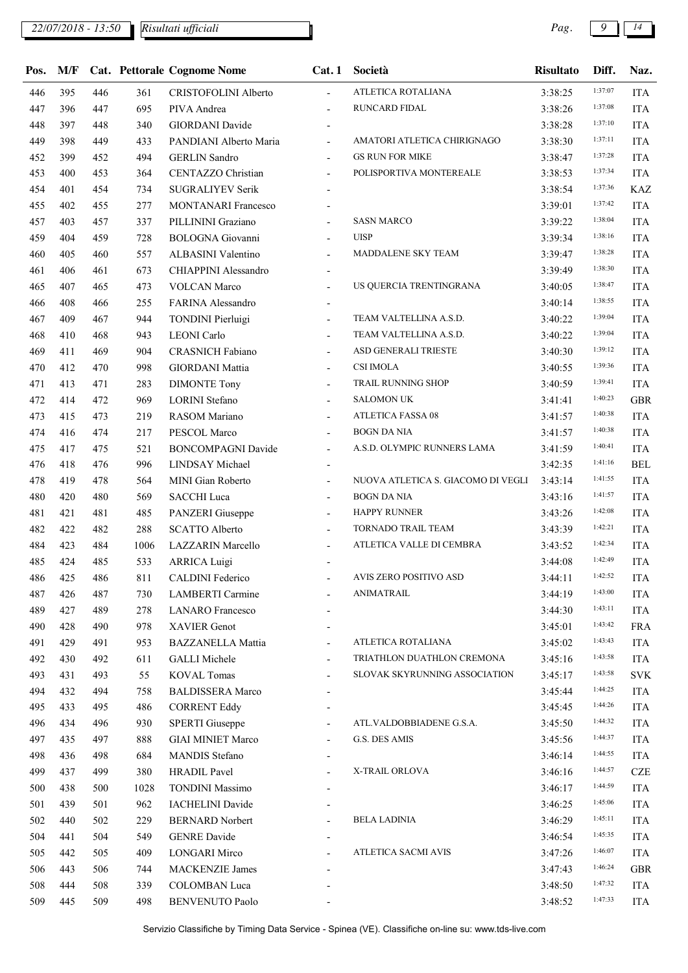## *22/07/2018 - 13:50 Pag. 9 14*

| Pos. | M/F |     |      | <b>Cat. Pettorale Cognome Nome</b> | Cat.1                    | Società                            | <b>Risultato</b>   | Diff.   | Naz.       |
|------|-----|-----|------|------------------------------------|--------------------------|------------------------------------|--------------------|---------|------------|
| 446  | 395 | 446 | 361  | CRISTOFOLINI Alberto               | $\overline{\phantom{a}}$ | ATLETICA ROTALIANA                 | 3:38:25            | 1:37:07 | <b>ITA</b> |
| 447  | 396 | 447 | 695  | PIVA Andrea                        | $\overline{a}$           | RUNCARD FIDAL                      | 3:38:26            | 1:37:08 | <b>ITA</b> |
| 448  | 397 | 448 | 340  | <b>GIORDANI</b> Davide             |                          |                                    | 3:38:28            | 1:37:10 | <b>ITA</b> |
| 449  | 398 | 449 | 433  | PANDIANI Alberto Maria             | $\overline{\phantom{a}}$ | AMATORI ATLETICA CHIRIGNAGO        | 3:38:30            | 1:37:11 | <b>ITA</b> |
| 452  | 399 | 452 | 494  | <b>GERLIN</b> Sandro               |                          | <b>GS RUN FOR MIKE</b>             | 3:38:47            | 1:37:28 | <b>ITA</b> |
| 453  | 400 | 453 | 364  | <b>CENTAZZO Christian</b>          | $\overline{\phantom{a}}$ | POLISPORTIVA MONTEREALE            | 3:38:53            | 1:37:34 | <b>ITA</b> |
| 454  | 401 | 454 | 734  | <b>SUGRALIYEV Serik</b>            |                          |                                    | 3:38:54            | 1:37:36 | <b>KAZ</b> |
| 455  | 402 | 455 | 277  | <b>MONTANARI Francesco</b>         |                          |                                    | 3:39:01            | 1:37:42 | <b>ITA</b> |
| 457  | 403 | 457 | 337  | PILLININI Graziano                 | $\overline{\phantom{a}}$ | <b>SASN MARCO</b>                  | 3:39:22            | 1:38:04 | <b>ITA</b> |
| 459  | 404 | 459 | 728  | <b>BOLOGNA</b> Giovanni            | $\overline{\phantom{a}}$ | <b>UISP</b>                        | 3:39:34            | 1:38:16 | <b>ITA</b> |
| 460  | 405 | 460 | 557  | ALBASINI Valentino                 | $\overline{\phantom{a}}$ | MADDALENE SKY TEAM                 | 3:39:47            | 1:38:28 | <b>ITA</b> |
| 461  | 406 | 461 | 673  | CHIAPPINI Alessandro               | $\overline{\phantom{a}}$ |                                    | 3:39:49            | 1:38:30 | <b>ITA</b> |
| 465  | 407 | 465 | 473  | <b>VOLCAN</b> Marco                | $\overline{\phantom{a}}$ | US QUERCIA TRENTINGRANA            | 3:40:05            | 1:38:47 | <b>ITA</b> |
| 466  | 408 | 466 | 255  | FARINA Alessandro                  |                          |                                    | 3:40:14            | 1:38:55 | <b>ITA</b> |
| 467  | 409 | 467 | 944  | <b>TONDINI</b> Pierluigi           | $\overline{\phantom{a}}$ | TEAM VALTELLINA A.S.D.             | 3:40:22            | 1:39:04 | <b>ITA</b> |
| 468  | 410 | 468 | 943  | <b>LEONI</b> Carlo                 | $\overline{\phantom{a}}$ | TEAM VALTELLINA A.S.D.             | 3:40:22            | 1:39:04 | <b>ITA</b> |
| 469  | 411 | 469 | 904  | <b>CRASNICH Fabiano</b>            | $\overline{\phantom{a}}$ | ASD GENERALI TRIESTE               | 3:40:30            | 1:39:12 | <b>ITA</b> |
| 470  | 412 | 470 | 998  | <b>GIORDANI</b> Mattia             | $\overline{\phantom{a}}$ | <b>CSI IMOLA</b>                   | 3:40:55            | 1:39:36 | <b>ITA</b> |
| 471  | 413 | 471 | 283  | <b>DIMONTE Tony</b>                | $\overline{\phantom{a}}$ | TRAIL RUNNING SHOP                 | 3:40:59            | 1:39:41 | <b>ITA</b> |
| 472  | 414 | 472 | 969  | <b>LORINI</b> Stefano              |                          | <b>SALOMON UK</b>                  | 3:41:41            | 1:40:23 | <b>GBR</b> |
| 473  | 415 | 473 | 219  | RASOM Mariano                      | $\overline{\phantom{a}}$ | <b>ATLETICA FASSA 08</b>           | 3:41:57            | 1:40:38 | <b>ITA</b> |
| 474  | 416 | 474 | 217  | PESCOL Marco                       | $\overline{\phantom{a}}$ | <b>BOGN DA NIA</b>                 | 3:41:57            | 1:40:38 | <b>ITA</b> |
| 475  | 417 | 475 | 521  | <b>BONCOMPAGNI Davide</b>          | $\blacksquare$           | A.S.D. OLYMPIC RUNNERS LAMA        | 3:41:59            | 1:40:41 | <b>ITA</b> |
| 476  | 418 | 476 | 996  | LINDSAY Michael                    | $\blacksquare$           |                                    | 3:42:35            | 1:41:16 | <b>BEL</b> |
| 478  | 419 | 478 | 564  | MINI Gian Roberto                  | $\overline{\phantom{a}}$ | NUOVA ATLETICA S. GIACOMO DI VEGLI | 3:43:14            | 1:41:55 | <b>ITA</b> |
| 480  | 420 | 480 | 569  | <b>SACCHI</b> Luca                 |                          | <b>BOGN DA NIA</b>                 | 3:43:16            | 1:41:57 | <b>ITA</b> |
| 481  | 421 | 481 | 485  | PANZERI Giuseppe                   | $\overline{\phantom{a}}$ | <b>HAPPY RUNNER</b>                | 3:43:26            | 1:42:08 | <b>ITA</b> |
| 482  | 422 | 482 | 288  | <b>SCATTO Alberto</b>              | $\blacksquare$           | TORNADO TRAIL TEAM                 | 3:43:39            | 1:42:21 | <b>ITA</b> |
| 484  | 423 | 484 | 1006 | <b>LAZZARIN</b> Marcello           | $\blacksquare$           | ATLETICA VALLE DI CEMBRA           | 3:43:52            | 1:42:34 | <b>ITA</b> |
| 485  | 424 | 485 | 533  | <b>ARRICA Luigi</b>                |                          |                                    | 3:44:08            | 1:42:49 | <b>ITA</b> |
| 486  | 425 | 486 | 811  | <b>CALDINI Federico</b>            |                          | AVIS ZERO POSITIVO ASD             | 3:44:11            | 1:42:52 | <b>ITA</b> |
| 487  | 426 | 487 | 730  | LAMBERTI Carmine                   |                          | ANIMATRAIL                         | 3:44:19            | 1:43:00 | <b>ITA</b> |
| 489  | 427 | 489 | 278  | <b>LANARO</b> Francesco            |                          |                                    | 3:44:30            | 1:43:11 | <b>ITA</b> |
| 490  | 428 | 490 | 978  | <b>XAVIER Genot</b>                |                          |                                    | 3:45:01            | 1:43:42 | <b>FRA</b> |
| 491  | 429 | 491 | 953  | <b>BAZZANELLA Mattia</b>           |                          | ATLETICA ROTALIANA                 | 3:45:02            | 1:43:43 | <b>ITA</b> |
| 492  | 430 | 492 | 611  | <b>GALLI</b> Michele               |                          | TRIATHLON DUATHLON CREMONA         | 3:45:16            | 1:43:58 | <b>ITA</b> |
| 493  | 431 | 493 | 55   | <b>KOVAL Tomas</b>                 | $\overline{\phantom{a}}$ | SLOVAK SKYRUNNING ASSOCIATION      | 3:45:17            | 1:43:58 | <b>SVK</b> |
| 494  | 432 | 494 | 758  | <b>BALDISSERA Marco</b>            |                          |                                    | 3:45:44            | 1:44:25 | <b>ITA</b> |
| 495  | 433 | 495 | 486  | <b>CORRENT Eddy</b>                |                          |                                    | 3:45:45            | 1:44:26 | <b>ITA</b> |
| 496  | 434 | 496 | 930  | <b>SPERTI</b> Giuseppe             | $\overline{\phantom{a}}$ | ATL.VALDOBBIADENE G.S.A.           | 3:45:50            | 1:44:32 | <b>ITA</b> |
| 497  | 435 | 497 | 888  | <b>GIAI MINIET Marco</b>           |                          | G.S. DES AMIS                      |                    | 1:44:37 | <b>ITA</b> |
| 498  | 436 | 498 | 684  | <b>MANDIS</b> Stefano              |                          |                                    | 3:45:56<br>3:46:14 | 1:44:55 | <b>ITA</b> |
| 499  | 437 | 499 | 380  | <b>HRADIL Pavel</b>                | $\overline{\phantom{a}}$ | X-TRAIL ORLOVA                     | 3:46:16            | 1:44:57 | <b>CZE</b> |
|      | 438 |     |      |                                    |                          |                                    |                    | 1:44:59 |            |
| 500  |     | 500 | 1028 | <b>TONDINI Massimo</b>             |                          |                                    | 3:46:17            | 1:45:06 | <b>ITA</b> |
| 501  | 439 | 501 | 962  | <b>IACHELINI</b> Davide            |                          | <b>BELA LADINIA</b>                | 3:46:25            | 1:45:11 | <b>ITA</b> |
| 502  | 440 | 502 | 229  | <b>BERNARD Norbert</b>             | $\overline{\phantom{a}}$ |                                    | 3:46:29            | 1:45:35 | <b>ITA</b> |
| 504  | 441 | 504 | 549  | <b>GENRE</b> Davide                |                          | <b>ATLETICA SACMI AVIS</b>         | 3:46:54            | 1:46:07 | <b>ITA</b> |
| 505  | 442 | 505 | 409  | <b>LONGARI Mirco</b>               |                          |                                    | 3:47:26            | 1:46:24 | <b>ITA</b> |
| 506  | 443 | 506 | 744  | <b>MACKENZIE James</b>             |                          |                                    | 3:47:43            | 1:47:32 | <b>GBR</b> |
| 508  | 444 | 508 | 339  | <b>COLOMBAN</b> Luca               |                          |                                    | 3:48:50            |         | <b>ITA</b> |
| 509  | 445 | 509 | 498  | <b>BENVENUTO Paolo</b>             |                          |                                    | 3:48:52            | 1:47:33 | <b>ITA</b> |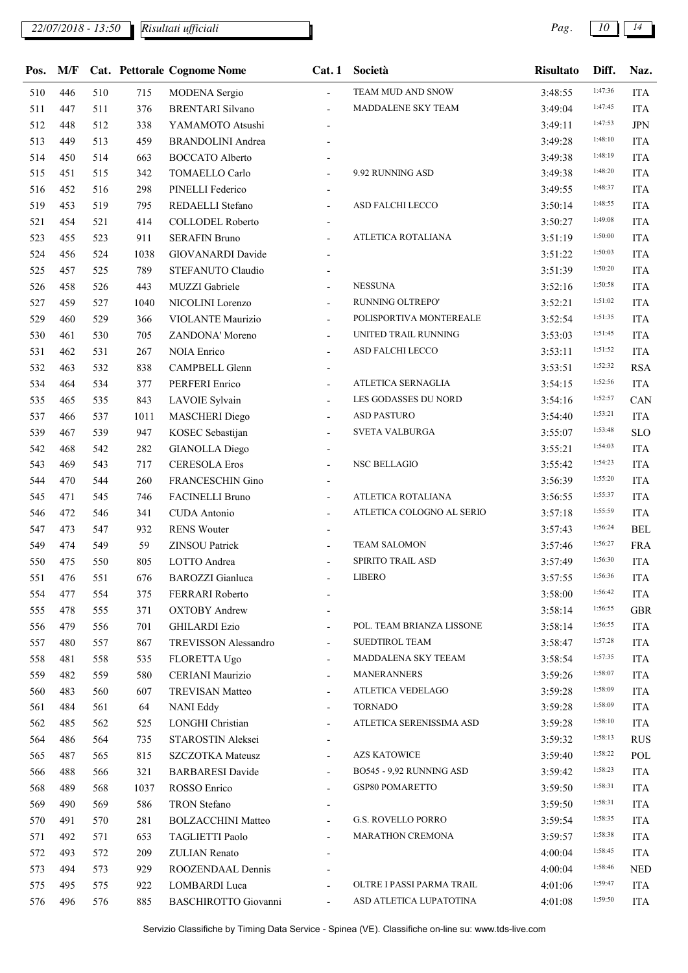| Pos. | M/F |     |      | <b>Cat. Pettorale Cognome Nome</b> | Cat.1                    | Società                   | <b>Risultato</b> | Diff.   | Naz.       |
|------|-----|-----|------|------------------------------------|--------------------------|---------------------------|------------------|---------|------------|
| 510  | 446 | 510 | 715  | <b>MODENA</b> Sergio               | $\overline{\phantom{a}}$ | TEAM MUD AND SNOW         | 3:48:55          | 1:47:36 | <b>ITA</b> |
| 511  | 447 | 511 | 376  | <b>BRENTARI Silvano</b>            | $\overline{\phantom{a}}$ | MADDALENE SKY TEAM        | 3:49:04          | 1:47:45 | <b>ITA</b> |
| 512  | 448 | 512 | 338  | YAMAMOTO Atsushi                   |                          |                           | 3:49:11          | 1:47:53 | <b>JPN</b> |
| 513  | 449 | 513 | 459  | <b>BRANDOLINI</b> Andrea           |                          |                           | 3:49:28          | 1:48:10 | <b>ITA</b> |
| 514  | 450 | 514 | 663  | <b>BOCCATO</b> Alberto             |                          |                           | 3:49:38          | 1:48:19 | <b>ITA</b> |
| 515  | 451 | 515 | 342  | TOMAELLO Carlo                     |                          | 9.92 RUNNING ASD          | 3:49:38          | 1:48:20 | <b>ITA</b> |
| 516  | 452 | 516 | 298  | PINELLI Federico                   |                          |                           | 3:49:55          | 1:48:37 | <b>ITA</b> |
| 519  | 453 | 519 | 795  | REDAELLI Stefano                   | $\overline{a}$           | ASD FALCHI LECCO          | 3:50:14          | 1:48:55 | <b>ITA</b> |
| 521  | 454 | 521 | 414  | <b>COLLODEL Roberto</b>            | $\overline{\phantom{a}}$ |                           | 3:50:27          | 1:49:08 | <b>ITA</b> |
| 523  | 455 | 523 | 911  | <b>SERAFIN Bruno</b>               | $\blacksquare$           | ATLETICA ROTALIANA        | 3:51:19          | 1:50:00 | <b>ITA</b> |
| 524  | 456 | 524 | 1038 | GIOVANARDI Davide                  | $\overline{\phantom{a}}$ |                           | 3:51:22          | 1:50:03 | <b>ITA</b> |
| 525  | 457 | 525 | 789  | STEFANUTO Claudio                  | $\blacksquare$           |                           | 3:51:39          | 1:50:20 | <b>ITA</b> |
| 526  | 458 | 526 | 443  | MUZZI Gabriele                     | $\overline{\phantom{0}}$ | <b>NESSUNA</b>            | 3:52:16          | 1:50:58 | <b>ITA</b> |
| 527  | 459 | 527 | 1040 | NICOLINI Lorenzo                   | $\overline{\phantom{a}}$ | RUNNING OLTREPO'          | 3:52:21          | 1:51:02 | <b>ITA</b> |
| 529  | 460 | 529 | 366  | VIOLANTE Maurizio                  | $\overline{\phantom{a}}$ | POLISPORTIVA MONTEREALE   | 3:52:54          | 1:51:35 | <b>ITA</b> |
| 530  | 461 | 530 | 705  | ZANDONA' Moreno                    | $\overline{\phantom{a}}$ | UNITED TRAIL RUNNING      | 3:53:03          | 1:51:45 | <b>ITA</b> |
| 531  | 462 | 531 | 267  | <b>NOIA Enrico</b>                 | $\overline{\phantom{a}}$ | ASD FALCHI LECCO          | 3:53:11          | 1:51:52 | <b>ITA</b> |
| 532  | 463 | 532 | 838  | CAMPBELL Glenn                     | $\blacksquare$           |                           | 3:53:51          | 1:52:32 | <b>RSA</b> |
| 534  | 464 | 534 | 377  | PERFERI Enrico                     | $\overline{\phantom{0}}$ | <b>ATLETICA SERNAGLIA</b> | 3:54:15          | 1:52:56 | <b>ITA</b> |
| 535  | 465 | 535 | 843  | LAVOIE Sylvain                     | $\overline{\phantom{a}}$ | LES GODASSES DU NORD      | 3:54:16          | 1:52:57 | CAN        |
| 537  | 466 | 537 | 1011 | <b>MASCHERI</b> Diego              | $\overline{\phantom{a}}$ | <b>ASD PASTURO</b>        | 3:54:40          | 1:53:21 | <b>ITA</b> |
| 539  | 467 | 539 | 947  | KOSEC Sebastijan                   | $\overline{\phantom{a}}$ | SVETA VALBURGA            | 3:55:07          | 1:53:48 | <b>SLO</b> |
| 542  | 468 | 542 | 282  | <b>GIANOLLA Diego</b>              | $\overline{\phantom{a}}$ |                           | 3:55:21          | 1:54:03 | <b>ITA</b> |
| 543  | 469 | 543 | 717  | <b>CERESOLA Eros</b>               | $\overline{\phantom{a}}$ | <b>NSC BELLAGIO</b>       | 3:55:42          | 1:54:23 | <b>ITA</b> |
| 544  | 470 | 544 | 260  | FRANCESCHIN Gino                   | $\overline{\phantom{0}}$ |                           | 3:56:39          | 1:55:20 | <b>ITA</b> |
| 545  | 471 | 545 | 746  | FACINELLI Bruno                    | $\overline{\phantom{a}}$ | ATLETICA ROTALIANA        | 3:56:55          | 1:55:37 | <b>ITA</b> |
| 546  | 472 | 546 | 341  | <b>CUDA</b> Antonio                | $\overline{\phantom{a}}$ | ATLETICA COLOGNO AL SERIO | 3:57:18          | 1:55:59 | <b>ITA</b> |
| 547  | 473 | 547 | 932  | <b>RENS Wouter</b>                 |                          |                           | 3:57:43          | 1:56:24 | <b>BEL</b> |
| 549  | 474 | 549 | 59   | ZINSOU Patrick                     |                          | <b>TEAM SALOMON</b>       | 3:57:46          | 1:56:27 | <b>FRA</b> |
| 550  | 475 | 550 | 805  | LOTTO Andrea                       |                          | SPIRITO TRAIL ASD         | 3:57:49          | 1:56:30 | <b>ITA</b> |
| 551  | 476 | 551 | 676  | <b>BAROZZI</b> Gianluca            | $\overline{\phantom{a}}$ | <b>LIBERO</b>             | 3:57:55          | 1:56:36 | <b>ITA</b> |
| 554  | 477 | 554 | 375  | FERRARI Roberto                    |                          |                           | 3:58:00          | 1:56:42 | <b>ITA</b> |
| 555  | 478 | 555 | 371  | <b>OXTOBY Andrew</b>               |                          |                           | 3:58:14          | 1:56:55 | <b>GBR</b> |
| 556  | 479 | 556 | 701  | <b>GHILARDI Ezio</b>               | $\overline{\phantom{0}}$ | POL. TEAM BRIANZA LISSONE | 3:58:14          | 1:56:55 | ITA        |
| 557  | 480 | 557 | 867  | TREVISSON Alessandro               | $\overline{\phantom{a}}$ | <b>SUEDTIROL TEAM</b>     | 3:58:47          | 1:57:28 | <b>ITA</b> |
| 558  | 481 | 558 | 535  | FLORETTA Ugo                       | $\overline{\phantom{0}}$ | MADDALENA SKY TEEAM       | 3:58:54          | 1:57:35 | <b>ITA</b> |
| 559  | 482 | 559 | 580  | CERIANI Maurizio                   | -                        | <b>MANERANNERS</b>        | 3:59:26          | 1:58:07 | <b>ITA</b> |
| 560  | 483 | 560 | 607  | <b>TREVISAN Matteo</b>             | $\overline{\phantom{a}}$ | ATLETICA VEDELAGO         | 3:59:28          | 1:58:09 | <b>ITA</b> |
| 561  | 484 | 561 | 64   | <b>NANI Eddy</b>                   | $\overline{\phantom{0}}$ | <b>TORNADO</b>            | 3:59:28          | 1:58:09 | <b>ITA</b> |
| 562  | 485 | 562 | 525  | LONGHI Christian                   | $\overline{\phantom{a}}$ | ATLETICA SERENISSIMA ASD  | 3:59:28          | 1:58:10 | <b>ITA</b> |
| 564  | 486 | 564 | 735  | STAROSTIN Aleksei                  | $\overline{\phantom{a}}$ |                           | 3:59:32          | 1:58:13 | <b>RUS</b> |
| 565  | 487 | 565 | 815  | <b>SZCZOTKA</b> Mateusz            | $\overline{\phantom{a}}$ | <b>AZS KATOWICE</b>       | 3:59:40          | 1:58:22 | POL        |
| 566  | 488 | 566 | 321  | <b>BARBARESI</b> Davide            | $\overline{\phantom{0}}$ | BO545 - 9,92 RUNNING ASD  | 3:59:42          | 1:58:23 | <b>ITA</b> |
| 568  | 489 | 568 | 1037 | ROSSO Enrico                       | $\overline{a}$           | GSP80 POMARETTO           | 3:59:50          | 1:58:31 | <b>ITA</b> |
| 569  | 490 | 569 | 586  | <b>TRON</b> Stefano                |                          |                           | 3:59:50          | 1:58:31 | <b>ITA</b> |
| 570  | 491 | 570 | 281  | <b>BOLZACCHINI Matteo</b>          | $\overline{\phantom{a}}$ | G.S. ROVELLO PORRO        | 3:59:54          | 1:58:35 | <b>ITA</b> |
| 571  | 492 | 571 | 653  | TAGLIETTI Paolo                    | $\overline{\phantom{a}}$ | <b>MARATHON CREMONA</b>   | 3:59:57          | 1:58:38 | <b>ITA</b> |
| 572  | 493 | 572 | 209  | ZULIAN Renato                      |                          |                           | 4:00:04          | 1:58:45 | <b>ITA</b> |
| 573  | 494 | 573 | 929  | ROOZENDAAL Dennis                  |                          |                           | 4:00:04          | 1:58:46 | <b>NED</b> |
| 575  | 495 | 575 | 922  | LOMBARDI Luca                      |                          | OLTRE I PASSI PARMA TRAIL | 4:01:06          | 1:59:47 | <b>ITA</b> |
| 576  | 496 | 576 | 885  | BASCHIROTTO Giovanni               | $\overline{\phantom{a}}$ | ASD ATLETICA LUPATOTINA   | 4:01:08          | 1:59:50 | <b>ITA</b> |
|      |     |     |      |                                    |                          |                           |                  |         |            |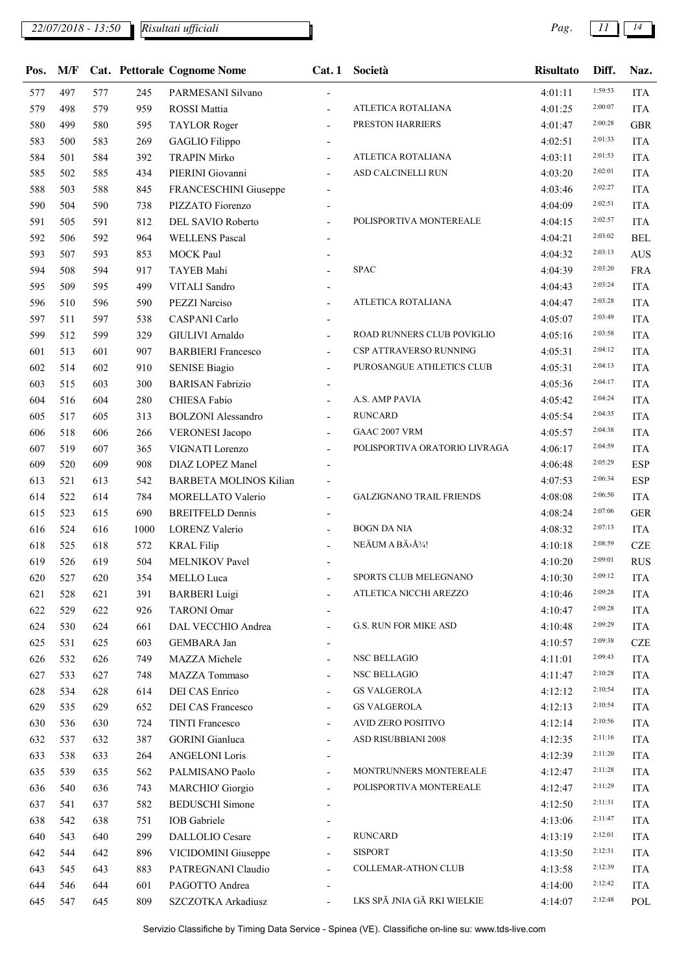*22/07/2018 - 13:50 Pag. 11 14*

*Risultati ufficiali*

| Pos. | M/F |     |      | <b>Cat. Pettorale Cognome Nome</b> | Cat.1                    | Società                         | <b>Risultato</b> | Diff.   | Naz.       |
|------|-----|-----|------|------------------------------------|--------------------------|---------------------------------|------------------|---------|------------|
| 577  | 497 | 577 | 245  | PARMESANI Silvano                  |                          |                                 | 4:01:11          | 1:59:53 | <b>ITA</b> |
| 579  | 498 | 579 | 959  | ROSSI Mattia                       |                          | ATLETICA ROTALIANA              | 4:01:25          | 2:00:07 | <b>ITA</b> |
| 580  | 499 | 580 | 595  | <b>TAYLOR Roger</b>                | $\overline{a}$           | PRESTON HARRIERS                | 4:01:47          | 2:00:28 | <b>GBR</b> |
| 583  | 500 | 583 | 269  | GAGLIO Filippo                     |                          |                                 | 4:02:51          | 2:01:33 | <b>ITA</b> |
| 584  | 501 | 584 | 392  | <b>TRAPIN Mirko</b>                |                          | ATLETICA ROTALIANA              | 4:03:11          | 2:01:53 | <b>ITA</b> |
| 585  | 502 | 585 | 434  | PIERINI Giovanni                   |                          | ASD CALCINELLI RUN              | 4:03:20          | 2:02:01 | <b>ITA</b> |
| 588  | 503 | 588 | 845  | FRANCESCHINI Giuseppe              |                          |                                 | 4:03:46          | 2:02:27 | <b>ITA</b> |
| 590  | 504 | 590 | 738  | PIZZATO Fiorenzo                   |                          |                                 | 4:04:09          | 2:02:51 | <b>ITA</b> |
| 591  | 505 | 591 | 812  | DEL SAVIO Roberto                  | $\overline{\phantom{a}}$ | POLISPORTIVA MONTEREALE         | 4:04:15          | 2:02:57 | <b>ITA</b> |
| 592  | 506 | 592 | 964  | <b>WELLENS Pascal</b>              |                          |                                 | 4:04:21          | 2:03:02 | <b>BEL</b> |
| 593  | 507 | 593 | 853  | MOCK Paul                          |                          |                                 | 4:04:32          | 2:03:13 | <b>AUS</b> |
| 594  | 508 | 594 | 917  | TAYEB Mahi                         |                          | <b>SPAC</b>                     | 4:04:39          | 2:03:20 | <b>FRA</b> |
| 595  | 509 | 595 | 499  | VITALI Sandro                      |                          |                                 | 4:04:43          | 2:03:24 | <b>ITA</b> |
| 596  | 510 | 596 | 590  | <b>PEZZI Narciso</b>               | $\overline{\phantom{a}}$ | ATLETICA ROTALIANA              | 4:04:47          | 2:03:28 | <b>ITA</b> |
| 597  | 511 | 597 | 538  | <b>CASPANI Carlo</b>               | $\overline{\phantom{a}}$ |                                 | 4:05:07          | 2:03:49 | <b>ITA</b> |
| 599  | 512 | 599 | 329  | GIULIVI Arnaldo                    | $\overline{\phantom{0}}$ | ROAD RUNNERS CLUB POVIGLIO      | 4:05:16          | 2:03:58 | <b>ITA</b> |
| 601  | 513 | 601 | 907  | <b>BARBIERI</b> Francesco          | $\overline{\phantom{a}}$ | CSP ATTRAVERSO RUNNING          | 4:05:31          | 2:04:12 | <b>ITA</b> |
| 602  | 514 | 602 | 910  | <b>SENISE Biagio</b>               | $\blacksquare$           | PUROSANGUE ATHLETICS CLUB       | 4:05:31          | 2:04:13 | <b>ITA</b> |
| 603  | 515 | 603 | 300  | <b>BARISAN Fabrizio</b>            |                          |                                 | 4:05:36          | 2:04:17 | <b>ITA</b> |
| 604  | 516 | 604 | 280  | CHIESA Fabio                       | $\overline{\phantom{a}}$ | A.S. AMP PAVIA                  | 4:05:42          | 2:04:24 | <b>ITA</b> |
| 605  | 517 | 605 | 313  | <b>BOLZONI</b> Alessandro          | $\overline{\phantom{a}}$ | <b>RUNCARD</b>                  | 4:05:54          | 2:04:35 | <b>ITA</b> |
| 606  | 518 | 606 | 266  | <b>VERONESI</b> Jacopo             |                          | GAAC 2007 VRM                   | 4:05:57          | 2:04:38 | <b>ITA</b> |
| 607  | 519 | 607 | 365  | VIGNATI Lorenzo                    | $\overline{\phantom{a}}$ | POLISPORTIVA ORATORIO LIVRAGA   | 4:06:17          | 2:04:59 | <b>ITA</b> |
| 609  | 520 | 609 | 908  | DIAZ LOPEZ Manel                   |                          |                                 | 4:06:48          | 2:05:29 | <b>ESP</b> |
| 613  | 521 | 613 | 542  | <b>BARBETA MOLINOS Kilian</b>      |                          |                                 | 4:07:53          | 2:06:34 | <b>ESP</b> |
| 614  | 522 | 614 | 784  | MORELLATO Valerio                  | $\overline{\phantom{a}}$ | <b>GALZIGNANO TRAIL FRIENDS</b> | 4:08:08          | 2:06:50 | <b>ITA</b> |
| 615  | 523 | 615 | 690  | <b>BREITFELD Dennis</b>            |                          |                                 | 4:08:24          | 2:07:06 | <b>GER</b> |
| 616  | 524 | 616 | 1000 | LORENZ Valerio                     |                          | <b>BOGN DA NIA</b>              | 4:08:32          | 2:07:13 | <b>ITA</b> |
| 618  | 525 | 618 | 572  | <b>KRAL Filip</b>                  |                          | NEÄUM A BÄ>Å <sup>3</sup> /4!   | 4:10:18          | 2:08:59 | <b>CZE</b> |
| 619  | 526 | 619 | 504  | MELNIKOV Pavel                     |                          |                                 | 4:10:20          | 2:09:01 | <b>RUS</b> |
| 620  | 527 | 620 | 354  | MELLO Luca                         |                          | SPORTS CLUB MELEGNANO           | 4:10:30          | 2:09:12 | <b>ITA</b> |
| 621  | 528 | 621 | 391  | <b>BARBERI</b> Luigi               |                          | ATLETICA NICCHI AREZZO          | 4:10:46          | 2:09:28 | <b>ITA</b> |
| 622  | 529 | 622 | 926  | <b>TARONI Omar</b>                 |                          |                                 | 4:10:47          | 2:09:28 | <b>ITA</b> |
| 624  | 530 | 624 | 661  | DAL VECCHIO Andrea                 | $\overline{\phantom{0}}$ | G.S. RUN FOR MIKE ASD           | 4:10:48          | 2:09:29 | <b>ITA</b> |
| 625  | 531 | 625 | 603  | GEMBARA Jan                        |                          |                                 | 4:10:57          | 2:09:38 | <b>CZE</b> |
| 626  | 532 | 626 | 749  | MAZZA Michele                      | $\blacksquare$           | NSC BELLAGIO                    | 4:11:01          | 2:09:43 | <b>ITA</b> |
| 627  | 533 | 627 | 748  | MAZZA Tommaso                      |                          | NSC BELLAGIO                    | 4:11:47          | 2:10:28 | <b>ITA</b> |
| 628  | 534 | 628 | 614  | DEI CAS Enrico                     |                          | <b>GS VALGEROLA</b>             | 4:12:12          | 2:10:54 | <b>ITA</b> |
| 629  | 535 | 629 | 652  | DEI CAS Francesco                  | $\overline{\phantom{a}}$ | <b>GS VALGEROLA</b>             | 4:12:13          | 2:10:54 | <b>ITA</b> |
| 630  | 536 | 630 | 724  | <b>TINTI Francesco</b>             | $\overline{\phantom{a}}$ | AVID ZERO POSITIVO              | 4:12:14          | 2:10:56 | <b>ITA</b> |
| 632  | 537 | 632 | 387  | <b>GORINI</b> Gianluca             | $\overline{\phantom{a}}$ | ASD RISUBBIANI 2008             | 4:12:35          | 2:11:16 | <b>ITA</b> |
| 633  | 538 | 633 | 264  | <b>ANGELONI</b> Loris              | $\overline{\phantom{a}}$ |                                 | 4:12:39          | 2:11:20 | <b>ITA</b> |
| 635  | 539 | 635 | 562  | PALMISANO Paolo                    | $\overline{\phantom{0}}$ | MONTRUNNERS MONTEREALE          | 4:12:47          | 2:11:28 | <b>ITA</b> |
| 636  | 540 | 636 | 743  | <b>MARCHIO' Giorgio</b>            | $\overline{\phantom{a}}$ | POLISPORTIVA MONTEREALE         | 4:12:47          | 2:11:29 | <b>ITA</b> |
| 637  | 541 | 637 | 582  | <b>BEDUSCHI</b> Simone             |                          |                                 | 4:12:50          | 2:11:31 | <b>ITA</b> |
| 638  | 542 | 638 | 751  | <b>IOB</b> Gabriele                |                          |                                 | 4:13:06          | 2:11:47 | <b>ITA</b> |
| 640  | 543 | 640 | 299  | DALLOLIO Cesare                    |                          | <b>RUNCARD</b>                  | 4:13:19          | 2:12:01 | <b>ITA</b> |
| 642  | 544 | 642 | 896  | VICIDOMINI Giuseppe                | $\blacksquare$           | <b>SISPORT</b>                  | 4:13:50          | 2:12:31 | <b>ITA</b> |
| 643  | 545 | 643 | 883  | PATREGNANI Claudio                 |                          | COLLEMAR-ATHON CLUB             | 4:13:58          | 2:12:39 | <b>ITA</b> |
| 644  | 546 | 644 | 601  | PAGOTTO Andrea                     |                          |                                 | 4:14:00          | 2:12:42 | <b>ITA</b> |
| 645  | 547 | 645 | 809  | SZCZOTKA Arkadiusz                 | $\overline{\phantom{a}}$ | LKS SPÃ JNIA GÃ RKI WIELKIE     | 4:14:07          | 2:12:48 | POL        |
|      |     |     |      |                                    |                          |                                 |                  |         |            |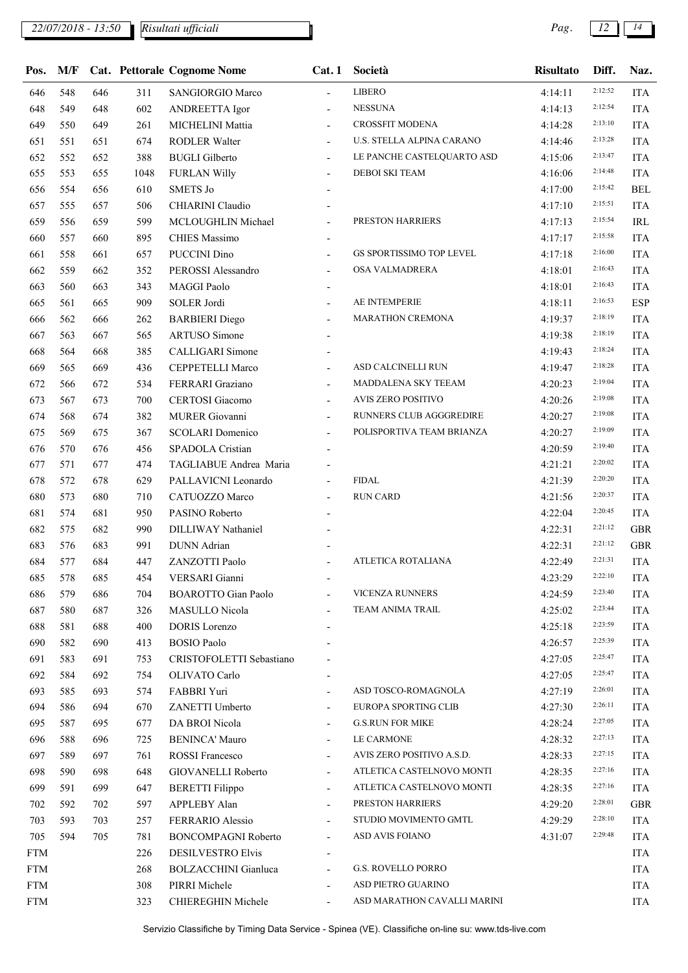*22/07/2018 - 13:50 Pag. 12 14*

*Risultati ufficiali*

| Pos.        | M/F |     |      | <b>Cat. Pettorale Cognome Nome</b> | Cat.1                    | Società                         | <b>Risultato</b> | Diff.   | Naz.       |
|-------------|-----|-----|------|------------------------------------|--------------------------|---------------------------------|------------------|---------|------------|
| 646         | 548 | 646 | 311  | <b>SANGIORGIO Marco</b>            | $\blacksquare$           | <b>LIBERO</b>                   | 4:14:11          | 2:12:52 | <b>ITA</b> |
| 648         | 549 | 648 | 602  | <b>ANDREETTA Igor</b>              | $\overline{\phantom{a}}$ | <b>NESSUNA</b>                  | 4:14:13          | 2:12:54 | <b>ITA</b> |
| 649         | 550 | 649 | 261  | MICHELINI Mattia                   | $\blacksquare$           | <b>CROSSFIT MODENA</b>          | 4:14:28          | 2:13:10 | <b>ITA</b> |
| 651         | 551 | 651 | 674  | RODLER Walter                      | $\overline{\phantom{0}}$ | U.S. STELLA ALPINA CARANO       | 4:14:46          | 2:13:28 | <b>ITA</b> |
| 652         | 552 | 652 | 388  | <b>BUGLI</b> Gilberto              | $\sim$                   | LE PANCHE CASTELQUARTO ASD      | 4:15:06          | 2:13:47 | <b>ITA</b> |
| 655         | 553 | 655 | 1048 | <b>FURLAN Willy</b>                | $\overline{a}$           | DEBOI SKI TEAM                  | 4:16:06          | 2:14:48 | <b>ITA</b> |
| 656         | 554 | 656 | 610  | <b>SMETS Jo</b>                    |                          |                                 | 4:17:00          | 2:15:42 | <b>BEL</b> |
| 657         | 555 | 657 | 506  | CHIARINI Claudio                   |                          |                                 | 4:17:10          | 2:15:51 | <b>ITA</b> |
| 659         | 556 | 659 | 599  | MCLOUGHLIN Michael                 | $\overline{\phantom{a}}$ | PRESTON HARRIERS                | 4:17:13          | 2:15:54 | IRL        |
| 660         | 557 | 660 | 895  | <b>CHIES Massimo</b>               | $\overline{\phantom{a}}$ |                                 | 4:17:17          | 2:15:58 | <b>ITA</b> |
| 661         | 558 | 661 | 657  | PUCCINI Dino                       |                          | <b>GS SPORTISSIMO TOP LEVEL</b> | 4:17:18          | 2:16:00 | <b>ITA</b> |
| 662         | 559 | 662 | 352  | PEROSSI Alessandro                 | $\overline{\phantom{a}}$ | OSA VALMADRERA                  | 4:18:01          | 2:16:43 | <b>ITA</b> |
| 663         | 560 | 663 | 343  | MAGGI Paolo                        | $\overline{\phantom{a}}$ |                                 | 4:18:01          | 2:16:43 | <b>ITA</b> |
| 665         | 561 | 665 | 909  | SOLER Jordi                        |                          | AE INTEMPERIE                   | 4:18:11          | 2:16:53 | <b>ESP</b> |
| 666         | 562 | 666 | 262  | <b>BARBIERI</b> Diego              | $\overline{\phantom{a}}$ | <b>MARATHON CREMONA</b>         | 4:19:37          | 2:18:19 | <b>ITA</b> |
| 667         | 563 | 667 | 565  | <b>ARTUSO</b> Simone               |                          |                                 | 4:19:38          | 2:18:19 | <b>ITA</b> |
| 668         | 564 | 668 | 385  | CALLIGARI Simone                   |                          |                                 | 4:19:43          | 2:18:24 | <b>ITA</b> |
| 669         | 565 | 669 | 436  | CEPPETELLI Marco                   | $\overline{\phantom{a}}$ | ASD CALCINELLI RUN              | 4:19:47          | 2:18:28 | <b>ITA</b> |
| 672         | 566 | 672 | 534  | FERRARI Graziano                   | $\overline{\phantom{a}}$ | MADDALENA SKY TEEAM             | 4:20:23          | 2:19:04 | <b>ITA</b> |
| 673         | 567 | 673 | 700  | <b>CERTOSI</b> Giacomo             | $\overline{\phantom{a}}$ | AVIS ZERO POSITIVO              | 4:20:26          | 2:19:08 | <b>ITA</b> |
| 674         | 568 | 674 | 382  | MURER Giovanni                     | $\blacksquare$           | RUNNERS CLUB AGGGREDIRE         | 4:20:27          | 2:19:08 | <b>ITA</b> |
| 675         | 569 | 675 | 367  | <b>SCOLARI</b> Domenico            | $\overline{\phantom{0}}$ | POLISPORTIVA TEAM BRIANZA       | 4:20:27          | 2:19:09 | <b>ITA</b> |
| 676         | 570 | 676 | 456  | SPADOLA Cristian                   |                          |                                 | 4:20:59          | 2:19:40 | <b>ITA</b> |
| 677         | 571 | 677 | 474  | TAGLIABUE Andrea Maria             |                          |                                 | 4:21:21          | 2:20:02 | <b>ITA</b> |
| 678         | 572 | 678 | 629  | PALLAVICNI Leonardo                | $\overline{\phantom{0}}$ | <b>FIDAL</b>                    | 4:21:39          | 2:20:20 | <b>ITA</b> |
| 680         | 573 | 680 | 710  | CATUOZZO Marco                     |                          | <b>RUN CARD</b>                 | 4:21:56          | 2:20:37 | <b>ITA</b> |
| 681         | 574 | 681 | 950  | PASINO Roberto                     |                          |                                 | 4:22:04          | 2:20:45 | <b>ITA</b> |
| 682         | 575 | 682 | 990  | DILLIWAY Nathaniel                 |                          |                                 | 4:22:31          | 2:21:12 | <b>GBR</b> |
| 683         | 576 | 683 | 991  | <b>DUNN</b> Adrian                 |                          |                                 | 4:22:31          | 2:21:12 | <b>GBR</b> |
| 684         | 577 | 684 | 447  | ZANZOTTI Paolo                     |                          | ATLETICA ROTALIANA              | 4:22:49          | 2:21:31 | <b>ITA</b> |
| 685         | 578 | 685 | 454  | VERSARI Gianni                     |                          |                                 | 4:23:29          | 2:22:10 | <b>ITA</b> |
| 686         | 579 | 686 | 704  | <b>BOAROTTO Gian Paolo</b>         |                          | <b>VICENZA RUNNERS</b>          | 4:24:59          | 2:23:40 | <b>ITA</b> |
| 687         | 580 | 687 | 326  | MASULLO Nicola                     |                          | TEAM ANIMA TRAIL                | 4:25:02          | 2:23:44 | <b>ITA</b> |
| 688         | 581 | 688 | 400  | <b>DORIS</b> Lorenzo               |                          |                                 | 4:25:18          | 2:23:59 | <b>ITA</b> |
| 690         | 582 | 690 | 413  | <b>BOSIO</b> Paolo                 |                          |                                 | 4:26:57          | 2:25:39 | <b>ITA</b> |
| 691         | 583 | 691 | 753  | CRISTOFOLETTI Sebastiano           |                          |                                 | 4:27:05          | 2:25:47 | <b>ITA</b> |
| 692         | 584 | 692 | 754  | OLIVATO Carlo                      |                          |                                 | 4:27:05          | 2:25:47 | <b>ITA</b> |
| 693         | 585 | 693 | 574  | FABBRI Yuri                        |                          | ASD TOSCO-ROMAGNOLA             | 4:27:19          | 2:26:01 | <b>ITA</b> |
| 694         | 586 | 694 | 670  | ZANETTI Umberto                    | $\overline{\phantom{a}}$ | <b>EUROPA SPORTING CLIB</b>     | 4:27:30          | 2:26:11 | <b>ITA</b> |
| 695         | 587 | 695 | 677  | DA BROI Nicola                     | $\overline{\phantom{a}}$ | <b>G.S.RUN FOR MIKE</b>         | 4:28:24          | 2:27:05 | <b>ITA</b> |
| 696         | 588 | 696 | 725  | <b>BENINCA' Mauro</b>              | $\overline{\phantom{a}}$ | LE CARMONE                      | 4:28:32          | 2:27:13 | <b>ITA</b> |
| 697         | 589 | 697 | 761  | <b>ROSSI</b> Francesco             | $\overline{\phantom{a}}$ | AVIS ZERO POSITIVO A.S.D.       | 4:28:33          | 2:27:15 | <b>ITA</b> |
| 698         | 590 | 698 | 648  | <b>GIOVANELLI Roberto</b>          | $\overline{\phantom{a}}$ | ATLETICA CASTELNOVO MONTI       | 4:28:35          | 2:27:16 | <b>ITA</b> |
| 699         | 591 | 699 | 647  | <b>BERETTI</b> Filippo             |                          | ATLETICA CASTELNOVO MONTI       | 4:28:35          | 2:27:16 | <b>ITA</b> |
| 702         | 592 | 702 | 597  | APPLEBY Alan                       | $\overline{\phantom{a}}$ | PRESTON HARRIERS                | 4:29:20          | 2:28:01 | <b>GBR</b> |
| 703         | 593 | 703 | 257  | FERRARIO Alessio                   | $\overline{\phantom{a}}$ | STUDIO MOVIMENTO GMTL           | 4:29:29          | 2:28:10 | <b>ITA</b> |
| 705         | 594 | 705 | 781  | <b>BONCOMPAGNI Roberto</b>         | $\overline{\phantom{a}}$ | ASD AVIS FOIANO                 | 4:31:07          | 2:29:48 | <b>ITA</b> |
| <b>FTM</b>  |     |     | 226  | DESILVESTRO Elvis                  |                          |                                 |                  |         | <b>ITA</b> |
| <b>FTM</b>  |     |     | 268  | <b>BOLZACCHINI</b> Gianluca        | $\overline{\phantom{a}}$ | <b>G.S. ROVELLO PORRO</b>       |                  |         | <b>ITA</b> |
| ${\rm FTM}$ |     |     | 308  | PIRRI Michele                      |                          | ASD PIETRO GUARINO              |                  |         | <b>ITA</b> |
| <b>FTM</b>  |     |     | 323  | <b>CHIEREGHIN Michele</b>          | $\sim$                   | ASD MARATHON CAVALLI MARINI     |                  |         | <b>ITA</b> |
|             |     |     |      |                                    |                          |                                 |                  |         |            |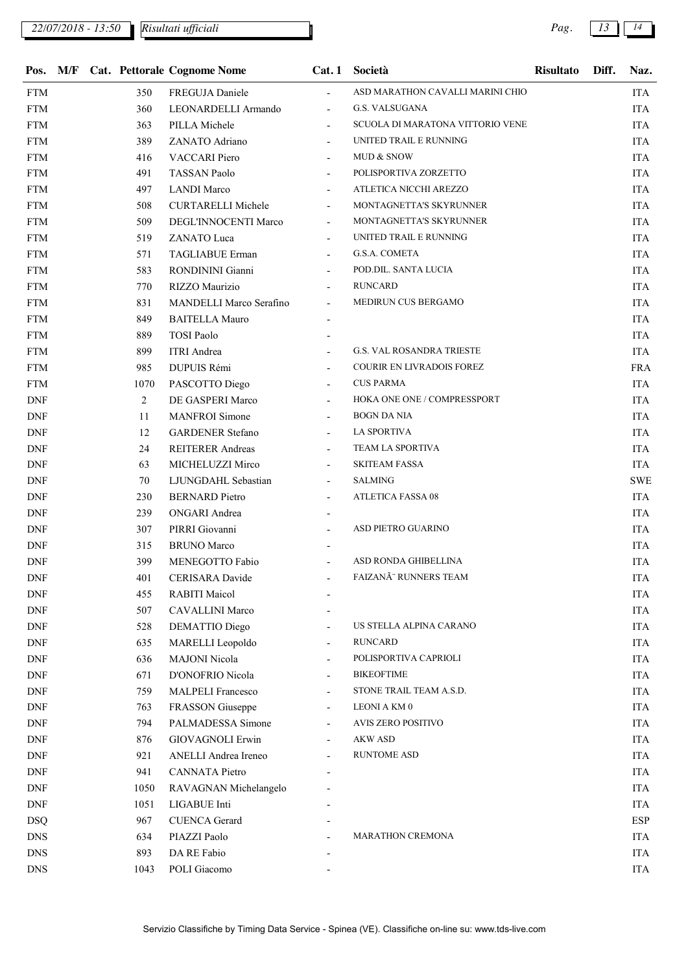|                             |  |      | Pos. M/F Cat. Pettorale Cognome Nome | Cat.1                    | Società                          | <b>Risultato</b> | Diff. | Naz.       |
|-----------------------------|--|------|--------------------------------------|--------------------------|----------------------------------|------------------|-------|------------|
| <b>FTM</b>                  |  | 350  | FREGUJA Daniele                      | $\overline{a}$           | ASD MARATHON CAVALLI MARINI CHIO |                  |       | ITA        |
| <b>FTM</b>                  |  | 360  | LEONARDELLI Armando                  | $\blacksquare$           | <b>G.S. VALSUGANA</b>            |                  |       | <b>ITA</b> |
| FTM                         |  | 363  | PILLA Michele                        |                          | SCUOLA DI MARATONA VITTORIO VENE |                  |       | <b>ITA</b> |
| <b>FTM</b>                  |  | 389  | ZANATO Adriano                       |                          | UNITED TRAIL E RUNNING           |                  |       | <b>ITA</b> |
| <b>FTM</b>                  |  | 416  | <b>VACCARI</b> Piero                 |                          | MUD & SNOW                       |                  |       | ITA        |
| FTM                         |  | 491  | <b>TASSAN Paolo</b>                  |                          | POLISPORTIVA ZORZETTO            |                  |       | ITA        |
| <b>FTM</b>                  |  | 497  | <b>LANDI Marco</b>                   |                          | ATLETICA NICCHI AREZZO           |                  |       | <b>ITA</b> |
| <b>FTM</b>                  |  | 508  | <b>CURTARELLI Michele</b>            | $\overline{\phantom{a}}$ | MONTAGNETTA'S SKYRUNNER          |                  |       | <b>ITA</b> |
| FTM                         |  | 509  | DEGL'INNOCENTI Marco                 |                          | MONTAGNETTA'S SKYRUNNER          |                  |       | <b>ITA</b> |
| <b>FTM</b>                  |  | 519  | ZANATO Luca                          |                          | UNITED TRAIL E RUNNING           |                  |       | <b>ITA</b> |
| <b>FTM</b>                  |  | 571  | <b>TAGLIABUE Erman</b>               |                          | G.S.A. COMETA                    |                  |       | ITA        |
| FTM                         |  | 583  | RONDININI Gianni                     |                          | POD.DIL. SANTA LUCIA             |                  |       | ITA        |
| <b>FTM</b>                  |  | 770  | RIZZO Maurizio                       |                          | <b>RUNCARD</b>                   |                  |       | <b>ITA</b> |
| <b>FTM</b>                  |  | 831  | <b>MANDELLI Marco Serafino</b>       | $\overline{\phantom{a}}$ | MEDIRUN CUS BERGAMO              |                  |       | <b>ITA</b> |
| FTM                         |  | 849  | <b>BAITELLA Mauro</b>                |                          |                                  |                  |       | <b>ITA</b> |
| <b>FTM</b>                  |  | 889  | <b>TOSI Paolo</b>                    |                          |                                  |                  |       | <b>ITA</b> |
| <b>FTM</b>                  |  | 899  | <b>ITRI</b> Andrea                   |                          | <b>G.S. VAL ROSANDRA TRIESTE</b> |                  |       | <b>ITA</b> |
| <b>FTM</b>                  |  | 985  | DUPUIS Rémi                          |                          | COURIR EN LIVRADOIS FOREZ        |                  |       | <b>FRA</b> |
| <b>FTM</b>                  |  | 1070 | PASCOTTO Diego                       |                          | <b>CUS PARMA</b>                 |                  |       | <b>ITA</b> |
| $\ensuremath{\mathrm{DNF}}$ |  | 2    | DE GASPERI Marco                     | $\overline{\phantom{a}}$ | HOKA ONE ONE / COMPRESSPORT      |                  |       | <b>ITA</b> |
| DNF                         |  | 11   | <b>MANFROI</b> Simone                |                          | <b>BOGN DA NIA</b>               |                  |       | <b>ITA</b> |
| <b>DNF</b>                  |  | 12   | <b>GARDENER Stefano</b>              |                          | <b>LA SPORTIVA</b>               |                  |       | <b>ITA</b> |
| <b>DNF</b>                  |  | 24   | <b>REITERER Andreas</b>              |                          | TEAM LA SPORTIVA                 |                  |       | ITA        |
| <b>DNF</b>                  |  | 63   | MICHELUZZI Mirco                     |                          | <b>SKITEAM FASSA</b>             |                  |       | ITA        |
| <b>DNF</b>                  |  | 70   | LJUNGDAHL Sebastian                  | $\overline{\phantom{a}}$ | <b>SALMING</b>                   |                  |       | <b>SWE</b> |
| $\ensuremath{\mathrm{DNF}}$ |  | 230  | <b>BERNARD</b> Pietro                |                          | <b>ATLETICA FASSA 08</b>         |                  |       | <b>ITA</b> |
| <b>DNF</b>                  |  | 239  | <b>ONGARI</b> Andrea                 |                          |                                  |                  |       | <b>ITA</b> |
| <b>DNF</b>                  |  | 307  | PIRRI Giovanni                       |                          | ASD PIETRO GUARINO               |                  |       | <b>ITA</b> |
| <b>DNF</b>                  |  | 315  | <b>BRUNO</b> Marco                   |                          |                                  |                  |       | <b>ITA</b> |
| DNF                         |  | 399  | MENEGOTTO Fabio                      |                          | ASD RONDA GHIBELLINA             |                  |       | <b>ITA</b> |
| <b>DNF</b>                  |  | 401  | CERISARA Davide                      |                          | FAIZANÃ" RUNNERS TEAM            |                  |       | <b>ITA</b> |
| DNF                         |  | 455  | <b>RABITI Maicol</b>                 |                          |                                  |                  |       | <b>ITA</b> |
| DNF                         |  | 507  | <b>CAVALLINI Marco</b>               |                          |                                  |                  |       | ITA        |
| DNF                         |  | 528  | DEMATTIO Diego                       |                          | US STELLA ALPINA CARANO          |                  |       | <b>ITA</b> |
| DNF                         |  | 635  | MARELLI Leopoldo                     |                          | RUNCARD                          |                  |       | <b>ITA</b> |
| DNF                         |  | 636  | <b>MAJONI</b> Nicola                 |                          | POLISPORTIVA CAPRIOLI            |                  |       | <b>ITA</b> |
| DNF                         |  | 671  | D'ONOFRIO Nicola                     |                          | <b>BIKEOFTIME</b>                |                  |       | <b>ITA</b> |
| DNF                         |  | 759  | <b>MALPELI Francesco</b>             |                          | STONE TRAIL TEAM A.S.D.          |                  |       | <b>ITA</b> |
| DNF                         |  | 763  | FRASSON Giuseppe                     |                          | <b>LEONIAKM0</b>                 |                  |       | ITA        |
| DNF                         |  | 794  | PALMADESSA Simone                    |                          | <b>AVIS ZERO POSITIVO</b>        |                  |       | <b>ITA</b> |
| DNF                         |  | 876  | <b>GIOVAGNOLI Erwin</b>              |                          | <b>AKW ASD</b>                   |                  |       | <b>ITA</b> |
| DNF                         |  | 921  | <b>ANELLI</b> Andrea Ireneo          |                          | <b>RUNTOME ASD</b>               |                  |       | <b>ITA</b> |
| DNF                         |  | 941  | CANNATA Pietro                       |                          |                                  |                  |       | <b>ITA</b> |
| DNF                         |  | 1050 | RAVAGNAN Michelangelo                |                          |                                  |                  |       | <b>ITA</b> |
| DNF                         |  | 1051 | LIGABUE Inti                         |                          |                                  |                  |       | <b>ITA</b> |
| <b>DSQ</b>                  |  | 967  | <b>CUENCA Gerard</b>                 |                          |                                  |                  |       | ESP        |
| <b>DNS</b>                  |  | 634  | PIAZZI Paolo                         |                          | <b>MARATHON CREMONA</b>          |                  |       | <b>ITA</b> |
| ${\rm DNS}$                 |  | 893  | DA RE Fabio                          |                          |                                  |                  |       | <b>ITA</b> |
| <b>DNS</b>                  |  | 1043 | POLI Giacomo                         |                          |                                  |                  |       | <b>ITA</b> |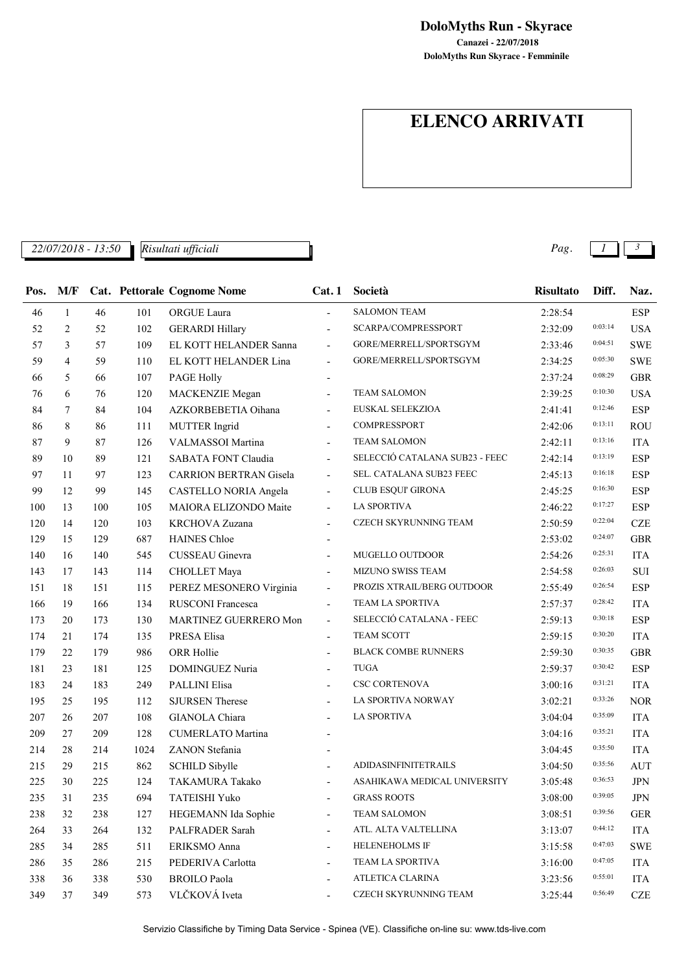**DoloMyths Run Skyrace - Femminile Canazei - 22/07/2018 DoloMyths Run - Skyrace**

# **ELENCO ARRIVATI**

*22/07/2018 - 13:50 Pag. 1 3 Risultati ufficiali*

| Pos. | M/F            |     |      | <b>Cat. Pettorale Cognome Nome</b> | Cat.1                    | Società                        | <b>Risultato</b> | Diff.   | Naz.        |
|------|----------------|-----|------|------------------------------------|--------------------------|--------------------------------|------------------|---------|-------------|
| 46   | $\mathbf{1}$   | 46  | 101  | ORGUE Laura                        | $\overline{a}$           | <b>SALOMON TEAM</b>            | 2:28:54          |         | ESP         |
| 52   | $\overline{2}$ | 52  | 102  | <b>GERARDI Hillary</b>             | $\overline{\phantom{a}}$ | SCARPA/COMPRESSPORT            | 2:32:09          | 0:03:14 | <b>USA</b>  |
| 57   | 3              | 57  | 109  | EL KOTT HELANDER Sanna             | $\overline{\phantom{a}}$ | GORE/MERRELL/SPORTSGYM         | 2:33:46          | 0:04:51 | <b>SWE</b>  |
| 59   | 4              | 59  | 110  | EL KOTT HELANDER Lina              | $\overline{\phantom{a}}$ | GORE/MERRELL/SPORTSGYM         | 2:34:25          | 0:05:30 | <b>SWE</b>  |
| 66   | 5              | 66  | 107  | <b>PAGE Holly</b>                  |                          |                                | 2:37:24          | 0:08:29 | <b>GBR</b>  |
| 76   | 6              | 76  | 120  | <b>MACKENZIE</b> Megan             | $\overline{\phantom{a}}$ | <b>TEAM SALOMON</b>            | 2:39:25          | 0:10:30 | <b>USA</b>  |
| 84   | 7              | 84  | 104  | AZKORBEBETIA Oihana                | $\overline{\phantom{a}}$ | EUSKAL SELEKZIOA               | 2:41:41          | 0:12:46 | <b>ESP</b>  |
| 86   | 8              | 86  | 111  | <b>MUTTER</b> Ingrid               | $\overline{\phantom{a}}$ | COMPRESSPORT                   | 2:42:06          | 0:13:11 | <b>ROU</b>  |
| 87   | 9              | 87  | 126  | VALMASSOI Martina                  | $\overline{\phantom{a}}$ | <b>TEAM SALOMON</b>            | 2:42:11          | 0:13:16 | <b>ITA</b>  |
| 89   | 10             | 89  | 121  | SABATA FONT Claudia                | $\overline{\phantom{a}}$ | SELECCIÓ CATALANA SUB23 - FEEC | 2:42:14          | 0:13:19 | <b>ESP</b>  |
| 97   | 11             | 97  | 123  | <b>CARRION BERTRAN Gisela</b>      | $\overline{\phantom{a}}$ | SEL. CATALANA SUB23 FEEC       | 2:45:13          | 0:16:18 | <b>ESP</b>  |
| 99   | 12             | 99  | 145  | CASTELLO NORIA Angela              | $\overline{\phantom{a}}$ | <b>CLUB ESQUI' GIRONA</b>      | 2:45:25          | 0:16:30 | <b>ESP</b>  |
| 100  | 13             | 100 | 105  | MAIORA ELIZONDO Maite              | $\overline{\phantom{a}}$ | <b>LA SPORTIVA</b>             | 2:46:22          | 0:17:27 | <b>ESP</b>  |
| 120  | 14             | 120 | 103  | KRCHOVA Zuzana                     | $\overline{\phantom{a}}$ | CZECH SKYRUNNING TEAM          | 2:50:59          | 0:22:04 | <b>CZE</b>  |
| 129  | 15             | 129 | 687  | <b>HAINES Chloe</b>                | $\blacksquare$           |                                | 2:53:02          | 0:24:07 | <b>GBR</b>  |
| 140  | 16             | 140 | 545  | CUSSEAU Ginevra                    | $\overline{\phantom{a}}$ | MUGELLO OUTDOOR                | 2:54:26          | 0:25:31 | <b>ITA</b>  |
| 143  | 17             | 143 | 114  | <b>CHOLLET</b> Maya                | $\overline{\phantom{a}}$ | MIZUNO SWISS TEAM              | 2:54:58          | 0:26:03 | ${\bf SUI}$ |
| 151  | 18             | 151 | 115  | PEREZ MESONERO Virginia            | $\overline{\phantom{a}}$ | PROZIS XTRAIL/BERG OUTDOOR     | 2:55:49          | 0:26:54 | <b>ESP</b>  |
| 166  | 19             | 166 | 134  | RUSCONI Francesca                  | $\overline{\phantom{a}}$ | TEAM LA SPORTIVA               | 2:57:37          | 0:28:42 | <b>ITA</b>  |
| 173  | 20             | 173 | 130  | MARTINEZ GUERRERO Mon              | $\overline{\phantom{a}}$ | SELECCIÓ CATALANA - FEEC       | 2:59:13          | 0:30:18 | <b>ESP</b>  |
| 174  | 21             | 174 | 135  | PRESA Elisa                        | $\overline{a}$           | <b>TEAM SCOTT</b>              | 2:59:15          | 0:30:20 | <b>ITA</b>  |
| 179  | 22             | 179 | 986  | ORR Hollie                         | $\overline{\phantom{a}}$ | <b>BLACK COMBE RUNNERS</b>     | 2:59:30          | 0:30:35 | <b>GBR</b>  |
| 181  | 23             | 181 | 125  | DOMINGUEZ Nuria                    | $\overline{\phantom{a}}$ | <b>TUGA</b>                    | 2:59:37          | 0:30:42 | <b>ESP</b>  |
| 183  | 24             | 183 | 249  | <b>PALLINI Elisa</b>               | $\overline{a}$           | <b>CSC CORTENOVA</b>           | 3:00:16          | 0:31:21 | <b>ITA</b>  |
| 195  | 25             | 195 | 112  | <b>SJURSEN Therese</b>             | $\overline{\phantom{a}}$ | LA SPORTIVA NORWAY             | 3:02:21          | 0:33:26 | <b>NOR</b>  |
| 207  | 26             | 207 | 108  | GIANOLA Chiara                     | $\overline{\phantom{a}}$ | <b>LA SPORTIVA</b>             | 3:04:04          | 0:35:09 | <b>ITA</b>  |
| 209  | 27             | 209 | 128  | <b>CUMERLATO Martina</b>           | $\blacksquare$           |                                | 3:04:16          | 0:35:21 | <b>ITA</b>  |
| 214  | 28             | 214 | 1024 | ZANON Stefania                     |                          |                                | 3:04:45          | 0:35:50 | <b>ITA</b>  |
| 215  | 29             | 215 | 862  | <b>SCHILD Sibylle</b>              |                          | <b>ADIDASINFINITETRAILS</b>    | 3:04:50          | 0:35:56 | <b>AUT</b>  |
| 225  | 30             | 225 | 124  | TAKAMURA Takako                    |                          | ASAHIKAWA MEDICAL UNIVERSITY   | 3:05:48          | 0:36:53 | <b>JPN</b>  |
| 235  | 31             | 235 | 694  | TATEISHI Yuko                      |                          | <b>GRASS ROOTS</b>             | 3:08:00          | 0:39:05 | JPN         |
| 238  | 32             | 238 | 127  | HEGEMANN Ida Sophie                | $\overline{\phantom{a}}$ | <b>TEAM SALOMON</b>            | 3:08:51          | 0:39:56 | <b>GER</b>  |
| 264  | 33             | 264 | 132  | PALFRADER Sarah                    | $\overline{\phantom{a}}$ | ATL. ALTA VALTELLINA           | 3:13:07          | 0:44:12 | <b>ITA</b>  |
| 285  | 34             | 285 | 511  | ERIKSMO Anna                       | $\overline{\phantom{a}}$ | HELENEHOLMS IF                 | 3:15:58          | 0:47:03 | <b>SWE</b>  |
| 286  | 35             | 286 | 215  | PEDERIVA Carlotta                  | $\overline{\phantom{a}}$ | TEAM LA SPORTIVA               | 3:16:00          | 0:47:05 | <b>ITA</b>  |
| 338  | 36             | 338 | 530  | <b>BROILO</b> Paola                | $\overline{\phantom{a}}$ | ATLETICA CLARINA               | 3:23:56          | 0:55:01 | ITA         |
| 349  | 37             | 349 | 573  | VLČKOVÁ Iveta                      |                          | CZECH SKYRUNNING TEAM          | 3:25:44          | 0:56:49 | CZE         |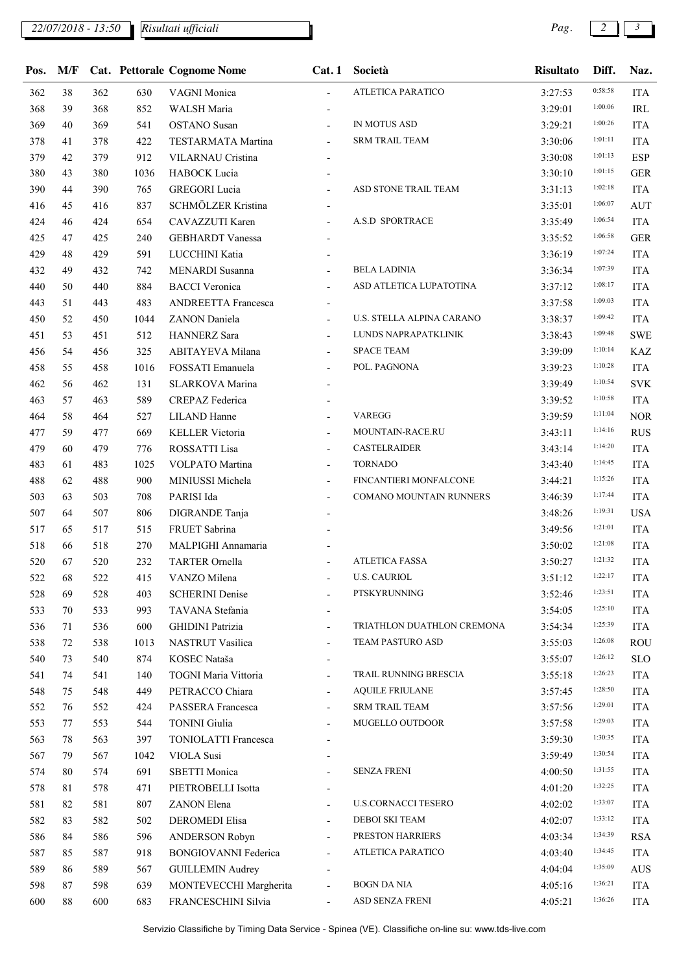*22/07/2018 - 13:50 Pag. 2 3*

| Pos.       | M/F |     |      | <b>Cat. Pettorale Cognome Nome</b> | Cat.1                    | Società                    | <b>Risultato</b> | Diff.   | Naz.       |
|------------|-----|-----|------|------------------------------------|--------------------------|----------------------------|------------------|---------|------------|
| 362        | 38  | 362 | 630  | VAGNI Monica                       | $\overline{a}$           | ATLETICA PARATICO          | 3:27:53          | 0:58:58 | <b>ITA</b> |
| 368        | 39  | 368 | 852  | WALSH Maria                        |                          |                            | 3:29:01          | 1:00:06 | IRL        |
| 369        | 40  | 369 | 541  | <b>OSTANO</b> Susan                |                          | IN MOTUS ASD               | 3:29:21          | 1:00:26 | <b>ITA</b> |
| 378        | 41  | 378 | 422  | TESTARMATA Martina                 | $\overline{\phantom{a}}$ | <b>SRM TRAIL TEAM</b>      | 3:30:06          | 1:01:11 | <b>ITA</b> |
| 379        | 42  | 379 | 912  | VILARNAU Cristina                  |                          |                            | 3:30:08          | 1:01:13 | <b>ESP</b> |
| 380        | 43  | 380 | 1036 | HABOCK Lucia                       |                          |                            | 3:30:10          | 1:01:15 | <b>GER</b> |
| 390        | 44  | 390 | 765  | <b>GREGORI</b> Lucia               |                          | ASD STONE TRAIL TEAM       | 3:31:13          | 1:02:18 | <b>ITA</b> |
| 416        | 45  | 416 | 837  | SCHMÖLZER Kristina                 | $\blacksquare$           |                            | 3:35:01          | 1:06:07 | AUT        |
| 424        | 46  | 424 | 654  | CAVAZZUTI Karen                    | $\overline{a}$           | A.S.D SPORTRACE            | 3:35:49          | 1:06:54 | <b>ITA</b> |
| 425        | 47  | 425 | 240  | <b>GEBHARDT Vanessa</b>            |                          |                            | 3:35:52          | 1:06:58 | <b>GER</b> |
| 429        | 48  | 429 | 591  | LUCCHINI Katia                     |                          |                            | 3:36:19          | 1:07:24 | <b>ITA</b> |
| 432        | 49  | 432 | 742  | MENARDI Susanna                    | $\overline{\phantom{a}}$ | <b>BELA LADINIA</b>        | 3:36:34          | 1:07:39 | <b>ITA</b> |
| 440        | 50  | 440 | 884  | <b>BACCI</b> Veronica              | $\overline{\phantom{a}}$ | ASD ATLETICA LUPATOTINA    | 3:37:12          | 1:08:17 | <b>ITA</b> |
| 443        | 51  | 443 | 483  | <b>ANDREETTA Francesca</b>         | $\overline{\phantom{a}}$ |                            | 3:37:58          | 1:09:03 | <b>ITA</b> |
| 450        | 52  | 450 | 1044 | ZANON Daniela                      | ÷,                       | U.S. STELLA ALPINA CARANO  | 3:38:37          | 1:09:42 | <b>ITA</b> |
| 451        | 53  | 451 | 512  | <b>HANNERZ</b> Sara                | $\overline{\phantom{a}}$ | LUNDS NAPRAPATKLINIK       | 3:38:43          | 1:09:48 | <b>SWE</b> |
| 456        | 54  | 456 | 325  | ABITAYEVA Milana                   | $\overline{\phantom{a}}$ | SPACE TEAM                 | 3:39:09          | 1:10:14 | KAZ        |
| 458        | 55  | 458 | 1016 | FOSSATI Emanuela                   | $\overline{\phantom{a}}$ | POL. PAGNONA               | 3:39:23          | 1:10:28 | <b>ITA</b> |
| 462        | 56  | 462 | 131  | SLARKOVA Marina                    |                          |                            | 3:39:49          | 1:10:54 | <b>SVK</b> |
| 463        | 57  | 463 | 589  | <b>CREPAZ</b> Federica             |                          |                            | 3:39:52          | 1:10:58 | <b>ITA</b> |
| 464        | 58  | 464 | 527  | <b>LILAND</b> Hanne                |                          | <b>VAREGG</b>              | 3:39:59          | 1:11:04 | <b>NOR</b> |
| 477        | 59  | 477 | 669  | <b>KELLER Victoria</b>             |                          | MOUNTAIN-RACE.RU           | 3:43:11          | 1:14:16 | <b>RUS</b> |
| 479        | 60  | 479 | 776  | ROSSATTI Lisa                      | $\overline{\phantom{a}}$ | CASTELRAIDER               | 3:43:14          | 1:14:20 | <b>ITA</b> |
| 483        | 61  | 483 | 1025 | VOLPATO Martina                    | $\overline{\phantom{a}}$ | <b>TORNADO</b>             | 3:43:40          | 1:14:45 | <b>ITA</b> |
| 488        | 62  | 488 | 900  | MINIUSSI Michela                   | $\overline{\phantom{a}}$ | FINCANTIERI MONFALCONE     | 3:44:21          | 1:15:26 | <b>ITA</b> |
| 503        | 63  | 503 | 708  | PARISI Ida                         | $\overline{\phantom{a}}$ | COMANO MOUNTAIN RUNNERS    | 3:46:39          | 1:17:44 | <b>ITA</b> |
| 507        | 64  | 507 | 806  | DIGRANDE Tanja                     |                          |                            | 3:48:26          | 1:19:31 | <b>USA</b> |
| 517        | 65  | 517 | 515  | FRUET Sabrina                      |                          |                            | 3:49:56          | 1:21:01 | <b>ITA</b> |
| 518        | 66  | 518 | 270  | MALPIGHI Annamaria                 |                          |                            | 3:50:02          | 1:21:08 | <b>ITA</b> |
| 520        | 67  | 520 | 232  | <b>TARTER Ornella</b>              |                          | <b>ATLETICA FASSA</b>      | 3:50:27          | 1:21:32 | <b>ITA</b> |
| 522        | 68  | 522 | 415  | VANZO Milena                       |                          | <b>U.S. CAURIOL</b>        | 3:51:12          | 1:22:17 | <b>ITA</b> |
| 528        | 69  | 528 | 403  | <b>SCHERINI Denise</b>             | $\overline{\phantom{a}}$ | PTSKYRUNNING               | 3:52:46          | 1:23:51 | <b>ITA</b> |
| 533        | 70  | 533 | 993  | TAVANA Stefania                    |                          |                            | 3:54:05          | 1:25:10 | <b>ITA</b> |
| 536        | 71  | 536 | 600  | <b>GHIDINI</b> Patrizia            | $\overline{\phantom{a}}$ | TRIATHLON DUATHLON CREMONA | 3:54:34          | 1:25:39 | <b>ITA</b> |
| 538        | 72  | 538 | 1013 | NASTRUT Vasilica                   | $\overline{\phantom{a}}$ | TEAM PASTURO ASD           | 3:55:03          | 1:26:08 | <b>ROU</b> |
| 540        | 73  | 540 | 874  | KOSEC Nataša                       | $\overline{\phantom{a}}$ |                            | 3:55:07          | 1:26:12 | $\rm SLO$  |
| 541        | 74  | 541 | 140  | <b>TOGNI Maria Vittoria</b>        | $\overline{\phantom{a}}$ | TRAIL RUNNING BRESCIA      | 3:55:18          | 1:26:23 | <b>ITA</b> |
| 548        | 75  | 548 | 449  | PETRACCO Chiara                    | $\overline{\phantom{a}}$ | <b>AQUILE FRIULANE</b>     | 3:57:45          | 1:28:50 | <b>ITA</b> |
| 552        | 76  | 552 | 424  | PASSERA Francesca                  | $\overline{\phantom{a}}$ | <b>SRM TRAIL TEAM</b>      | 3:57:56          | 1:29:01 | <b>ITA</b> |
| 553        | 77  | 553 | 544  | <b>TONINI Giulia</b>               | $\overline{\phantom{a}}$ | MUGELLO OUTDOOR            | 3:57:58          | 1:29:03 | <b>ITA</b> |
| 563        | 78  | 563 | 397  | TONIOLATTI Francesca               |                          |                            | 3:59:30          | 1:30:35 | <b>ITA</b> |
| 567        | 79  | 567 | 1042 | VIOLA Susi                         |                          |                            | 3:59:49          | 1:30:54 | <b>ITA</b> |
| 574        | 80  | 574 | 691  | <b>SBETTI Monica</b>               |                          | <b>SENZA FRENI</b>         | 4:00:50          | 1:31:55 | <b>ITA</b> |
|            |     |     |      |                                    |                          |                            |                  | 1:32:25 |            |
| 578<br>581 | 81  | 578 | 471  | PIETROBELLI Isotta<br>ZANON Elena  |                          | <b>U.S.CORNACCI TESERO</b> | 4:01:20          | 1:33:07 | <b>ITA</b> |
|            | 82  | 581 | 807  |                                    | $\overline{\phantom{a}}$ | DEBOI SKI TEAM             | 4:02:02          | 1:33:12 | <b>ITA</b> |
| 582        | 83  | 582 | 502  | <b>DEROMEDI Elisa</b>              | $\overline{\phantom{a}}$ | PRESTON HARRIERS           | 4:02:07          | 1:34:39 | <b>ITA</b> |
| 586        | 84  | 586 | 596  | <b>ANDERSON Robyn</b>              | $\overline{\phantom{a}}$ | ATLETICA PARATICO          | 4:03:34          | 1:34:45 | <b>RSA</b> |
| 587        | 85  | 587 | 918  | <b>BONGIOVANNI Federica</b>        | $\overline{\phantom{a}}$ |                            | 4:03:40          | 1:35:09 | <b>ITA</b> |
| 589        | 86  | 589 | 567  | <b>GUILLEMIN Audrey</b>            |                          |                            | 4:04:04          | 1:36:21 | <b>AUS</b> |
| 598        | 87  | 598 | 639  | MONTEVECCHI Margherita             | $\overline{\phantom{a}}$ | <b>BOGN DA NIA</b>         | 4:05:16          | 1:36:26 | ITA        |
| 600        | 88  | 600 | 683  | FRANCESCHINI Silvia                | $\overline{\phantom{a}}$ | ASD SENZA FRENI            | 4:05:21          |         | <b>ITA</b> |